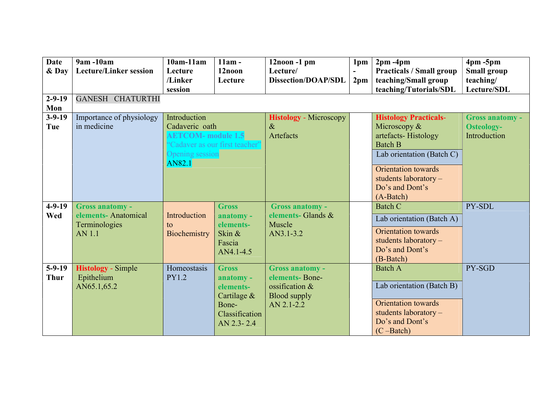| <b>Date</b><br>& Day<br>$2 - 9 - 19$<br>Mon | 9am -10am<br><b>Lecture/Linker session</b><br>GANESH CHATURTHI                   | $10am-11am$<br>Lecture<br>/Linker<br>session                                                                                      | $11am -$<br>12noon<br>Lecture                                                                    | 12noon -1 pm<br>Lecture/<br><b>Dissection/DOAP/SDL</b>                                            | 1pm<br>2 <sub>pm</sub> | $2pm - 4pm$<br><b>Practicals / Small group</b><br>teaching/Small group<br>teaching/Tutorials/SDL                                                                                                     | $4 \text{pm} - 5 \text{pm}$<br><b>Small group</b><br>teaching/<br>Lecture/SDL |
|---------------------------------------------|----------------------------------------------------------------------------------|-----------------------------------------------------------------------------------------------------------------------------------|--------------------------------------------------------------------------------------------------|---------------------------------------------------------------------------------------------------|------------------------|------------------------------------------------------------------------------------------------------------------------------------------------------------------------------------------------------|-------------------------------------------------------------------------------|
| $3 - 9 - 19$<br>Tue                         | Importance of physiology<br>in medicine                                          | Introduction<br>Cadaveric oath<br><b>AETCOM-</b> module 1.5<br>"Cadaver as our first teacher"<br>Opening session<br><b>AN82.1</b> |                                                                                                  | <b>Histology</b> - Microscopy<br>$\&$<br>Artefacts                                                |                        | <b>Histology Practicals-</b><br>Microscopy &<br>artefacts-Histology<br><b>Batch B</b><br>Lab orientation (Batch C)<br>Orientation towards<br>students laboratory $-$<br>Do's and Dont's<br>(A-Batch) | <b>Gross anatomy -</b><br><b>Osteology-</b><br>Introduction                   |
| $4-9-19$<br>Wed                             | <b>Gross anatomy -</b><br>elements- Anatomical<br>Terminologies<br><b>AN 1.1</b> | Introduction<br>to<br>Biochemistry                                                                                                | <b>Gross</b><br>anatomy -<br>elements-<br>Skin &<br>Fascia<br>AN4.1-4.5                          | <b>Gross anatomy -</b><br>elements- Glands &<br>Muscle<br>AN3.1-3.2                               |                        | <b>Batch C</b><br>Lab orientation (Batch A)<br>Orientation towards<br>students laboratory -<br>Do's and Dont's<br>(B-Batch)                                                                          | PY-SDL                                                                        |
| $5-9-19$<br><b>Thur</b>                     | <b>Histology</b> - Simple<br>Epithelium<br>AN65.1,65.2                           | Homeostasis<br><b>PY1.2</b>                                                                                                       | <b>Gross</b><br>anatomy -<br>elements-<br>Cartilage $&$<br>Bone-<br>Classification<br>AN 2.3-2.4 | <b>Gross anatomy -</b><br>elements-Bone-<br>ossification $&$<br><b>Blood supply</b><br>AN 2.1-2.2 |                        | <b>Batch A</b><br>Lab orientation (Batch B)<br>Orientation towards<br>students laboratory -<br>Do's and Dont's<br>$(C - Batch)$                                                                      | PY-SGD                                                                        |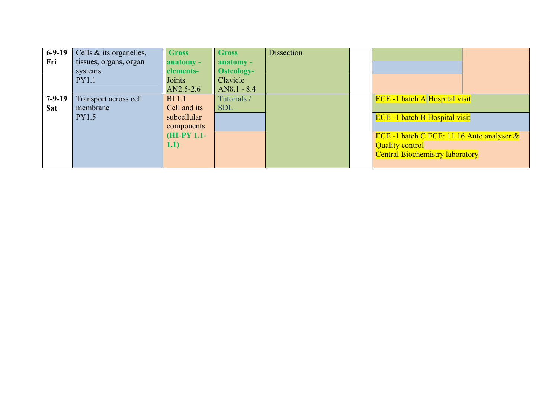| $6-9-19$   | Cells & its organelles, | <b>Gross</b> | <b>Gross</b>      | <b>Dissection</b> |                                              |
|------------|-------------------------|--------------|-------------------|-------------------|----------------------------------------------|
| Fri        | tissues, organs, organ  | anatomy -    | anatomy -         |                   |                                              |
|            | systems.                | elements-    | <b>Osteology-</b> |                   |                                              |
|            | <b>PY1.1</b>            | Joints       | Clavicle          |                   |                                              |
|            |                         | AN2.5-2.6    | $AN8.1 - 8.4$     |                   |                                              |
| $7-9-19$   | Transport across cell   | $BI$ 1.1     | Tutorials /       |                   | <b>ECE -1 batch A Hospital visit</b>         |
| <b>Sat</b> | membrane                | Cell and its | <b>SDL</b>        |                   |                                              |
|            | <b>PY1.5</b>            | subcellular  |                   |                   | <b>ECE -1 batch B Hospital visit</b>         |
|            |                         | components   |                   |                   |                                              |
|            |                         | $(HI-PY1.1-$ |                   |                   | ECE -1 batch C ECE: 11.16 Auto analyser $\&$ |
|            |                         | (1.1)        |                   |                   | <b>Quality control</b>                       |
|            |                         |              |                   |                   | <b>Central Biochemistry laboratory</b>       |
|            |                         |              |                   |                   |                                              |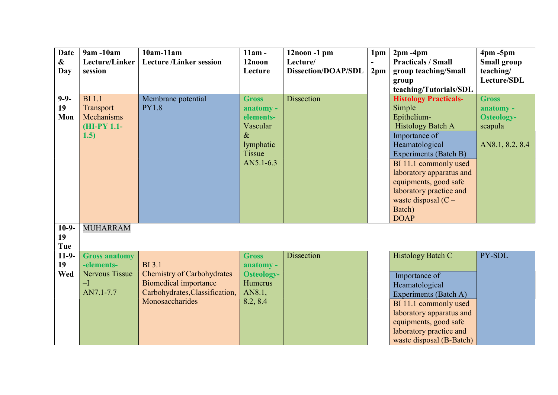| <b>Date</b>       | 9am -10am             | $10am-11am$                       | $11am -$          | $12$ noon $-1$ pm          | 1pm             | $2pm - 4pm$                  | $4pm - 5pm$        |
|-------------------|-----------------------|-----------------------------------|-------------------|----------------------------|-----------------|------------------------------|--------------------|
| $\boldsymbol{\&}$ | Lecture/Linker        | <b>Lecture /Linker session</b>    | 12noon            | Lecture/                   |                 | <b>Practicals / Small</b>    | <b>Small group</b> |
| Day               | session               |                                   | Lecture           | <b>Dissection/DOAP/SDL</b> | 2 <sub>pm</sub> | group teaching/Small         | teaching/          |
|                   |                       |                                   |                   |                            |                 | group                        | Lecture/SDL        |
|                   |                       |                                   |                   |                            |                 | teaching/Tutorials/SDL       |                    |
| $9 - 9 -$         | <b>BI</b> 1.1         | Membrane potential                | <b>Gross</b>      | <b>Dissection</b>          |                 | <b>Histology Practicals-</b> | <b>Gross</b>       |
| 19                | Transport             | <b>PY1.8</b>                      | anatomy -         |                            |                 | Simple                       | anatomy -          |
| Mon               | Mechanisms            |                                   | elements-         |                            |                 | Epithelium-                  | <b>Osteology-</b>  |
|                   | (HI-PY 1.1-           |                                   | Vascular          |                            |                 | <b>Histology Batch A</b>     | scapula            |
|                   | 1.5)                  |                                   | $\&$              |                            |                 | Importance of                |                    |
|                   |                       |                                   | lymphatic         |                            |                 | Heamatological               | AN8.1, 8.2, 8.4    |
|                   |                       |                                   | Tissue            |                            |                 | Experiments (Batch B)        |                    |
|                   |                       |                                   | AN5.1-6.3         |                            |                 | BI 11.1 commonly used        |                    |
|                   |                       |                                   |                   |                            |                 | laboratory apparatus and     |                    |
|                   |                       |                                   |                   |                            |                 | equipments, good safe        |                    |
|                   |                       |                                   |                   |                            |                 | laboratory practice and      |                    |
|                   |                       |                                   |                   |                            |                 | waste disposal $(C -$        |                    |
|                   |                       |                                   |                   |                            |                 | Batch)                       |                    |
|                   |                       |                                   |                   |                            |                 | <b>DOAP</b>                  |                    |
| $10-9-$           | <b>MUHARRAM</b>       |                                   |                   |                            |                 |                              |                    |
| 19                |                       |                                   |                   |                            |                 |                              |                    |
| Tue               |                       |                                   |                   |                            |                 |                              |                    |
| $11-9-$           | <b>Gross anatomy</b>  |                                   | <b>Gross</b>      | <b>Dissection</b>          |                 | <b>Histology Batch C</b>     | PY-SDL             |
| 19                | -elements-            | <b>BI</b> 3.1                     | anatomy -         |                            |                 |                              |                    |
| Wed               | <b>Nervous Tissue</b> | <b>Chemistry of Carbohydrates</b> | <b>Osteology-</b> |                            |                 | Importance of                |                    |
|                   | $-I$                  | <b>Biomedical importance</b>      | Humerus           |                            |                 | Heamatological               |                    |
|                   | AN7.1-7.7             | Carbohydrates, Classification,    | AN8.1,            |                            |                 | Experiments (Batch A)        |                    |
|                   |                       | Monosaccharides                   | 8.2, 8.4          |                            |                 | BI 11.1 commonly used        |                    |
|                   |                       |                                   |                   |                            |                 | laboratory apparatus and     |                    |
|                   |                       |                                   |                   |                            |                 | equipments, good safe        |                    |
|                   |                       |                                   |                   |                            |                 | laboratory practice and      |                    |
|                   |                       |                                   |                   |                            |                 | waste disposal (B-Batch)     |                    |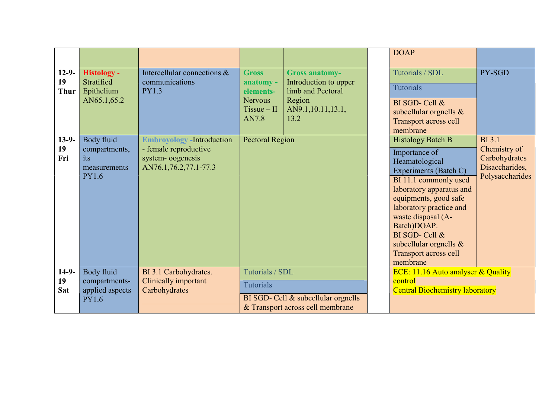|                                 |                                                                    |                                                                                                         |                                                                                    |                                                                                                            | <b>DOAP</b>                                                                                                                                                                                                                                                                                                            |                                                                                     |
|---------------------------------|--------------------------------------------------------------------|---------------------------------------------------------------------------------------------------------|------------------------------------------------------------------------------------|------------------------------------------------------------------------------------------------------------|------------------------------------------------------------------------------------------------------------------------------------------------------------------------------------------------------------------------------------------------------------------------------------------------------------------------|-------------------------------------------------------------------------------------|
|                                 |                                                                    |                                                                                                         |                                                                                    |                                                                                                            |                                                                                                                                                                                                                                                                                                                        |                                                                                     |
| $12 - 9 -$<br>19<br><b>Thur</b> | <b>Histology -</b><br>Stratified<br>Epithelium<br>AN65.1,65.2      | Intercellular connections &<br>communications<br><b>PY1.3</b>                                           | <b>Gross</b><br>anatomy -<br>elements-<br><b>Nervous</b><br>$Tissue - II$<br>AN7.8 | <b>Gross anatomy-</b><br>Introduction to upper<br>limb and Pectoral<br>Region<br>AN9.1,10.11,13.1,<br>13.2 | Tutorials / SDL<br><b>Tutorials</b><br>BI SGD- Cell &<br>subcellular orgnells $\&$<br>Transport across cell<br>membrane                                                                                                                                                                                                | PY-SGD                                                                              |
| $13-9-$<br>19<br>Fri            | Body fluid<br>compartments,<br>its<br>measurements<br><b>PY1.6</b> | <b>Embroyology</b> - Introduction<br>- female reproductive<br>system-oogenesis<br>AN76.1,76.2,77.1-77.3 | <b>Pectoral Region</b>                                                             |                                                                                                            | <b>Histology Batch B</b><br>Importance of<br>Heamatological<br>Experiments (Batch C)<br>BI 11.1 commonly used<br>laboratory apparatus and<br>equipments, good safe<br>laboratory practice and<br>waste disposal (A-<br>Batch)DOAP.<br>BI SGD- Cell &<br>subcellular orgnells $\&$<br>Transport across cell<br>membrane | <b>BI</b> 3.1<br>Chemistry of<br>Carbohydrates<br>Disaccharides,<br>Polysaccharides |
| $14-9-$<br>19<br><b>Sat</b>     | Body fluid<br>compartments-<br>applied aspects<br><b>PY1.6</b>     | BI 3.1 Carbohydrates.<br>Clinically important<br>Carbohydrates                                          | Tutorials / SDL<br><b>Tutorials</b>                                                | BI SGD- Cell & subcellular orgnells<br>& Transport across cell membrane                                    | ECE: 11.16 Auto analyser & Quality<br>control<br><b>Central Biochemistry laboratory</b>                                                                                                                                                                                                                                |                                                                                     |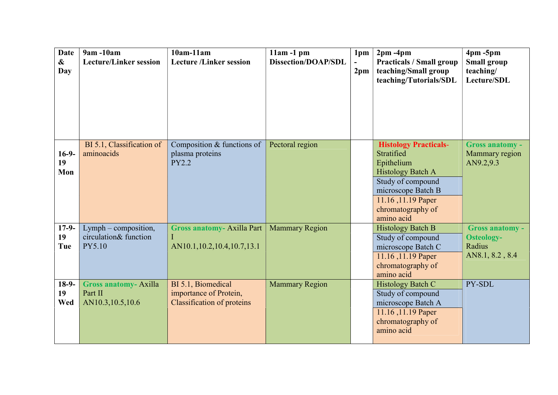| <b>Date</b><br>$\boldsymbol{\&}$<br>Day | 9am -10am<br><b>Lecture/Linker session</b>                 | $10am-11am$<br><b>Lecture /Linker session</b>                                     | $11am - 1pm$<br><b>Dissection/DOAP/SDL</b> | 1pm<br>2 <sub>pm</sub> | $2pm - 4pm$<br><b>Practicals / Small group</b><br>teaching/Small group<br>teaching/Tutorials/SDL                                                                                         | $4pm - 5pm$<br><b>Small group</b><br>teaching/<br>Lecture/SDL            |
|-----------------------------------------|------------------------------------------------------------|-----------------------------------------------------------------------------------|--------------------------------------------|------------------------|------------------------------------------------------------------------------------------------------------------------------------------------------------------------------------------|--------------------------------------------------------------------------|
|                                         |                                                            |                                                                                   |                                            |                        |                                                                                                                                                                                          |                                                                          |
| $16-9-$<br>19<br>Mon                    | BI 5.1, Classification of<br>aminoacids                    | Composition & functions of<br>plasma proteins<br><b>PY2.2</b>                     | Pectoral region                            |                        | <b>Histology Practicals-</b><br>Stratified<br>Epithelium<br><b>Histology Batch A</b><br>Study of compound<br>microscope Batch B<br>11.16, 11.19 Paper<br>chromatography of<br>amino acid | <b>Gross anatomy -</b><br>Mammary region<br>AN9.2,9.3                    |
| $17-9-$<br>19<br>Tue                    | Lymph – composition,<br>circulation& function<br>PY5.10    | <b>Gross anatomy-Axilla Part</b><br>AN10.1,10.2,10.4,10.7,13.1                    | <b>Mammary Region</b>                      |                        | <b>Histology Batch B</b><br>Study of compound<br>microscope Batch C<br>11.16, 11.19 Paper<br>chromatography of<br>amino acid                                                             | <b>Gross anatomy -</b><br><b>Osteology-</b><br>Radius<br>AN8.1, 8.2, 8.4 |
| $18-9-$<br>19<br>Wed                    | <b>Gross anatomy-Axilla</b><br>Part II<br>AN10.3,10.5,10.6 | BI 5.1, Biomedical<br>importance of Protein,<br><b>Classification of proteins</b> | <b>Mammary Region</b>                      |                        | Histology Batch C<br>Study of compound<br>microscope Batch A<br>11.16, 11.19 Paper<br>chromatography of<br>amino acid                                                                    | PY-SDL                                                                   |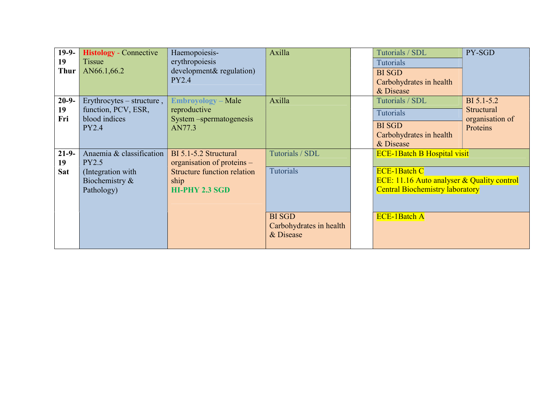| $19-9-$     | <b>Histology</b> - Connective        | Haemopoiesis-                           | Axilla                  | Tutorials / SDL                                   | PY-SGD                        |
|-------------|--------------------------------------|-----------------------------------------|-------------------------|---------------------------------------------------|-------------------------------|
| 19          | Tissue                               | erythropoiesis                          |                         | <b>Tutorials</b>                                  |                               |
| <b>Thur</b> | AN66.1,66.2                          | development& regulation)                |                         | <b>BI SGD</b>                                     |                               |
|             |                                      | PY2.4                                   |                         | Carbohydrates in health                           |                               |
|             |                                      |                                         |                         | & Disease                                         |                               |
| $20 - 9 -$  | Erythrocytes – structure,            | <b>Embroyology</b> – Male               | Axilla                  | Tutorials / SDL                                   | BI 5.1-5.2                    |
| 19<br>Fri   | function, PCV, ESR,<br>blood indices | reproductive<br>System –spermatogenesis |                         | <b>Tutorials</b>                                  | Structural<br>organisation of |
|             | <b>PY2.4</b>                         | AN77.3                                  |                         | <b>BI</b> SGD                                     | Proteins                      |
|             |                                      |                                         |                         | Carbohydrates in health                           |                               |
|             |                                      |                                         |                         | & Disease                                         |                               |
| $21 - 9 -$  | Anaemia & classification             | BI 5.1-5.2 Structural                   | Tutorials / SDL         | <b>ECE-1Batch B Hospital visit</b>                |                               |
| 19          | <b>PY2.5</b>                         | organisation of proteins –              |                         |                                                   |                               |
| <b>Sat</b>  | (Integration with                    | <b>Structure function relation</b>      | <b>Tutorials</b>        | <b>ECE-1Batch C</b>                               |                               |
|             | Biochemistry &                       | ship                                    |                         | <b>ECE:</b> 11.16 Auto analyser & Quality control |                               |
|             | Pathology)                           | <b>HI-PHY 2.3 SGD</b>                   |                         | <b>Central Biochemistry laboratory</b>            |                               |
|             |                                      |                                         |                         |                                                   |                               |
|             |                                      |                                         | <b>BI</b> SGD           | <b>ECE-1Batch A</b>                               |                               |
|             |                                      |                                         | Carbohydrates in health |                                                   |                               |
|             |                                      |                                         | & Disease               |                                                   |                               |
|             |                                      |                                         |                         |                                                   |                               |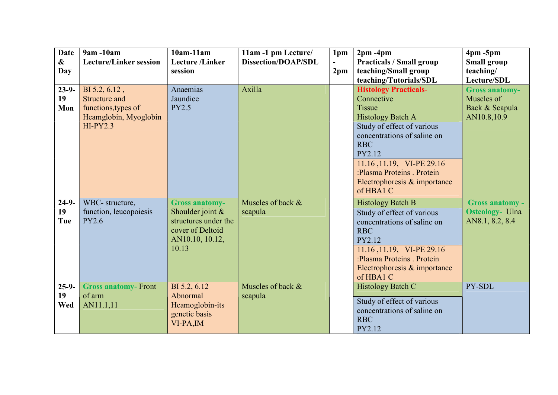| <b>Date</b><br>&        | $9am - 10am$<br><b>Lecture/Linker session</b>                                                       | $10am-11am$<br><b>Lecture</b> /Linker<br>session                                                                    | 11am -1 pm Lecture/<br><b>Dissection/DOAP/SDL</b> | 1pm             | $2pm - 4pm$<br><b>Practicals / Small group</b>                                                                                                                                                                                                                                       | $4pm - 5pm$<br><b>Small group</b>                                    |
|-------------------------|-----------------------------------------------------------------------------------------------------|---------------------------------------------------------------------------------------------------------------------|---------------------------------------------------|-----------------|--------------------------------------------------------------------------------------------------------------------------------------------------------------------------------------------------------------------------------------------------------------------------------------|----------------------------------------------------------------------|
| <b>Day</b>              |                                                                                                     |                                                                                                                     |                                                   | 2 <sub>pm</sub> | teaching/Small group<br>teaching/Tutorials/SDL                                                                                                                                                                                                                                       | teaching/<br>Lecture/SDL                                             |
| $23-9-$<br>19<br>Mon    | BI 5.2, 6.12,<br><b>Structure and</b><br>functions, types of<br>Heamglobin, Myoglobin<br>$HI-PY2.3$ | Anaemias<br>Jaundice<br><b>PY2.5</b>                                                                                | Axilla                                            |                 | <b>Histology Practicals-</b><br>Connective<br><b>Tissue</b><br><b>Histology Batch A</b><br>Study of effect of various<br>concentrations of saline on<br><b>RBC</b><br>PY2.12<br>11.16, 11.19, VI-PE 29.16<br>:Plasma Proteins . Protein<br>Electrophoresis & importance<br>of HBA1 C | <b>Gross anatomy-</b><br>Muscles of<br>Back & Scapula<br>AN10.8,10.9 |
| $24-9-$<br>19<br>Tue    | WBC- structure,<br>function, leucopoiesis<br><b>PY2.6</b>                                           | <b>Gross anatomy-</b><br>Shoulder joint $&$<br>structures under the<br>cover of Deltoid<br>AN10.10, 10.12,<br>10.13 | Muscles of back &<br>scapula                      |                 | <b>Histology Batch B</b><br>Study of effect of various<br>concentrations of saline on<br><b>RBC</b><br>PY2.12<br>11.16, 11.19, VI-PE 29.16<br>:Plasma Proteins . Protein<br>Electrophoresis & importance<br>of HBA1 C                                                                | Gross anatomy -<br><b>Osteology- Ulna</b><br>AN8.1, 8.2, 8.4         |
| $25 - 9 -$<br>19<br>Wed | <b>Gross anatomy-Front</b><br>of arm<br>AN11.1,11                                                   | BI 5.2, 6.12<br>Abnormal<br>Heamoglobin-its<br>genetic basis<br>VI-PA, IM                                           | Muscles of back &<br>scapula                      |                 | Histology Batch C<br>Study of effect of various<br>concentrations of saline on<br><b>RBC</b><br>PY2.12                                                                                                                                                                               | PY-SDL                                                               |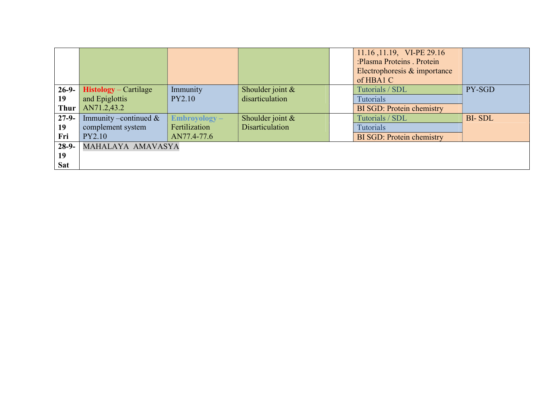|             |                           |                 |                        | 11.16, 11.19, VI-PE 29.16        |               |
|-------------|---------------------------|-----------------|------------------------|----------------------------------|---------------|
|             |                           |                 |                        | :Plasma Proteins . Protein       |               |
|             |                           |                 |                        | Electrophoresis & importance     |               |
|             |                           |                 |                        | of HBA1 C                        |               |
| $26-9-$     | $Histology – Cartilage$   | Immunity        | Shoulder joint $&$     | Tutorials / SDL                  | PY-SGD        |
| 19          | and Epiglottis            | PY2.10          | disarticulation        | <b>Tutorials</b>                 |               |
| <b>Thur</b> | AN71.2,43.2               |                 |                        | <b>BI SGD: Protein chemistry</b> |               |
| $27-9-$     | Immunity – continued $\&$ | $Embroyology -$ | Shoulder joint &       | Tutorials / SDL                  | <b>BI-SDL</b> |
| 19          | complement system         | Fertilization   | <b>Disarticulation</b> | <b>Tutorials</b>                 |               |
| Fri         | <b>PY2.10</b>             | AN77.4-77.6     |                        | <b>BI SGD: Protein chemistry</b> |               |
| $28-9-$     | MAHALAYA AMAVASYA         |                 |                        |                                  |               |
| 19          |                           |                 |                        |                                  |               |
| <b>Sat</b>  |                           |                 |                        |                                  |               |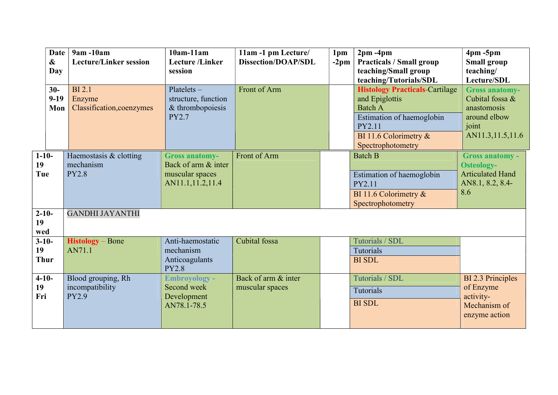|                              | <b>Date</b><br>$\boldsymbol{\alpha}$<br>Day | 9am -10am<br><b>Lecture/Linker session</b>            | $10am-11am$<br><b>Lecture</b> /Linker<br>session                                    | 11am -1 pm Lecture/<br><b>Dissection/DOAP/SDL</b> | 1pm<br>$-2$ pm | $2pm - 4pm$<br><b>Practicals / Small group</b><br>teaching/Small group                                                                                                                      | $4pm - 5pm$<br><b>Small group</b><br>teaching/                                                                      |
|------------------------------|---------------------------------------------|-------------------------------------------------------|-------------------------------------------------------------------------------------|---------------------------------------------------|----------------|---------------------------------------------------------------------------------------------------------------------------------------------------------------------------------------------|---------------------------------------------------------------------------------------------------------------------|
|                              | $30-$<br>$9-19$<br>Mon                      | <b>BI2.1</b><br>Enzyme<br>Classification, coenzymes   | $Platelets -$<br>structure, function<br>& thrombopoiesis<br><b>PY2.7</b>            | Front of Arm                                      |                | teaching/Tutorials/SDL<br><b>Histology Practicals-Cartilage</b><br>and Epiglottis<br><b>Batch A</b><br>Estimation of haemoglobin<br>PY2.11<br>BI 11.6 Colorimetry $\&$<br>Spectrophotometry | Lecture/SDL<br><b>Gross anatomy-</b><br>Cubital fossa &<br>anastomosis<br>around elbow<br>joint<br>AN11.3,11.5,11.6 |
| $1 - 10 -$<br>19<br>Tue      |                                             | Haemostasis & clotting<br>mechanism<br><b>PY2.8</b>   | <b>Gross anatomy-</b><br>Back of arm & inter<br>muscular spaces<br>AN11.1,11.2,11.4 | Front of Arm                                      |                | <b>Batch B</b><br>Estimation of haemoglobin<br>PY2.11<br>BI 11.6 Colorimetry $\&$<br>Spectrophotometry                                                                                      | <b>Gross anatomy -</b><br><b>Osteology-</b><br><b>Articulated Hand</b><br>AN8.1, 8.2, 8.4-<br>8.6                   |
| $2 - 10 -$<br>19<br>wed      |                                             | <b>GANDHI JAYANTHI</b>                                |                                                                                     |                                                   |                |                                                                                                                                                                                             |                                                                                                                     |
| $3-10-$<br>19<br><b>Thur</b> |                                             | $Histology - Bone$<br>AN71.1                          | Anti-haemostatic<br>mechanism<br>Anticoagulants<br><b>PY2.8</b>                     | Cubital fossa                                     |                | Tutorials / SDL<br>Tutorials<br><b>BI SDL</b>                                                                                                                                               |                                                                                                                     |
| $4 - 10 -$<br>19<br>Fri      |                                             | Blood grouping, Rh<br>incompatibility<br><b>PY2.9</b> | <b>Embroyology -</b><br>Second week<br>Development<br>AN78.1-78.5                   | Back of arm & inter<br>muscular spaces            |                | Tutorials / SDL<br><b>Tutorials</b><br><b>BI SDL</b>                                                                                                                                        | <b>BI 2.3 Principles</b><br>of Enzyme<br>activity-<br>Mechanism of<br>enzyme action                                 |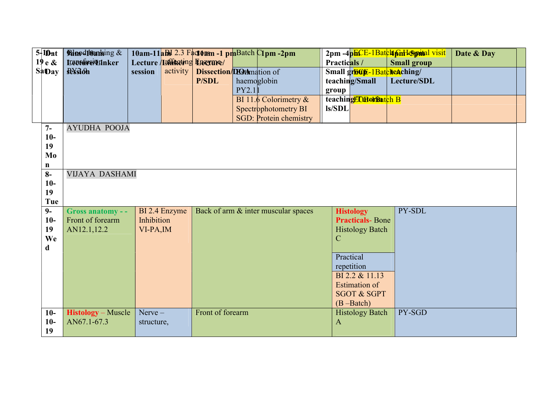| $5 - 10$ at   | <b>Rinod10anking &amp;</b> |            |               |                                  |       | 10am-11aBd 2.3 Factorsn -1 pmBatch C1pm -2pm |              |                            | 2pm -4phCE-1Batch finH5pottal visit | Date & Day |
|---------------|----------------------------|------------|---------------|----------------------------------|-------|----------------------------------------------|--------------|----------------------------|-------------------------------------|------------|
| 19e &         | <b>Leothre/Linker</b>      |            |               | Lecture <b>Iainketing Lucyme</b> |       |                                              | Practicals / |                            | <b>Small group</b>                  |            |
| <b>SaDay</b>  | <b>Residen</b>             | session    | activity      | <b>Dissection/DOtAmation of</b>  |       |                                              |              | Small group-1Batcheaching/ |                                     |            |
|               |                            |            |               | <b>P/SDL</b>                     |       | haemoglobin                                  |              | teaching/Small             | Lecture/SDL                         |            |
|               |                            |            |               |                                  | PY2.1 |                                              | group        |                            |                                     |            |
|               |                            |            |               |                                  |       | BI 11.6 Colorimetry $\&$                     | ls/SDL       | teachingEDHonBatch B       |                                     |            |
|               |                            |            |               |                                  |       | Spectrophotometry BI                         |              |                            |                                     |            |
|               |                            |            |               |                                  |       | <b>SGD: Protein chemistry</b>                |              |                            |                                     |            |
| $7-$<br>$10-$ | <b>AYUDHA POOJA</b>        |            |               |                                  |       |                                              |              |                            |                                     |            |
| 19            |                            |            |               |                                  |       |                                              |              |                            |                                     |            |
| Mo            |                            |            |               |                                  |       |                                              |              |                            |                                     |            |
| $\mathbf n$   |                            |            |               |                                  |       |                                              |              |                            |                                     |            |
| $8-$          | <b>VIJAYA DASHAMI</b>      |            |               |                                  |       |                                              |              |                            |                                     |            |
| $10-$         |                            |            |               |                                  |       |                                              |              |                            |                                     |            |
| 19            |                            |            |               |                                  |       |                                              |              |                            |                                     |            |
|               |                            |            |               |                                  |       |                                              |              |                            |                                     |            |
| Tue           |                            |            |               |                                  |       |                                              |              |                            |                                     |            |
| $9-$          | Gross anatomy - -          |            | BI 2.4 Enzyme |                                  |       | Back of arm & inter muscular spaces          |              | <b>Histology</b>           | PY-SDL                              |            |
| $10-$         | Front of forearm           | Inhibition |               |                                  |       |                                              |              | <b>Practicals-Bone</b>     |                                     |            |
| 19            | AN12.1,12.2                | VI-PA, IM  |               |                                  |       |                                              |              | <b>Histology Batch</b>     |                                     |            |
| We            |                            |            |               |                                  |       |                                              | $\mathbf C$  |                            |                                     |            |
| d             |                            |            |               |                                  |       |                                              |              |                            |                                     |            |
|               |                            |            |               |                                  |       |                                              |              | Practical                  |                                     |            |
|               |                            |            |               |                                  |       |                                              |              | repetition                 |                                     |            |
|               |                            |            |               |                                  |       |                                              |              | BI 2.2 & 11.13             |                                     |            |
|               |                            |            |               |                                  |       |                                              |              | <b>Estimation of</b>       |                                     |            |
|               |                            |            |               |                                  |       |                                              |              | <b>SGOT &amp; SGPT</b>     |                                     |            |
|               |                            |            |               |                                  |       |                                              |              | $(B - Batch)$              |                                     |            |
| $10-$         | <b>Histology</b> – Muscle  | $Nerve -$  |               | Front of forearm                 |       |                                              |              | <b>Histology Batch</b>     | PY-SGD                              |            |
| $10-$<br>19   | AN67.1-67.3                | structure, |               |                                  |       |                                              | $\mathbf{A}$ |                            |                                     |            |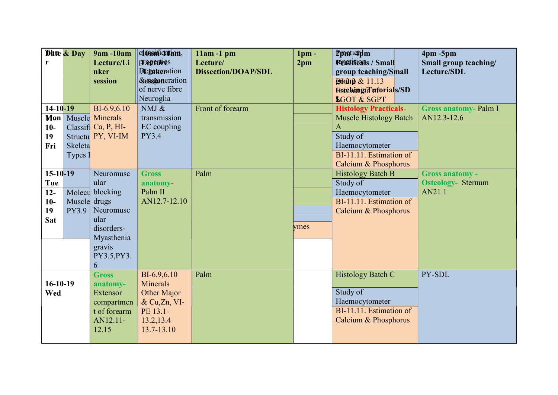|                | <b>Dhte &amp; Day</b> | 9am -10am            | <b>classmidation</b> , | $11am - 1pm$               | $1pm$ -         | <b>Pranticipim</b>            | $4pm - 5pm$                 |
|----------------|-----------------------|----------------------|------------------------|----------------------------|-----------------|-------------------------------|-----------------------------|
| r              |                       | Lecture/Li           | prepenties             | Lecture/                   | 2 <sub>pm</sub> | <b>Popetiticals / Small</b>   | Small group teaching/       |
|                |                       | nker                 | Deinheration           | <b>Dissection/DOAP/SDL</b> |                 | group teaching/Small          | Lecture/SDL                 |
|                |                       | session              | &essioneration         |                            |                 | <b>Broup &amp; 11.13</b>      |                             |
|                |                       |                      | of nerve fibre         |                            |                 | Estohing/Tuforials/SD         |                             |
|                |                       |                      | Neuroglia              |                            |                 | <b>SGOT &amp; SGPT</b>        |                             |
| $14 - 10 - 19$ |                       | BI-6.9,6.10          | NMJ $\&$               | Front of forearm           |                 | <b>Histology Practicals-</b>  | <b>Gross anatomy-Palm I</b> |
| Mon            |                       | Muscle Minerals      | transmission           |                            |                 | <b>Muscle Histology Batch</b> | AN12.3-12.6                 |
| $10-$          |                       | Classifi Ca, P, HI-  | EC coupling            |                            |                 | A                             |                             |
| 19             |                       | Structu PY, VI-IM    | <b>PY3.4</b>           |                            |                 | Study of                      |                             |
| Fri            | Skeleta               |                      |                        |                            |                 | Haemocytometer                |                             |
|                | Types .               |                      |                        |                            |                 | BI-11.11. Estimation of       |                             |
|                |                       |                      |                        |                            |                 | Calcium & Phosphorus          |                             |
| $15-10-19$     |                       | Neuromusc            | <b>Gross</b>           | Palm                       |                 | <b>Histology Batch B</b>      | <b>Gross anatomy -</b>      |
| Tue            |                       | ular                 | anatomy-               |                            |                 | Study of                      | <b>Osteology- Sternum</b>   |
| $12 -$         |                       | Molecu blocking      | Palm II                |                            |                 | Haemocytometer                | AN21.1                      |
| $10-$          | Muscle drugs          |                      | AN12.7-12.10           |                            |                 | BI-11.11. Estimation of       |                             |
| 19             | PY3.9                 | Neuromusc            |                        |                            |                 | Calcium & Phosphorus          |                             |
| Sat            |                       | ular                 |                        |                            | ymes            |                               |                             |
|                |                       | disorders-           |                        |                            |                 |                               |                             |
|                |                       | Myasthenia           |                        |                            |                 |                               |                             |
|                |                       | gravis               |                        |                            |                 |                               |                             |
|                |                       | PY3.5, PY3.          |                        |                            |                 |                               |                             |
|                |                       | 6<br><b>Gross</b>    | BI-6.9,6.10            | Palm                       |                 |                               | PY-SDL                      |
| $16-10-19$     |                       |                      | <b>Minerals</b>        |                            |                 | Histology Batch C             |                             |
| Wed            |                       | anatomy-<br>Extensor | Other Major            |                            |                 | Study of                      |                             |
|                |                       | compartmen           | & Cu,Zn, VI-           |                            |                 | Haemocytometer                |                             |
|                |                       | t of forearm         | PE 13.1-               |                            |                 | BI-11.11. Estimation of       |                             |
|                |                       | AN12.11-             | 13.2, 13.4             |                            |                 | Calcium & Phosphorus          |                             |
|                |                       |                      |                        |                            |                 |                               |                             |
|                |                       |                      |                        |                            |                 |                               |                             |
|                |                       | 12.15                | 13.7-13.10             |                            |                 |                               |                             |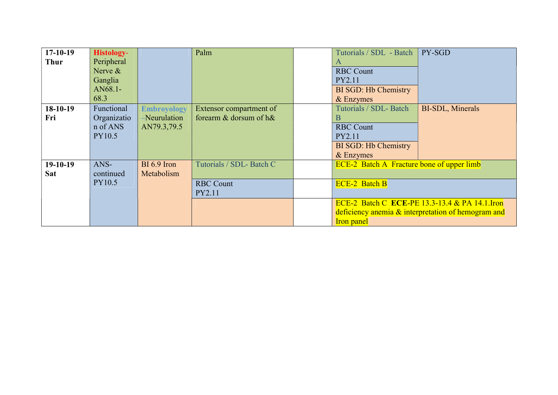| $17-10-19$  | <b>Histology-</b> |                    | Palm                     | Tutorials / SDL - Batch                          | PY-SGD                                             |
|-------------|-------------------|--------------------|--------------------------|--------------------------------------------------|----------------------------------------------------|
| <b>Thur</b> | Peripheral        |                    |                          | A                                                |                                                    |
|             | Nerve &           |                    |                          | <b>RBC Count</b>                                 |                                                    |
|             | Ganglia           |                    |                          | PY2.11                                           |                                                    |
|             | AN68.1-           |                    |                          | <b>BI SGD: Hb Chemistry</b>                      |                                                    |
|             | 68.3              |                    |                          | & Enzymes                                        |                                                    |
| $18-10-19$  | Functional        | <b>Embroyology</b> | Extensor compartment of  | Tutorials / SDL- Batch                           | <b>BI-SDL, Minerals</b>                            |
| Fri         | Organizatio       | -Neurulation       | forearm & dorsum of h&   | В                                                |                                                    |
|             | n of ANS          | AN79.3,79.5        |                          | <b>RBC Count</b>                                 |                                                    |
|             | PY10.5            |                    |                          | PY2.11                                           |                                                    |
|             |                   |                    |                          | <b>BI SGD: Hb Chemistry</b>                      |                                                    |
|             |                   |                    |                          | & Enzymes                                        |                                                    |
| $19-10-19$  | ANS-              | BI 6.9 Iron        | Tutorials / SDL- Batch C | <b>ECE-2</b> Batch A Fracture bone of upper limb |                                                    |
| <b>Sat</b>  | continued         | Metabolism         |                          |                                                  |                                                    |
|             | PY10.5            |                    | <b>RBC Count</b>         | <b>ECE-2 Batch B</b>                             |                                                    |
|             |                   |                    | PY2.11                   |                                                  |                                                    |
|             |                   |                    |                          |                                                  | ECE-2 Batch C ECE-PE 13.3-13.4 & PA 14.1. Iron     |
|             |                   |                    |                          |                                                  | deficiency anemia & interpretation of hemogram and |
|             |                   |                    |                          | <b>Iron</b> panel                                |                                                    |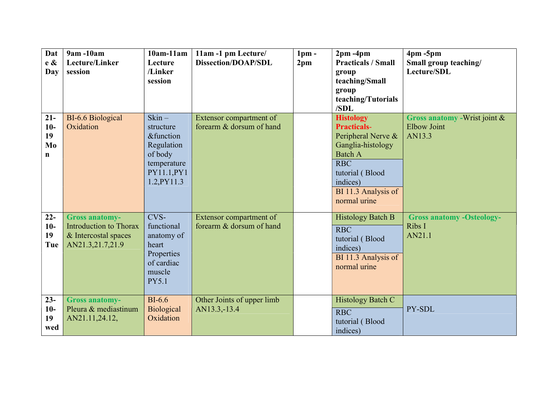| Dat<br>e &<br>Day                          | 9am -10am<br>Lecture/Linker<br>session                                                             | $10am-11am$<br>Lecture<br>/Linker<br>session                                                                                     | 11am -1 pm Lecture<br><b>Dissection/DOAP/SDL</b>    | 1 <sub>pm</sub><br>2 <sub>pm</sub> | $2pm - 4pm$<br><b>Practicals / Small</b><br>group<br>teaching/Small<br>group<br>teaching/Tutorials<br>/SDL                                                                              | $4pm - 5pm$<br>Small group teaching/<br>Lecture/SDL           |
|--------------------------------------------|----------------------------------------------------------------------------------------------------|----------------------------------------------------------------------------------------------------------------------------------|-----------------------------------------------------|------------------------------------|-----------------------------------------------------------------------------------------------------------------------------------------------------------------------------------------|---------------------------------------------------------------|
| $21 -$<br>$10-$<br>19<br>Mo<br>$\mathbf n$ | BI-6.6 Biological<br>Oxidation                                                                     | $\operatorname{Skin}$<br>structure<br><b>&amp;function</b><br>Regulation<br>of body<br>temperature<br>PY11.1, PY1<br>1.2, PY11.3 | Extensor compartment of<br>forearm & dorsum of hand |                                    | <b>Histology</b><br><b>Practicals-</b><br>Peripheral Nerve &<br>Ganglia-histology<br><b>Batch A</b><br><b>RBC</b><br>tutorial (Blood<br>indices)<br>BI 11.3 Analysis of<br>normal urine | Gross anatomy - Wrist joint &<br><b>Elbow Joint</b><br>AN13.3 |
| $22 -$<br>$10-$<br>19<br>Tue               | <b>Gross anatomy-</b><br><b>Introduction to Thorax</b><br>& Intercostal spaces<br>AN21.3,21.7,21.9 | CVS-<br>functional<br>anatomy of<br>heart<br>Properties<br>of cardiac<br>muscle<br><b>PY5.1</b>                                  | Extensor compartment of<br>forearm & dorsum of hand |                                    | <b>Histology Batch B</b><br><b>RBC</b><br>tutorial (Blood<br>indices)<br>BI 11.3 Analysis of<br>normal urine                                                                            | <b>Gross anatomy -Osteology-</b><br>Ribs I<br>AN21.1          |
| $23 -$<br>$10-$<br>19<br>wed               | <b>Gross anatomy-</b><br>Pleura & mediastinum<br>AN21.11,24.12,                                    | $BI-6.6$<br><b>Biological</b><br>Oxidation                                                                                       | Other Joints of upper limb<br>AN13.3,-13.4          |                                    | <b>Histology Batch C</b><br><b>RBC</b><br>tutorial (Blood<br>indices)                                                                                                                   | PY-SDL                                                        |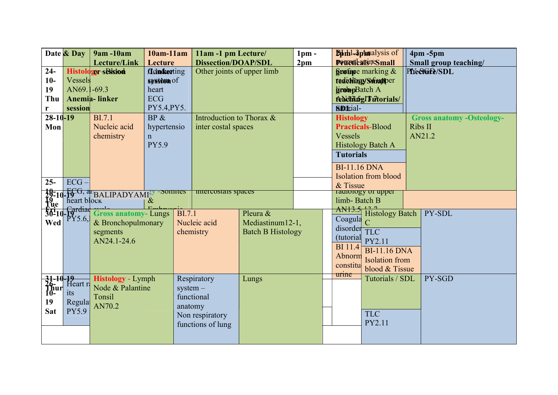|              | Date & Day                                       | 9am -10am                                                                                                                                                                                                                                                                                      | $10am-11am$              |               | 11am -1 pm Lecture/        |                          | 1 <sub>pm</sub> |                      |                     | <b>Bothl-4pmalysis of</b>   | $4pm - 5pm$                      |
|--------------|--------------------------------------------------|------------------------------------------------------------------------------------------------------------------------------------------------------------------------------------------------------------------------------------------------------------------------------------------------|--------------------------|---------------|----------------------------|--------------------------|-----------------|----------------------|---------------------|-----------------------------|----------------------------------|
|              |                                                  | Lecture/Link                                                                                                                                                                                                                                                                                   | Lecture                  |               | <b>Dissection/DOAP/SDL</b> |                          | 2 <sub>pm</sub> |                      |                     | <b>PoucticalsiteSmall</b>   | Small group teaching/            |
| $24-$        |                                                  | Histology-sBlsiod                                                                                                                                                                                                                                                                              | <i><b>Conducting</b></i> |               | Other joints of upper limb |                          |                 |                      |                     | Spotose marking &           | PIYe&Gre/SDL                     |
| $10-$        | Vessels                                          |                                                                                                                                                                                                                                                                                                | syssion of               |               |                            |                          |                 |                      |                     | tedichingy Smapper          |                                  |
| 19           | AN69.1-69.3                                      |                                                                                                                                                                                                                                                                                                | heart                    |               |                            |                          |                 |                      | <b>groupBatch A</b> |                             |                                  |
| Thu          |                                                  | <b>Anemia-linker</b>                                                                                                                                                                                                                                                                           | <b>ECG</b>               |               |                            |                          |                 | feldfüng! Futorials/ |                     |                             |                                  |
| r            | session                                          |                                                                                                                                                                                                                                                                                                | PY5.4, PY5.              |               |                            |                          |                 |                      | <b>Siddrial-</b>    |                             |                                  |
| $28-10-19$   |                                                  | <b>BI.7.1</b>                                                                                                                                                                                                                                                                                  | BP &                     |               | Introduction to Thorax &   |                          |                 |                      | <b>Histology</b>    |                             | <b>Gross anatomy -Osteology-</b> |
| Mon          |                                                  | Nucleic acid                                                                                                                                                                                                                                                                                   | hypertensio              |               | inter costal spaces        |                          |                 |                      |                     | <b>Practicals-Blood</b>     | Ribs II                          |
|              |                                                  | chemistry                                                                                                                                                                                                                                                                                      | $\mathsf{n}$             |               |                            |                          |                 |                      | Vessels             |                             | AN21.2                           |
|              |                                                  |                                                                                                                                                                                                                                                                                                | <b>PY5.9</b>             |               |                            |                          |                 |                      |                     | <b>Histology Batch A</b>    |                                  |
|              |                                                  |                                                                                                                                                                                                                                                                                                |                          |               |                            |                          |                 |                      | <b>Tutorials</b>    |                             |                                  |
|              |                                                  |                                                                                                                                                                                                                                                                                                |                          |               |                            |                          |                 |                      |                     |                             |                                  |
|              |                                                  |                                                                                                                                                                                                                                                                                                |                          |               |                            |                          |                 |                      | <b>BI-11.16 DNA</b> |                             |                                  |
| $25 -$       | $ECG -$                                          |                                                                                                                                                                                                                                                                                                |                          |               |                            |                          |                 |                      |                     | <b>Isolation from blood</b> |                                  |
|              |                                                  |                                                                                                                                                                                                                                                                                                | -Somites                 |               | intercostais spaces        |                          |                 |                      | & Tissue            | radiology of upper          |                                  |
|              |                                                  |                                                                                                                                                                                                                                                                                                |                          |               |                            |                          |                 |                      | limb-Batch B        |                             |                                  |
|              |                                                  |                                                                                                                                                                                                                                                                                                |                          |               |                            |                          |                 |                      | AN13.5              |                             |                                  |
|              |                                                  | $\frac{10-10}{19}$ = $\frac{10}{10}$ = $\frac{10}{10}$ = $\frac{10}{10}$ = $\frac{10}{10}$ = $\frac{10}{10}$ = $\frac{10}{10}$ = $\frac{10}{10}$ = $\frac{10}{10}$ = $\frac{10}{10}$ = $\frac{10}{10}$ = $\frac{10}{10}$ = $\frac{10}{10}$ = $\frac{10}{10}$ = $\frac{10}{10}$ = $\frac{10}{1$ |                          | <b>BI.7.1</b> |                            | Pleura &                 |                 |                      |                     | <b>Histology Batch</b>      | PY-SDL                           |
| <b>Wed</b>   |                                                  | & Bronchopulmonary                                                                                                                                                                                                                                                                             |                          |               | Nucleic acid               | Mediastinum12-1,         |                 |                      | Coagula<br>disorder |                             |                                  |
|              |                                                  | segments                                                                                                                                                                                                                                                                                       |                          |               | chemistry                  | <b>Batch B Histology</b> |                 |                      |                     | TLC                         |                                  |
|              |                                                  | AN24.1-24.6                                                                                                                                                                                                                                                                                    |                          |               |                            |                          |                 |                      | (tutorial           | PY2.11                      |                                  |
|              |                                                  |                                                                                                                                                                                                                                                                                                |                          |               |                            |                          |                 |                      | <b>BI</b> 11.4      | <b>BI-11.16 DNA</b>         |                                  |
|              |                                                  |                                                                                                                                                                                                                                                                                                |                          |               |                            |                          |                 |                      | Abnorm              | <b>Isolation</b> from       |                                  |
|              |                                                  |                                                                                                                                                                                                                                                                                                |                          |               |                            |                          |                 |                      | constitu            | blood & Tissue              |                                  |
|              | $\frac{1}{6}$ -10-19<br>$\frac{1}{6}$ - Heart re | <b>Histology</b> - Lymph                                                                                                                                                                                                                                                                       |                          |               | Respiratory                | Lungs                    |                 |                      | urine               | Tutorials / SDL             | PY-SGD                           |
|              |                                                  | Node & Palantine                                                                                                                                                                                                                                                                               |                          | $system -$    |                            |                          |                 |                      |                     |                             |                                  |
| 1 hur<br>10- | <i>its</i>                                       | Tonsil                                                                                                                                                                                                                                                                                         |                          |               | functional                 |                          |                 |                      |                     |                             |                                  |
| 19           | Regula                                           | AN70.2                                                                                                                                                                                                                                                                                         |                          | anatomy       |                            |                          |                 |                      |                     |                             |                                  |
| <b>Sat</b>   | PY5.9                                            |                                                                                                                                                                                                                                                                                                |                          |               | Non respiratory            |                          |                 |                      |                     | <b>TLC</b>                  |                                  |
|              |                                                  |                                                                                                                                                                                                                                                                                                |                          |               | functions of lung          |                          |                 |                      |                     | PY2.11                      |                                  |
|              |                                                  |                                                                                                                                                                                                                                                                                                |                          |               |                            |                          |                 |                      |                     |                             |                                  |
|              |                                                  |                                                                                                                                                                                                                                                                                                |                          |               |                            |                          |                 |                      |                     |                             |                                  |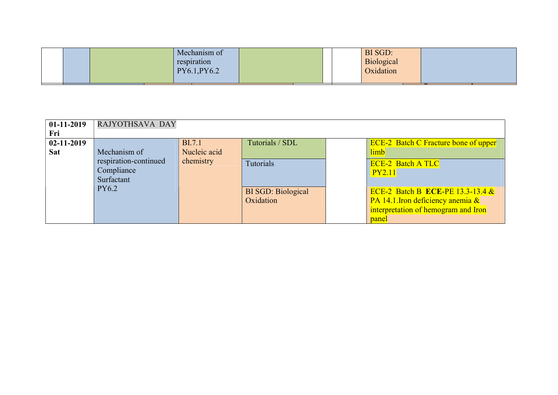|  | Mechanism of<br>respiration<br>PY6.1, PY6.2 |  |  | BI SGD:<br>Biological<br>Oxidation |  |  |
|--|---------------------------------------------|--|--|------------------------------------|--|--|
|  |                                             |  |  |                                    |  |  |

| $01-11-2019$     | RAJYOTHSAVA DAY                                   |               |                                        |                                                                                                                             |
|------------------|---------------------------------------------------|---------------|----------------------------------------|-----------------------------------------------------------------------------------------------------------------------------|
| Fri              |                                                   |               |                                        |                                                                                                                             |
| $02 - 11 - 2019$ |                                                   | <b>BI.7.1</b> | Tutorials / SDL                        | <b>ECE-2</b> Batch C Fracture bone of upper                                                                                 |
| <b>Sat</b>       | Mechanism of                                      | Nucleic acid  |                                        | limb                                                                                                                        |
|                  | respiration-continued<br>Compliance<br>Surfactant | chemistry     | Tutorials                              | <b>ECE-2 Batch A TLC</b><br><b>PY2.11</b>                                                                                   |
|                  | <b>PY6.2</b>                                      |               | <b>BI SGD: Biological</b><br>Oxidation | ECE-2 Batch B ECE-PE 13.3-13.4 $\&$<br>PA 14.1. Iron deficiency anemia $\&$<br>interpretation of hemogram and Iron<br>panel |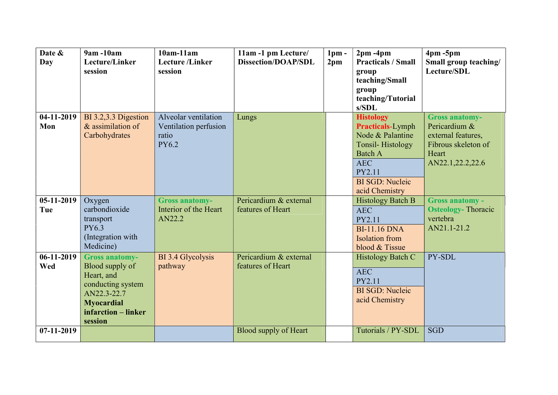| Date &<br><b>Day</b> | $9am - 10am$<br>Lecture/Linker<br>session                                                                                                         | $10am-11am$<br><b>Lecture</b> /Linker<br>session                       | 11am -1 pm Lecture/<br><b>Dissection/DOAP/SDL</b> | 1 <sub>pm</sub><br>2 <sub>pm</sub> | $2pm - 4pm$<br><b>Practicals / Small</b><br>group<br>teaching/Small<br>group<br>teaching/Tutorial                                                                                         | $4pm - 5pm$<br>Small group teaching/<br>Lecture/SDL                                                              |
|----------------------|---------------------------------------------------------------------------------------------------------------------------------------------------|------------------------------------------------------------------------|---------------------------------------------------|------------------------------------|-------------------------------------------------------------------------------------------------------------------------------------------------------------------------------------------|------------------------------------------------------------------------------------------------------------------|
| $04-11-2019$<br>Mon  | BI 3.2,3.3 Digestion<br>$&$ assimilation of<br>Carbohydrates                                                                                      | Alveolar ventilation<br>Ventilation perfusion<br>ratio<br><b>PY6.2</b> | Lungs                                             |                                    | s/SDL<br><b>Histology</b><br><b>Practicals-Lymph</b><br>Node & Palantine<br><b>Tonsil-Histology</b><br><b>Batch A</b><br><b>AEC</b><br>PY2.11<br><b>BI SGD: Nucleic</b><br>acid Chemistry | <b>Gross anatomy-</b><br>Pericardium &<br>external features,<br>Fibrous skeleton of<br>Heart<br>AN22.1,22.2,22.6 |
| $05-11-2019$<br>Tue  | Oxygen<br>carbondioxide<br>transport<br>PY6.3<br>(Integration with<br>Medicine)                                                                   | <b>Gross anatomy-</b><br>Interior of the Heart<br>AN22.2               | Pericardium & external<br>features of Heart       |                                    | <b>Histology Batch B</b><br><b>AEC</b><br>PY2.11<br><b>BI-11.16 DNA</b><br><b>Isolation</b> from<br>blood & Tissue                                                                        | <b>Gross anatomy -</b><br><b>Osteology-Thoracic</b><br>vertebra<br>AN21.1-21.2                                   |
| $06-11-2019$<br>Wed  | <b>Gross anatomy-</b><br>Blood supply of<br>Heart, and<br>conducting system<br>AN22.3-22.7<br><b>Myocardial</b><br>infarction – linker<br>session | BI 3.4 Glycolysis<br>pathway                                           | Pericardium & external<br>features of Heart       |                                    | Histology Batch C<br><b>AEC</b><br>PY2.11<br><b>BI SGD: Nucleic</b><br>acid Chemistry                                                                                                     | PY-SDL                                                                                                           |
| 07-11-2019           |                                                                                                                                                   |                                                                        | <b>Blood supply of Heart</b>                      |                                    | Tutorials / PY-SDL                                                                                                                                                                        | <b>SGD</b>                                                                                                       |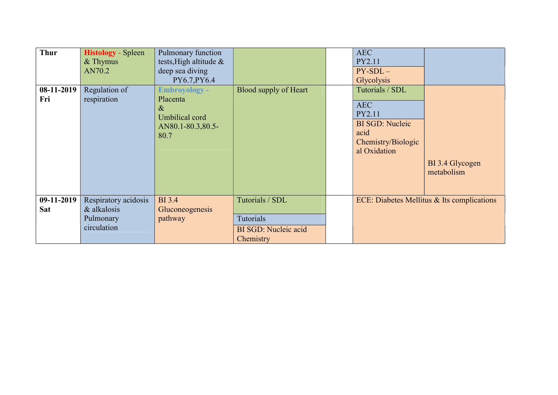| <b>Thur</b><br>08-11-2019<br>Fri | <b>Histology</b> - Spleen<br>$&$ Thymus<br>AN70.2<br>Regulation of<br>respiration | Pulmonary function<br>tests, High altitude &<br>deep sea diving<br>PY6.7, PY6.4<br><b>Embroyology -</b><br>Placenta<br>$\&$<br>Umbilical cord<br>AN80.1-80.3,80.5-<br>80.7 | Blood supply of Heart                                 | <b>AEC</b><br>PY2.11<br>$PY-SDL-$<br>Glycolysis<br>Tutorials / SDL<br><b>AEC</b><br>PY2.11<br><b>BI SGD: Nucleic</b><br>acid<br>Chemistry/Biologic<br>al Oxidation | BI 3.4 Glycogen<br>metabolism              |
|----------------------------------|-----------------------------------------------------------------------------------|----------------------------------------------------------------------------------------------------------------------------------------------------------------------------|-------------------------------------------------------|--------------------------------------------------------------------------------------------------------------------------------------------------------------------|--------------------------------------------|
| 09-11-2019<br><b>Sat</b>         | Respiratory acidosis<br>& alkalosis                                               | <b>BI</b> 3.4<br>Gluconeogenesis                                                                                                                                           | Tutorials / SDL                                       |                                                                                                                                                                    | ECE: Diabetes Mellitus & Its complications |
|                                  | Pulmonary<br>circulation                                                          | pathway                                                                                                                                                                    | Tutorials<br><b>BI SGD: Nucleic acid</b><br>Chemistry |                                                                                                                                                                    |                                            |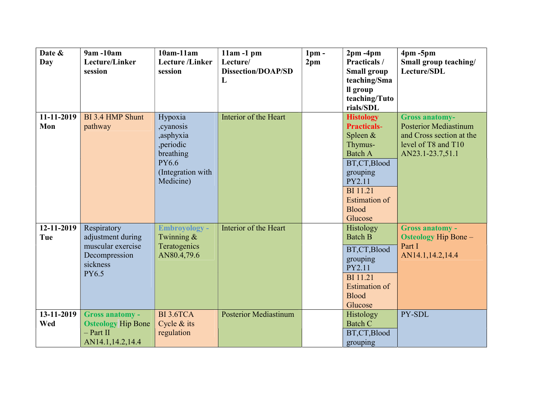| Date &            | 9am -10am                 | $10am-11am$             | $11am - 1pm$                 | 1 <sub>pm</sub> | $2pm - 4pm$                            | $4pm - 5pm$                                           |
|-------------------|---------------------------|-------------------------|------------------------------|-----------------|----------------------------------------|-------------------------------------------------------|
| Day               | Lecture/Linker            | <b>Lecture</b> /Linker  | Lecture/                     | 2 <sub>pm</sub> | Practicals /                           | Small group teaching/                                 |
|                   | session                   | session                 | <b>Dissection/DOAP/SD</b>    |                 | <b>Small group</b>                     | Lecture/SDL                                           |
|                   |                           |                         | L                            |                 | teaching/Sma                           |                                                       |
|                   |                           |                         |                              |                 | ll group                               |                                                       |
|                   |                           |                         |                              |                 | teaching/Tuto                          |                                                       |
|                   |                           |                         |                              |                 | rials/SDL                              |                                                       |
| 11-11-2019<br>Mon | BI 3.4 HMP Shunt          | Hypoxia                 | Interior of the Heart        |                 | <b>Histology</b><br><b>Practicals-</b> | <b>Gross anatomy-</b><br><b>Posterior Mediastinum</b> |
|                   | pathway                   | , cyanosis              |                              |                 |                                        | and Cross section at the                              |
|                   |                           | ,asphyxia               |                              |                 | Spleen &<br>Thymus-                    | level of T8 and T10                                   |
|                   |                           | , periodic<br>breathing |                              |                 | <b>Batch A</b>                         | AN23.1-23.7,51.1                                      |
|                   |                           | <b>PY6.6</b>            |                              |                 |                                        |                                                       |
|                   |                           | (Integration with       |                              |                 | BT,CT,Blood                            |                                                       |
|                   |                           | Medicine)               |                              |                 | grouping<br>PY2.11                     |                                                       |
|                   |                           |                         |                              |                 | <b>BI</b> 11.21                        |                                                       |
|                   |                           |                         |                              |                 | <b>Estimation</b> of                   |                                                       |
|                   |                           |                         |                              |                 | <b>Blood</b>                           |                                                       |
|                   |                           |                         |                              |                 | Glucose                                |                                                       |
| 12-11-2019        | Respiratory               | <b>Embroyology -</b>    | Interior of the Heart        |                 | Histology                              | <b>Gross anatomy -</b>                                |
| Tue               | adjustment during         | Twinning &              |                              |                 | <b>Batch B</b>                         | <b>Osteology Hip Bone -</b>                           |
|                   | muscular exercise         | Teratogenics            |                              |                 |                                        | Part I                                                |
|                   | Decompression             | AN80.4,79.6             |                              |                 | BT,CT,Blood                            | AN14.1,14.2,14.4                                      |
|                   | sickness                  |                         |                              |                 | grouping                               |                                                       |
|                   | PY6.5                     |                         |                              |                 | PY2.11                                 |                                                       |
|                   |                           |                         |                              |                 | <b>BI</b> 11.21                        |                                                       |
|                   |                           |                         |                              |                 | <b>Estimation</b> of                   |                                                       |
|                   |                           |                         |                              |                 | <b>Blood</b>                           |                                                       |
|                   |                           |                         |                              |                 | Glucose                                |                                                       |
| 13-11-2019        | <b>Gross anatomy -</b>    | <b>BI3.6TCA</b>         | <b>Posterior Mediastinum</b> |                 | Histology                              | PY-SDL                                                |
| Wed               | <b>Osteology Hip Bone</b> | Cycle $&$ its           |                              |                 | <b>Batch C</b>                         |                                                       |
|                   | $-$ Part II               | regulation              |                              |                 | BT,CT,Blood                            |                                                       |
|                   | AN14.1,14.2,14.4          |                         |                              |                 | grouping                               |                                                       |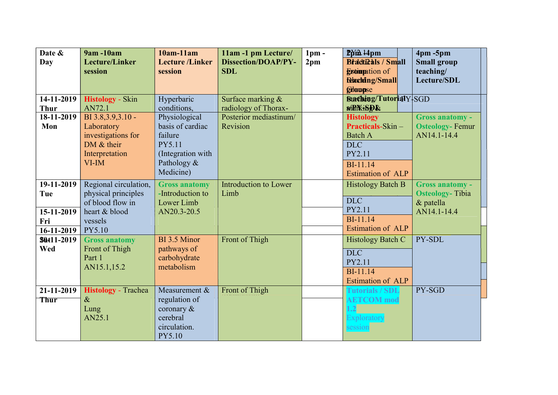| Date &            | <b>9am-10am</b>            | $10am-11am$            | 11am -1 pm Lecture/        | $1pm$ -         | $P$ $p$ $m$ $14$ $p$ $m$      | $4pm - 5pm$            |
|-------------------|----------------------------|------------------------|----------------------------|-----------------|-------------------------------|------------------------|
| Day               | <b>Lecture/Linker</b>      | <b>Lecture</b> /Linker | <b>Dissection/DOAP/PY-</b> | 2 <sub>pm</sub> | <b>Bracticals / Small</b>     | <b>Small group</b>     |
|                   | session                    | session                | <b>SDL</b>                 |                 | <b>Escondition</b> of         | teaching/              |
|                   |                            |                        |                            |                 | <b>Raching/Small</b>          | Lecture/SDL            |
|                   |                            |                        |                            |                 | <b>Gilaupse</b>               |                        |
| 14-11-2019        | <b>Histology</b> - Skin    | Hyperbaric             | Surface marking $&$        |                 | <b>Saaching/TutorialY SGD</b> |                        |
| <b>Thur</b>       | AN72.1                     | conditions,            | radiology of Thorax-       |                 | <b>SOLE THE SET OF STAR</b>   |                        |
| $18-11-2019$      | BI 3.8, 3.9, 3.10 -        | Physiological          | Posterior mediastinum/     |                 | <b>Histology</b>              | Gross anatomy -        |
| Mon               | Laboratory                 | basis of cardiac       | Revision                   |                 | <b>Practicals-Skin -</b>      | <b>Osteology-Femur</b> |
|                   | investigations for         | failure                |                            |                 | <b>Batch A</b>                | AN14.1-14.4            |
|                   | DM $&$ their               | PY5.11                 |                            |                 | <b>DLC</b>                    |                        |
|                   | Interpretation             | (Integration with      |                            |                 | PY2.11                        |                        |
|                   | $VI$ -IM                   | Pathology &            |                            |                 | <b>BI-11.14</b>               |                        |
|                   |                            | Medicine)              |                            |                 | Estimation of ALP             |                        |
| 19-11-2019        | Regional circulation,      | <b>Gross anatomy</b>   | Introduction to Lower      |                 | <b>Histology Batch B</b>      | <b>Gross anatomy -</b> |
| Tue               | physical principles        | -Introduction to       | Limb                       |                 |                               | <b>Osteology-Tibia</b> |
|                   | of blood flow in           | Lower Limb             |                            |                 | <b>DLC</b>                    | & patella              |
| 15-11-2019        | heart & blood              | AN20.3-20.5            |                            |                 | PY2.11                        | AN14.1-14.4            |
| Fri               | vessels                    |                        |                            |                 | <b>BI-11.14</b>               |                        |
| $16-11-2019$      | PY5.10                     |                        |                            |                 | <b>Estimation of ALP</b>      |                        |
| <b>Sût11-2019</b> | <b>Gross anatomy</b>       | BI 3.5 Minor           | Front of Thigh             |                 | Histology Batch C             | PY-SDL                 |
| Wed               | Front of Thigh             | pathways of            |                            |                 | <b>DLC</b>                    |                        |
|                   | Part 1                     | carbohydrate           |                            |                 | PY2.11                        |                        |
|                   | AN15.1,15.2                | metabolism             |                            |                 | <b>BI-11.14</b>               |                        |
|                   |                            |                        |                            |                 | <b>Estimation of ALP</b>      |                        |
| 21-11-2019        | <b>Histology</b> - Trachea | Measurement &          | Front of Thigh             |                 | <b>Tutorials / SDL</b>        | PY-SGD                 |
| <b>Thur</b>       | $\&$                       | regulation of          |                            |                 | <b>AETCOM</b> mod             |                        |
|                   | Lung                       | coronary $\&$          |                            |                 | 1.2                           |                        |
|                   | AN25.1                     | cerebral               |                            |                 | Exploratory                   |                        |
|                   |                            | circulation.           |                            |                 | session                       |                        |
|                   |                            | PY5.10                 |                            |                 |                               |                        |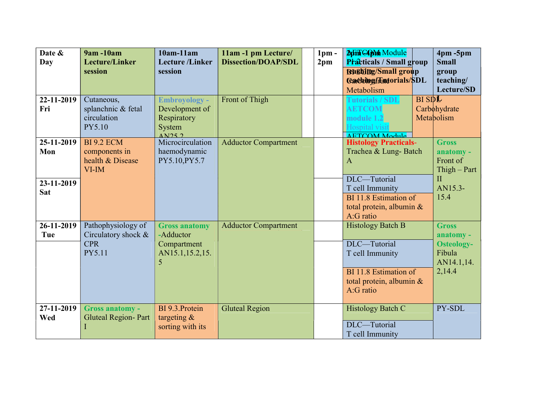| Date &     | <b>9am-10am</b>                   | $10am-11am$                | 11am -1 pm Lecture/         | $1pm -$         | <b>Apin CAPM Module</b>                  |            | $4pm - 5pm$                                  |
|------------|-----------------------------------|----------------------------|-----------------------------|-----------------|------------------------------------------|------------|----------------------------------------------|
| Day        | <b>Lecture/Linker</b>             | <b>Lecture</b> /Linker     | <b>Dissection/DOAP/SDL</b>  | 2 <sub>pm</sub> | <b>Practicals / Small group</b>          |            | <b>Small</b>                                 |
|            | session                           | session                    |                             |                 | <b>Bashing/Small group</b>               |            | group                                        |
|            |                                   |                            |                             |                 | <b>Cadbing/Tautorials/SDL</b>            |            | teaching/                                    |
|            |                                   |                            |                             |                 | Metabolism                               |            | Lecture/SD                                   |
| 22-11-2019 | Cutaneous,                        | <b>Embroyology -</b>       | Front of Thigh              |                 | <b>Tutorials / SDL</b>                   | $BI$ $SDE$ |                                              |
| Fri        | splanchnic & fetal                | Development of             |                             |                 | <b>AETCOM</b>                            |            | Carbohydrate                                 |
|            | circulation                       | Respiratory                |                             |                 | module 1.2                               |            | Metabolism                                   |
|            | PY5.10                            | System                     |                             |                 | Hospital visit                           |            |                                              |
|            |                                   | $\overline{\text{AN}}$ 252 |                             |                 | <b>AETCOM Module</b>                     |            |                                              |
| 25-11-2019 | <b>BI 9.2 ECM</b>                 | Microcirculation           | <b>Adductor Compartment</b> |                 | <b>Histology Practicals-</b>             |            | <b>Gross</b>                                 |
| Mon        | components in<br>health & Disease | haemodynamic               |                             |                 | Trachea & Lung-Batch                     |            | anatomy -                                    |
|            | $VI$ -IM                          | PY5.10, PY5.7              |                             |                 | A                                        |            | Front of                                     |
|            |                                   |                            |                             |                 | DLC-Tutorial                             |            | $\text{Thigh} - \text{Part}$<br>$\mathbf{I}$ |
| 23-11-2019 |                                   |                            |                             |                 |                                          |            | AN15.3-                                      |
| <b>Sat</b> |                                   |                            |                             |                 | T cell Immunity<br>BI 11.8 Estimation of |            | 15.4                                         |
|            |                                   |                            |                             |                 |                                          |            |                                              |
|            |                                   |                            |                             |                 | total protein, albumin $\&$<br>A:G ratio |            |                                              |
| 26-11-2019 | Pathophysiology of                | <b>Gross anatomy</b>       | <b>Adductor Compartment</b> |                 | <b>Histology Batch B</b>                 |            | <b>Gross</b>                                 |
| Tue        | Circulatory shock &               | -Adductor                  |                             |                 |                                          |            |                                              |
|            | <b>CPR</b>                        | Compartment                |                             |                 | DLC-Tutorial                             |            | anatomy -<br><b>Osteology-</b>               |
|            | PY5.11                            | AN15.1,15.2,15.            |                             |                 | T cell Immunity                          |            | Fibula                                       |
|            |                                   | 5                          |                             |                 |                                          |            | AN14.1,14.                                   |
|            |                                   |                            |                             |                 | BI 11.8 Estimation of                    |            | 2,14.4                                       |
|            |                                   |                            |                             |                 | total protein, albumin &                 |            |                                              |
|            |                                   |                            |                             |                 | A:G ratio                                |            |                                              |
|            |                                   |                            |                             |                 |                                          |            |                                              |
| 27-11-2019 | Gross anatomy -                   | BI 9.3. Protein            | <b>Gluteal Region</b>       |                 | Histology Batch C                        |            | PY-SDL                                       |
| Wed        | <b>Gluteal Region-Part</b>        | targeting $\&$             |                             |                 |                                          |            |                                              |
|            | I                                 | sorting with its           |                             |                 | DLC-Tutorial                             |            |                                              |
|            |                                   |                            |                             |                 | T cell Immunity                          |            |                                              |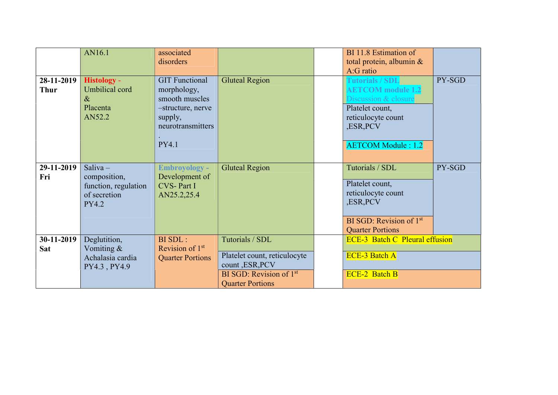|                           | AN16.1                                                                             | associated<br>disorders                                                                                              |                                                                                                                             | BI 11.8 Estimation of<br>total protein, albumin &<br>A:G ratio                                                                                         |        |
|---------------------------|------------------------------------------------------------------------------------|----------------------------------------------------------------------------------------------------------------------|-----------------------------------------------------------------------------------------------------------------------------|--------------------------------------------------------------------------------------------------------------------------------------------------------|--------|
| 28-11-2019<br><b>Thur</b> | <b>Histology -</b><br>Umbilical cord<br>$\&$<br>Placenta<br>AN52.2                 | <b>GIT Functional</b><br>morphology,<br>smooth muscles<br>-structure, nerve<br>supply,<br>neurotransmitters<br>PY4.1 | <b>Gluteal Region</b>                                                                                                       | Tutorials / SDL<br><b>AETCOM</b> module 1.2<br>Discussion & closure<br>Platelet count,<br>reticulocyte count<br>,ESR, PCV<br><b>AETCOM Module: 1.2</b> | PY-SGD |
| 29-11-2019<br>Fri         | Saliva $-$<br>composition,<br>function, regulation<br>of secretion<br><b>PY4.2</b> | <b>Embroyology -</b><br>Development of<br><b>CVS-Part I</b><br>AN25.2,25.4                                           | <b>Gluteal Region</b>                                                                                                       | Tutorials / SDL<br>Platelet count,<br>reticulocyte count<br>,ESR, PCV<br>BI SGD: Revision of $1st$<br><b>Quarter Portions</b>                          | PY-SGD |
| 30-11-2019<br><b>Sat</b>  | Deglutition,<br>Vomiting &<br>Achalasia cardia<br>PY4.3, PY4.9                     | BI SDL:<br>Revision of $1st$<br><b>Quarter Portions</b>                                                              | Tutorials / SDL<br>Platelet count, reticulocyte<br>count , ESR, PCV<br>BI SGD: Revision of $1st$<br><b>Quarter Portions</b> | <b>ECE-3 Batch C Pleural effusion</b><br><b>ECE-3 Batch A</b><br><b>ECE-2 Batch B</b>                                                                  |        |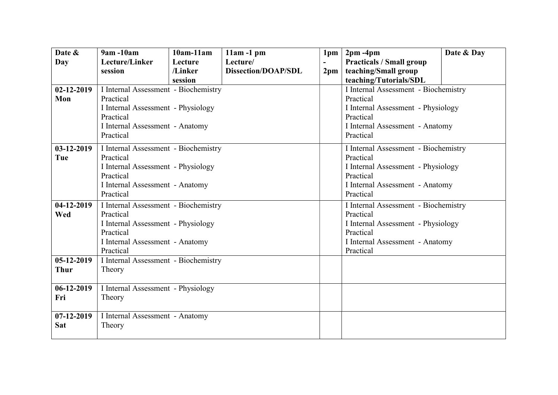| Date &           | 9am -10am                            | $10am-11am$ | $11am - 1pm$               | 1pm           | $2pm - 4pm$                          | Date & Day |  |  |  |
|------------------|--------------------------------------|-------------|----------------------------|---------------|--------------------------------------|------------|--|--|--|
| Day              | Lecture/Linker                       | Lecture     | Lecture/                   |               | <b>Practicals / Small group</b>      |            |  |  |  |
|                  | session                              | /Linker     | <b>Dissection/DOAP/SDL</b> | $2 \text{pm}$ | teaching/Small group                 |            |  |  |  |
|                  |                                      | session     |                            |               | teaching/Tutorials/SDL               |            |  |  |  |
| $02 - 12 - 2019$ | I Internal Assessment - Biochemistry |             |                            |               | I Internal Assessment - Biochemistry |            |  |  |  |
| Mon              | Practical                            |             |                            |               | Practical                            |            |  |  |  |
|                  | I Internal Assessment - Physiology   |             |                            |               | I Internal Assessment - Physiology   |            |  |  |  |
|                  | Practical                            |             |                            |               | Practical                            |            |  |  |  |
|                  | I Internal Assessment - Anatomy      |             |                            |               | I Internal Assessment - Anatomy      |            |  |  |  |
|                  | Practical                            |             |                            |               | Practical                            |            |  |  |  |
| 03-12-2019       | I Internal Assessment - Biochemistry |             |                            |               | I Internal Assessment - Biochemistry |            |  |  |  |
| Tue              | Practical                            |             |                            |               | Practical                            |            |  |  |  |
|                  | I Internal Assessment - Physiology   |             |                            |               | I Internal Assessment - Physiology   |            |  |  |  |
|                  | Practical                            |             |                            |               | Practical                            |            |  |  |  |
|                  | I Internal Assessment - Anatomy      |             |                            |               | I Internal Assessment - Anatomy      |            |  |  |  |
|                  | Practical                            |             |                            |               | Practical                            |            |  |  |  |
| $04-12-2019$     | I Internal Assessment - Biochemistry |             |                            |               | I Internal Assessment - Biochemistry |            |  |  |  |
| Wed              | Practical                            |             |                            |               | Practical                            |            |  |  |  |
|                  | I Internal Assessment - Physiology   |             |                            |               | I Internal Assessment - Physiology   |            |  |  |  |
|                  | Practical                            |             |                            |               | Practical                            |            |  |  |  |
|                  | I Internal Assessment - Anatomy      |             |                            |               | I Internal Assessment - Anatomy      |            |  |  |  |
|                  | Practical                            |             |                            |               | Practical                            |            |  |  |  |
| $05-12-2019$     | I Internal Assessment - Biochemistry |             |                            |               |                                      |            |  |  |  |
| <b>Thur</b>      | Theory                               |             |                            |               |                                      |            |  |  |  |
|                  |                                      |             |                            |               |                                      |            |  |  |  |
| $06-12-2019$     | I Internal Assessment - Physiology   |             |                            |               |                                      |            |  |  |  |
| Fri              | Theory                               |             |                            |               |                                      |            |  |  |  |
|                  |                                      |             |                            |               |                                      |            |  |  |  |
| $07-12-2019$     | I Internal Assessment - Anatomy      |             |                            |               |                                      |            |  |  |  |
| <b>Sat</b>       | Theory                               |             |                            |               |                                      |            |  |  |  |
|                  |                                      |             |                            |               |                                      |            |  |  |  |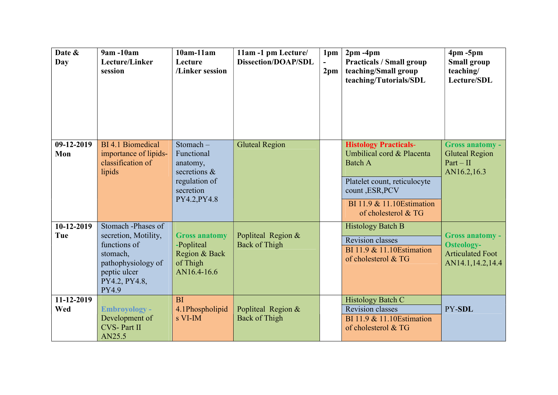| Date &<br>Day     | 9am -10am<br>Lecture/Linker<br>session                                                                                                        | $10am-11am$<br>Lecture<br>/Linker session                                                        | 11am -1 pm Lecture/<br><b>Dissection/DOAP/SDL</b> | 1pm<br>2 <sub>pm</sub> | $2pm - 4pm$<br><b>Practicals / Small group</b><br>teaching/Small group<br>teaching/Tutorials/SDL                                                                                    | $4pm - 5pm$<br><b>Small group</b><br>teaching/<br>Lecture/SDL                              |
|-------------------|-----------------------------------------------------------------------------------------------------------------------------------------------|--------------------------------------------------------------------------------------------------|---------------------------------------------------|------------------------|-------------------------------------------------------------------------------------------------------------------------------------------------------------------------------------|--------------------------------------------------------------------------------------------|
| 09-12-2019<br>Mon | BI 4.1 Biomedical<br>importance of lipids-<br>classification of<br>lipids                                                                     | Stomach-<br>Functional<br>anatomy,<br>secretions &<br>regulation of<br>secretion<br>PY4.2, PY4.8 | <b>Gluteal Region</b>                             |                        | <b>Histology Practicals-</b><br>Umbilical cord & Placenta<br><b>Batch A</b><br>Platelet count, reticulocyte<br>count, ESR, PCV<br>BI 11.9 & 11.10 Estimation<br>of cholesterol & TG | <b>Gross anatomy -</b><br><b>Gluteal Region</b><br>$Part - II$<br>AN16.2,16.3              |
| 10-12-2019<br>Tue | Stomach -Phases of<br>secretion, Motility,<br>functions of<br>stomach,<br>pathophysiology of<br>peptic ulcer<br>PY4.2, PY4.8,<br><b>PY4.9</b> | <b>Gross anatomy</b><br>-Popliteal<br>Region & Back<br>of Thigh<br>AN16.4-16.6                   | Popliteal Region &<br><b>Back of Thigh</b>        |                        | <b>Histology Batch B</b><br><b>Revision classes</b><br>BI 11.9 & 11.10 Estimation<br>of cholesterol & TG                                                                            | <b>Gross anatomy -</b><br><b>Osteology-</b><br><b>Articulated Foot</b><br>AN14.1,14.2,14.4 |
| 11-12-2019<br>Wed | <b>Embroyology -</b><br>Development of<br><b>CVS-Part II</b><br>AN25.5                                                                        | <b>BI</b><br>4.1Phospholipid<br>s VI-IM                                                          | Popliteal Region &<br><b>Back of Thigh</b>        |                        | <b>Histology Batch C</b><br><b>Revision classes</b><br>BI 11.9 & 11.10 Estimation<br>of cholesterol & TG                                                                            | PY-SDL                                                                                     |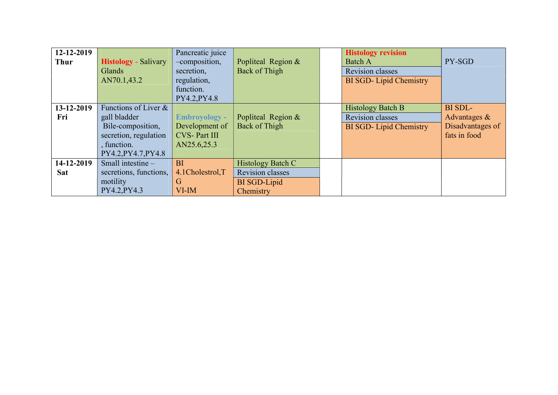| 12-12-2019<br><b>Thur</b> | <b>Histology</b> - Salivary<br>Glands<br>AN70.1,43.2                                                                     | Pancreatic juice<br>-composition,<br>secretion,<br>regulation,<br>function.<br>PY4.2, PY4.8 | Popliteal Region &<br>Back of Thigh                                              | <b>Histology revision</b><br><b>Batch A</b><br>Revision classes<br><b>BI SGD-Lipid Chemistry</b> | PY-SGD                                                         |
|---------------------------|--------------------------------------------------------------------------------------------------------------------------|---------------------------------------------------------------------------------------------|----------------------------------------------------------------------------------|--------------------------------------------------------------------------------------------------|----------------------------------------------------------------|
| 13-12-2019<br>Fri         | Functions of Liver &<br>gall bladder<br>Bile-composition,<br>secretion, regulation<br>, function.<br>PY4.2, PY4.7, PY4.8 | <b>Embroyology -</b><br>Development of<br><b>CVS-Part III</b><br>AN25.6,25.3                | Popliteal Region &<br>Back of Thigh                                              | <b>Histology Batch B</b><br><b>Revision classes</b><br><b>BI SGD-Lipid Chemistry</b>             | BI SDL-<br>Advantages $\&$<br>Disadvantages of<br>fats in food |
| 14-12-2019<br><b>Sat</b>  | Small intestine -<br>secretions, functions,<br>motility<br>PY4.2, PY4.3                                                  | BI<br>4.1Cholestrol,T<br>G<br>$VI$ -IM                                                      | <b>Histology Batch C</b><br><b>Revision classes</b><br>BI SGD-Lipid<br>Chemistry |                                                                                                  |                                                                |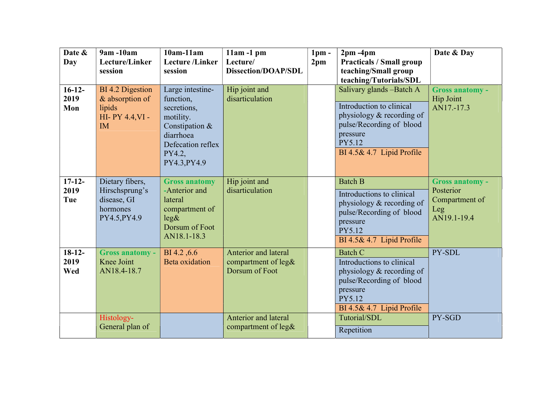| Date &<br>Day           | 9am -10am<br>Lecture/Linker<br>session                                        | $10am-11am$<br><b>Lecture</b> /Linker<br>session                                                                                        | $11am - 1pm$<br>Lecture/<br><b>Dissection/DOAP/SDL</b>               | $1pm$ -<br>2 <sub>pm</sub> | $2pm - 4pm$<br><b>Practicals / Small group</b><br>teaching/Small group<br>teaching/Tutorials/SDL                                                                 | Date & Day                                                                  |
|-------------------------|-------------------------------------------------------------------------------|-----------------------------------------------------------------------------------------------------------------------------------------|----------------------------------------------------------------------|----------------------------|------------------------------------------------------------------------------------------------------------------------------------------------------------------|-----------------------------------------------------------------------------|
| $16-12-$<br>2019<br>Mon | BI 4.2 Digestion<br>& absorption of<br>lipids<br>HI-PY 4.4, VI -<br><b>IM</b> | Large intestine-<br>function,<br>secretions,<br>motility.<br>Constipation &<br>diarrhoea<br>Defecation reflex<br>PY4.2,<br>PY4.3, PY4.9 | Hip joint and<br>disarticulation                                     |                            | Salivary glands -Batch A<br>Introduction to clinical<br>physiology & recording of<br>pulse/Recording of blood<br>pressure<br>PY5.12<br>BI 4.5& 4.7 Lipid Profile | <b>Gross anatomy -</b><br>Hip Joint<br>AN17.-17.3                           |
| $17-12-$<br>2019<br>Tue | Dietary fibers,<br>Hirschsprung's<br>disease, GI<br>hormones<br>PY4.5, PY4.9  | <b>Gross anatomy</b><br>-Anterior and<br>lateral<br>compartment of<br>leg&<br>Dorsum of Foot<br>AN18.1-18.3                             | Hip joint and<br>disarticulation                                     |                            | <b>Batch B</b><br>Introductions to clinical<br>physiology & recording of<br>pulse/Recording of blood<br>pressure<br>PY5.12<br>BI 4.5& 4.7 Lipid Profile          | <b>Gross anatomy -</b><br>Posterior<br>Compartment of<br>Leg<br>AN19.1-19.4 |
| $18-12-$<br>2019<br>Wed | Gross anatomy -<br>Knee Joint<br>AN18.4-18.7                                  | BI 4.2, 6.6<br><b>Beta</b> oxidation                                                                                                    | <b>Anterior and lateral</b><br>compartment of leg&<br>Dorsum of Foot |                            | <b>Batch C</b><br>Introductions to clinical<br>physiology & recording of<br>pulse/Recording of blood<br>pressure<br>PY5.12<br>BI 4.5& 4.7 Lipid Profile          | PY-SDL                                                                      |
|                         | Histology-<br>General plan of                                                 |                                                                                                                                         | Anterior and lateral<br>compartment of $leg\&$                       |                            | Tutorial/SDL<br>Repetition                                                                                                                                       | PY-SGD                                                                      |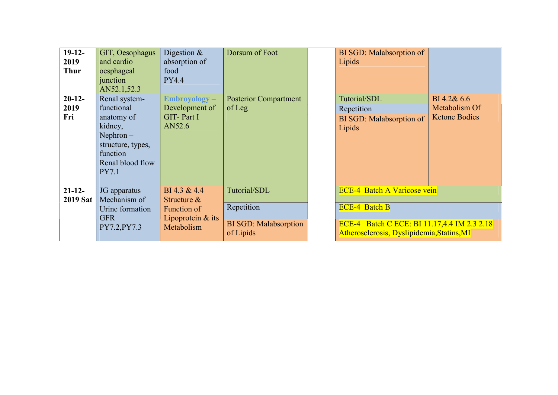| $19-12-$<br>2019<br><b>Thur</b> | GIT, Oesophagus<br>and cardio<br>oesphageal<br>junction<br>AN52.1,52.3                                                            | Digestion $\&$<br>absorption of<br>food<br><b>PY4.4</b>                            | Dorsum of Foot                                                          | <b>BI SGD: Malabsorption of</b><br>Lipids                                                                                                               |                                                      |
|---------------------------------|-----------------------------------------------------------------------------------------------------------------------------------|------------------------------------------------------------------------------------|-------------------------------------------------------------------------|---------------------------------------------------------------------------------------------------------------------------------------------------------|------------------------------------------------------|
| $20-12-$<br>2019<br>Fri         | Renal system-<br>functional<br>anatomy of<br>kidney,<br>$Nephron -$<br>structure, types,<br>function<br>Renal blood flow<br>PY7.1 | $Embroyology -$<br>Development of<br>GIT-Part I<br>AN52.6                          | <b>Posterior Compartment</b><br>of Leg                                  | Tutorial/SDL<br>Repetition<br>BI SGD: Malabsorption of<br>Lipids                                                                                        | BI 4.2& 6.6<br>Metabolism Of<br><b>Ketone Bodies</b> |
| $21 - 12 -$<br><b>2019 Sat</b>  | JG apparatus<br>Mechanism of<br>Urine formation<br><b>GFR</b><br>PY7.2, PY7.3                                                     | BI 4.3 & 4.4<br>Structure $\&$<br>Function of<br>Lipoprotein $&$ its<br>Metabolism | Tutorial/SDL<br>Repetition<br><b>BI SGD: Malabsorption</b><br>of Lipids | <b>ECE-4 Batch A Varicose vein</b><br><b>ECE-4 Batch B</b><br>ECE-4 Batch C ECE: BI 11.17,4.4 IM 2.3 2.18<br>Atherosclerosis, Dyslipidemia, Statins, MI |                                                      |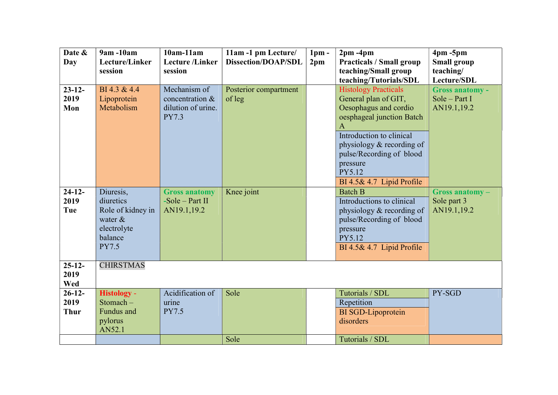| Date &          | 9am -10am                      | $10am-11am$            | 11am -1 pm Lecture/        | 1 <sub>pm</sub> | $2pm - 4pm$                     | $4pm - 5pm$            |
|-----------------|--------------------------------|------------------------|----------------------------|-----------------|---------------------------------|------------------------|
| Day             | Lecture/Linker                 | <b>Lecture</b> /Linker | <b>Dissection/DOAP/SDL</b> | 2 <sub>pm</sub> | <b>Practicals / Small group</b> | <b>Small group</b>     |
|                 | session                        | session                |                            |                 | teaching/Small group            | teaching/              |
|                 |                                |                        |                            |                 | teaching/Tutorials/SDL          | Lecture/SDL            |
| $23 - 12$       | BI 4.3 & 4.4                   | Mechanism of           | Posterior compartment      |                 | <b>Histology Practicals</b>     | <b>Gross anatomy -</b> |
| 2019            | Lipoprotein                    | concentration &        | of leg                     |                 | General plan of GIT,            | Sole - Part I          |
| Mon             | Metabolism                     | dilution of urine.     |                            |                 | Oesophagus and cordio           | AN19.1,19.2            |
|                 |                                | <b>PY7.3</b>           |                            |                 | oesphageal junction Batch       |                        |
|                 |                                |                        |                            |                 | $\mathbf{A}$                    |                        |
|                 |                                |                        |                            |                 | Introduction to clinical        |                        |
|                 |                                |                        |                            |                 | physiology & recording of       |                        |
|                 |                                |                        |                            |                 | pulse/Recording of blood        |                        |
|                 |                                |                        |                            |                 | pressure                        |                        |
|                 |                                |                        |                            |                 | PY5.12                          |                        |
|                 |                                |                        |                            |                 | BI 4.5& 4.7 Lipid Profile       |                        |
| $24-12-$        | Diuresis,                      | <b>Gross anatomy</b>   | Knee joint                 |                 | <b>Batch B</b>                  | Gross anatomy-         |
| 2019            | diuretics                      | $-Sole$ – Part II      |                            |                 | Introductions to clinical       | Sole part 3            |
| Tue             | Role of kidney in              | AN19.1,19.2            |                            |                 | physiology & recording of       | AN19.1,19.2            |
|                 | water $\&$                     |                        |                            |                 | pulse/Recording of blood        |                        |
|                 | electrolyte                    |                        |                            |                 | pressure                        |                        |
|                 | balance                        |                        |                            |                 | PY5.12                          |                        |
|                 | <b>PY7.5</b>                   |                        |                            |                 | BI 4.5& 4.7 Lipid Profile       |                        |
|                 |                                |                        |                            |                 |                                 |                        |
| $25-12-$        | <b>CHIRSTMAS</b>               |                        |                            |                 |                                 |                        |
| 2019            |                                |                        |                            |                 |                                 |                        |
| Wed<br>$26-12-$ |                                | Acidification of       | Sole                       |                 | Tutorials / SDL                 | PY-SGD                 |
| 2019            | <b>Histology -</b><br>Stomach- |                        |                            |                 |                                 |                        |
|                 | Fundus and                     | urine<br><b>PY7.5</b>  |                            |                 | Repetition                      |                        |
| <b>Thur</b>     |                                |                        |                            |                 | <b>BI</b> SGD-Lipoprotein       |                        |
|                 | pylorus                        |                        |                            |                 | disorders                       |                        |
|                 | AN52.1                         |                        |                            |                 | Tutorials / SDL                 |                        |
|                 |                                |                        | Sole                       |                 |                                 |                        |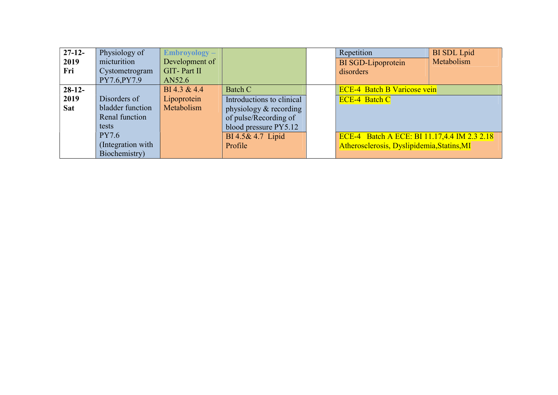| $27-12-$   | Physiology of     | $Embroyology -$ |                           | Repetition                                  | <b>BI</b> SDL Lpid |
|------------|-------------------|-----------------|---------------------------|---------------------------------------------|--------------------|
| 2019       | micturition       | Development of  |                           | <b>BI</b> SGD-Lipoprotein                   | Metabolism         |
| Fri        | Cystometrogram    | GIT-Part II     |                           | disorders                                   |                    |
|            | PY7.6, PY7.9      | AN52.6          |                           |                                             |                    |
| $28-12-$   |                   | BI 4.3 & 4.4    | Batch C                   | <b>ECE-4 Batch B Varicose vein</b>          |                    |
| 2019       | Disorders of      | Lipoprotein     | Introductions to clinical | <b>ECE-4 Batch C</b>                        |                    |
| <b>Sat</b> | bladder function  | Metabolism      | physiology & recording    |                                             |                    |
|            | Renal function    |                 | of pulse/Recording of     |                                             |                    |
|            | tests             |                 | blood pressure PY5.12     |                                             |                    |
|            | <b>PY7.6</b>      |                 | BI 4.5& 4.7 Lipid         | ECE-4 Batch A ECE: BI 11.17,4.4 IM 2.3 2.18 |                    |
|            | (Integration with |                 | Profile                   | Atherosclerosis, Dyslipidemia, Statins, MI  |                    |
|            | Biochemistry)     |                 |                           |                                             |                    |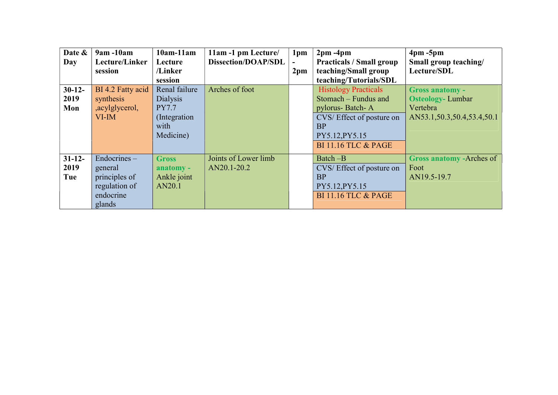| Date &<br>Day | $9am - 10am$<br>Lecture/Linker<br>session | $10am-11am$<br>Lecture<br>/Linker | 11am -1 pm Lecture<br><b>Dissection/DOAP/SDL</b> | 1 <sub>pm</sub><br>2 <sub>pm</sub> | $2pm - 4pm$<br><b>Practicals / Small group</b><br>teaching/Small group | $4pm - 5pm$<br>Small group teaching/<br>Lecture/SDL |
|---------------|-------------------------------------------|-----------------------------------|--------------------------------------------------|------------------------------------|------------------------------------------------------------------------|-----------------------------------------------------|
|               |                                           | session                           |                                                  |                                    | teaching/Tutorials/SDL                                                 |                                                     |
| $30-12-$      | BI 4.2 Fatty acid                         | Renal failure                     | Arches of foot                                   |                                    | <b>Histology Practicals</b>                                            | <b>Gross anatomy -</b>                              |
| 2019          | synthesis                                 | Dialysis                          |                                                  |                                    | Stomach – Fundus and                                                   | <b>Osteology-Lumbar</b>                             |
| Mon           | , acylglycerol,                           | <b>PY7.7</b>                      |                                                  |                                    | pylorus-Batch-A                                                        | Vertebra                                            |
|               | $VI$ -IM                                  | (Integration)                     |                                                  |                                    | CVS/Effect of posture on                                               | AN53.1,50.3,50.4,53.4,50.1                          |
|               |                                           | with                              |                                                  |                                    | <b>BP</b>                                                              |                                                     |
|               |                                           | Medicine)                         |                                                  |                                    | PY5.12, PY5.15                                                         |                                                     |
|               |                                           |                                   |                                                  |                                    | <b>BI 11.16 TLC &amp; PAGE</b>                                         |                                                     |
| $31 - 12$     | $Endocrines -$                            | <b>Gross</b>                      | Joints of Lower limb                             |                                    | Batch -B                                                               | Gross anatomy - Arches of                           |
| 2019          | general                                   | anatomy -                         | AN20.1-20.2                                      |                                    | CVS/Effect of posture on                                               | Foot                                                |
| Tue           | principles of                             | Ankle joint                       |                                                  |                                    | <b>BP</b>                                                              | AN19.5-19.7                                         |
|               | regulation of                             | AN20.1                            |                                                  |                                    | PY5.12, PY5.15                                                         |                                                     |
|               | endocrine                                 |                                   |                                                  |                                    | <b>BI 11.16 TLC &amp; PAGE</b>                                         |                                                     |
|               | glands                                    |                                   |                                                  |                                    |                                                                        |                                                     |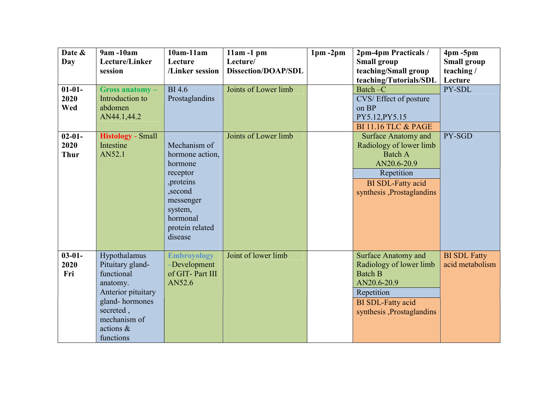| Date &<br>Day                      | 9am -10am<br>Lecture/Linker<br>session                                                                                                                    | $10am-11am$<br>Lecture<br>/Linker session                                                                                                         | $11am - 1pm$<br>Lecture/<br><b>Dissection/DOAP/SDL</b> | $1pm - 2pm$ | 2pm-4pm Practicals /<br><b>Small group</b><br>teaching/Small group<br>teaching/Tutorials/SDL                                                                  | $4pm - 5pm$<br><b>Small group</b><br>teaching/<br>Lecture |
|------------------------------------|-----------------------------------------------------------------------------------------------------------------------------------------------------------|---------------------------------------------------------------------------------------------------------------------------------------------------|--------------------------------------------------------|-------------|---------------------------------------------------------------------------------------------------------------------------------------------------------------|-----------------------------------------------------------|
| $01 - 01 -$<br>2020<br>Wed         | Gross anatomy-<br>Introduction to<br>abdomen<br>AN44.1,44.2                                                                                               | <b>BI</b> 4.6<br>Prostaglandins                                                                                                                   | Joints of Lower limb                                   |             | Batch-C<br>CVS/Effect of posture<br>on BP<br>PY5.12, PY5.15<br><b>BI 11.16 TLC &amp; PAGE</b>                                                                 | PY-SDL                                                    |
| $02 - 01 -$<br>2020<br><b>Thur</b> | <b>Histology</b> - Small<br>Intestine<br>AN52.1                                                                                                           | Mechanism of<br>hormone action,<br>hormone<br>receptor<br>, proteins<br>,second<br>messenger<br>system,<br>hormonal<br>protein related<br>disease | Joints of Lower limb                                   |             | <b>Surface Anatomy and</b><br>Radiology of lower limb<br><b>Batch A</b><br>AN20.6-20.9<br>Repetition<br><b>BI</b> SDL-Fatty acid<br>synthesis, Prostaglandins | PY-SGD                                                    |
| $03 - 01 -$<br>2020<br>Fri         | Hypothalamus<br>Pituitary gland-<br>functional<br>anatomy.<br>Anterior pituitary<br>gland-hormones<br>secreted,<br>mechanism of<br>actions &<br>functions | <b>Embroyology</b><br>-Development<br>of GIT-Part III<br>AN52.6                                                                                   | Joint of lower limb                                    |             | <b>Surface Anatomy and</b><br>Radiology of lower limb<br><b>Batch B</b><br>AN20.6-20.9<br>Repetition<br><b>BI</b> SDL-Fatty acid<br>synthesis ,Prostaglandins | <b>BI SDL Fatty</b><br>acid metabolism                    |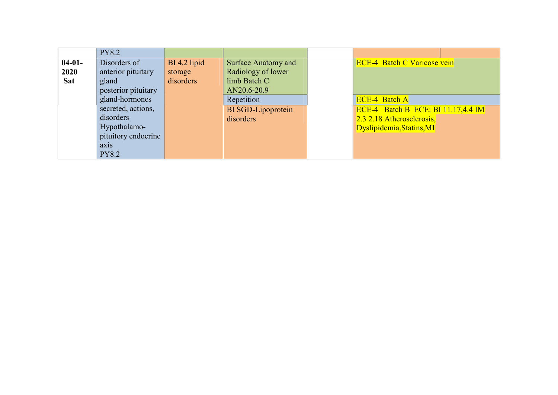|            | <b>PY8.2</b>        |              |                           |                                    |
|------------|---------------------|--------------|---------------------------|------------------------------------|
| $04-01-$   | Disorders of        | BI 4.2 lipid | Surface Anatomy and       | <b>ECE-4 Batch C Varicose vein</b> |
| 2020       | anterior pituitary  | storage      | Radiology of lower        |                                    |
| <b>Sat</b> | gland               | disorders    | limb Batch C              |                                    |
|            | posterior pituitary |              | AN20.6-20.9               |                                    |
|            | gland-hormones      |              | Repetition                | <b>ECE-4 Batch A</b>               |
|            | secreted, actions,  |              | <b>BI</b> SGD-Lipoprotein | ECE-4 Batch B ECE: BI 11.17,4.4 IM |
|            | disorders           |              | disorders                 | 2.3 2.18 Atherosclerosis,          |
|            | Hypothalamo-        |              |                           | Dyslipidemia, Statins, MI          |
|            | pituitory endocrine |              |                           |                                    |
|            | axis                |              |                           |                                    |
|            | <b>PY8.2</b>        |              |                           |                                    |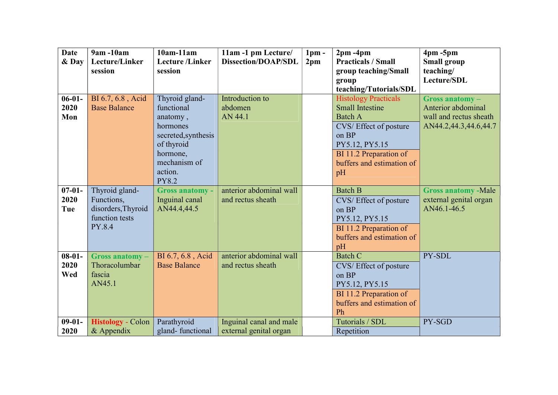| <b>Date</b> | 9am -10am                | $10am-11am$            | 11am -1 pm Lecture/        | 1 <sub>pm</sub> | $2pm - 4pm$                 | $4pm - 5pm$                |
|-------------|--------------------------|------------------------|----------------------------|-----------------|-----------------------------|----------------------------|
| & Day       | Lecture/Linker           | <b>Lecture</b> /Linker | <b>Dissection/DOAP/SDL</b> | 2 <sub>pm</sub> | <b>Practicals / Small</b>   | <b>Small group</b>         |
|             | session                  | session                |                            |                 | group teaching/Small        | teaching/                  |
|             |                          |                        |                            |                 | group                       | Lecture/SDL                |
|             |                          |                        |                            |                 | teaching/Tutorials/SDL      |                            |
| $06-01-$    | BI 6.7, 6.8, Acid        | Thyroid gland-         | Introduction to            |                 | <b>Histology Practicals</b> | $Gross$ anatomy $-$        |
| 2020        | <b>Base Balance</b>      | functional             | abdomen                    |                 | <b>Small Intestine</b>      | Anterior abdominal         |
| Mon         |                          | anatomy,               | AN 44.1                    |                 | <b>Batch A</b>              | wall and rectus sheath     |
|             |                          | hormones               |                            |                 | CVS/Effect of posture       | AN44.2,44.3,44.6,44.7      |
|             |                          | secreted, synthesis    |                            |                 | on BP                       |                            |
|             |                          | of thyroid             |                            |                 | PY5.12, PY5.15              |                            |
|             |                          | hormone,               |                            |                 | BI 11.2 Preparation of      |                            |
|             |                          | mechanism of           |                            |                 | buffers and estimation of   |                            |
|             |                          | action.                |                            |                 | pH                          |                            |
|             |                          | <b>PY8.2</b>           |                            |                 |                             |                            |
| $07 - 01 -$ | Thyroid gland-           | <b>Gross anatomy -</b> | anterior abdominal wall    |                 | <b>Batch B</b>              | <b>Gross anatomy -Male</b> |
| 2020        | Functions,               | Inguinal canal         | and rectus sheath          |                 | CVS/Effect of posture       | external genital organ     |
| Tue         | disorders, Thyroid       | AN44.4,44.5            |                            |                 | on BP                       | AN46.1-46.5                |
|             | function tests           |                        |                            |                 | PY5.12, PY5.15              |                            |
|             | PY.8.4                   |                        |                            |                 | BI 11.2 Preparation of      |                            |
|             |                          |                        |                            |                 | buffers and estimation of   |                            |
|             |                          |                        |                            |                 | pH                          |                            |
| $08-01-$    | Gross anatomy-           | BI 6.7, 6.8, Acid      | anterior abdominal wall    |                 | <b>Batch C</b>              | PY-SDL                     |
| 2020        | Thoracolumbar            | <b>Base Balance</b>    | and rectus sheath          |                 | CVS/Effect of posture       |                            |
| Wed         | fascia                   |                        |                            |                 | on BP                       |                            |
|             | AN45.1                   |                        |                            |                 | PY5.12, PY5.15              |                            |
|             |                          |                        |                            |                 | BI 11.2 Preparation of      |                            |
|             |                          |                        |                            |                 | buffers and estimation of   |                            |
|             |                          |                        |                            |                 | Ph                          |                            |
| $09 - 01 -$ | <b>Histology</b> - Colon | Parathyroid            | Inguinal canal and male    |                 | Tutorials / SDL             | PY-SGD                     |
| 2020        | & Appendix               | gland-functional       | external genital organ     |                 | Repetition                  |                            |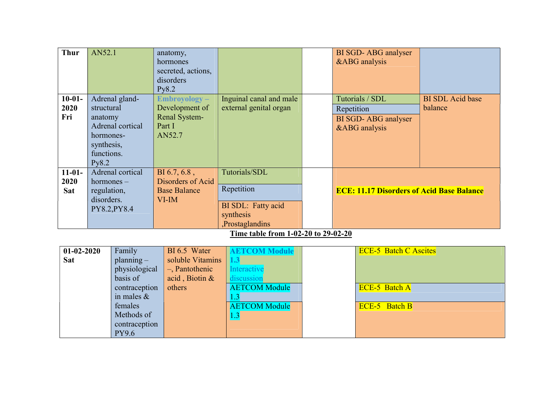| <b>Thur</b>                                                                                                     | AN52.1                                                                  |                                                                                                                                                 | anatomy,<br>hormones<br>secreted, actions,<br>disorders<br>Py8.2               |                                                                                                                                      | BI SGD- ABG analyser<br>&ABG analysis                                        |                                    |  |
|-----------------------------------------------------------------------------------------------------------------|-------------------------------------------------------------------------|-------------------------------------------------------------------------------------------------------------------------------------------------|--------------------------------------------------------------------------------|--------------------------------------------------------------------------------------------------------------------------------------|------------------------------------------------------------------------------|------------------------------------|--|
| $10-01-$<br>2020<br>Fri                                                                                         | structural<br>anatomy<br>hormones-<br>synthesis,<br>functions.<br>Py8.2 | Adrenal gland-<br>Adrenal cortical                                                                                                              | $Embroyology -$<br>Development of<br>Renal System-<br>Part I<br>AN52.7         | Inguinal canal and male<br>external genital organ                                                                                    | Tutorials / SDL<br>Repetition<br>BI SGD-ABG analyser<br>&ABG analysis        | <b>BI SDL Acid base</b><br>balance |  |
| Adrenal cortical<br>$11-01-$<br>2020<br>$hormones -$<br><b>Sat</b><br>regulation,<br>disorders.<br>PY8.2, PY8.4 |                                                                         |                                                                                                                                                 | BI 6.7, 6.8,<br>Disorders of Acid<br><b>Base Balance</b><br>$VI$ -IM           | Tutorials/SDL<br>Repetition<br>BI SDL: Fatty acid<br>synthesis<br>Prostaglandins<br>Time table from 1-02-20 to 29-02-20              | <b>ECE: 11.17 Disorders of Acid Base Balance</b>                             |                                    |  |
| $01-02-2020$<br><b>Sat</b>                                                                                      |                                                                         | Family<br>$planning -$<br>physiological<br>basis of<br>contraception<br>in males $\&$<br>females<br>Methods of<br>contraception<br><b>PY9.6</b> | BI 6.5 Water<br>soluble Vitamins<br>-, Pantothenic<br>acid, Biotin &<br>others | <b>AETCOM Module</b><br>1.3<br>Interactive<br>discussion<br><b>AETCOM Module</b><br>1.3<br><b>AETCOM Module</b><br>$\vert 1.3 \vert$ | <b>ECE-5 Batch C Ascites</b><br><b>ECE-5 Batch A</b><br><b>ECE-5</b> Batch B |                                    |  |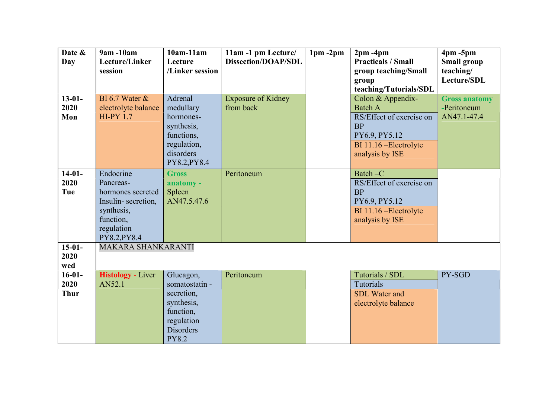| Date &<br>Day                   | 9am -10am<br>Lecture/Linker                                                                                                | $10am-11am$<br>Lecture                                                                                                 | 11am -1 pm Lecture/<br><b>Dissection/DOAP/SDL</b> | $1pm - 2pm$ | $2pm - 4pm$<br><b>Practicals / Small</b>                                                                                                   | $4pm - 5pm$<br><b>Small group</b>                  |
|---------------------------------|----------------------------------------------------------------------------------------------------------------------------|------------------------------------------------------------------------------------------------------------------------|---------------------------------------------------|-------------|--------------------------------------------------------------------------------------------------------------------------------------------|----------------------------------------------------|
|                                 | session                                                                                                                    | /Linker session                                                                                                        |                                                   |             | group teaching/Small                                                                                                                       | teaching/<br>Lecture/SDL                           |
|                                 |                                                                                                                            |                                                                                                                        |                                                   |             | group<br>teaching/Tutorials/SDL                                                                                                            |                                                    |
| $13-01-$<br>2020<br>Mon         | BI 6.7 Water $\&$<br>electrolyte balance<br><b>HI-PY 1.7</b>                                                               | Adrenal<br>medullary<br>hormones-<br>synthesis,<br>functions,<br>regulation,<br>disorders<br>PY8.2, PY8.4              | <b>Exposure of Kidney</b><br>from back            |             | Colon & Appendix-<br><b>Batch A</b><br>RS/Effect of exercise on<br><b>BP</b><br>PY6.9, PY5.12<br>BI 11.16 - Electrolyte<br>analysis by ISE | <b>Gross anatomy</b><br>-Peritoneum<br>AN47.1-47.4 |
| $14-01-$<br>2020<br>Tue         | Endocrine<br>Pancreas-<br>hormones secreted<br>Insulin-secretion,<br>synthesis,<br>function,<br>regulation<br>PY8.2, PY8.4 | <b>Gross</b><br>anatomy -<br>Spleen<br>AN47.5.47.6                                                                     | Peritoneum                                        |             | Batch-C<br>RS/Effect of exercise on<br><b>BP</b><br>PY6.9, PY5.12<br>BI 11.16 - Electrolyte<br>analysis by ISE                             |                                                    |
| $15-01-$<br>2020<br>wed         | MAKARA SHANKARANTI                                                                                                         |                                                                                                                        |                                                   |             |                                                                                                                                            |                                                    |
| $16-01-$<br>2020<br><b>Thur</b> | <b>Histology - Liver</b><br>AN52.1                                                                                         | Glucagon,<br>somatostatin -<br>secretion,<br>synthesis,<br>function,<br>regulation<br><b>Disorders</b><br><b>PY8.2</b> | Peritoneum                                        |             | Tutorials / SDL<br>Tutorials<br><b>SDL</b> Water and<br>electrolyte balance                                                                | PY-SGD                                             |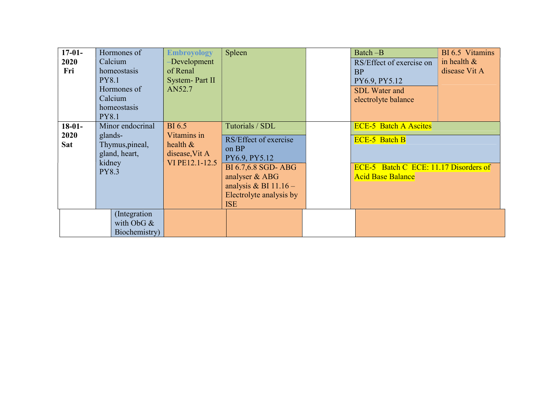| $17-01-$<br>2020<br>Fri<br>$18-01-$ | Hormones of<br>Calcium<br>homeostasis<br><b>PY8.1</b><br>Hormones of<br>Calcium<br>homeostasis<br><b>PY8.1</b><br>Minor endocrinal | <b>Embroyology</b><br>-Development<br>of Renal<br>System- Part II<br>AN52.7<br><b>BI</b> 6.5 | Spleen<br>Tutorials / SDL                                                                                                                                   | Batch-B<br>RS/Effect of exercise on<br>BP<br>PY6.9, PY5.12<br><b>SDL</b> Water and<br>electrolyte balance                 | BI 6.5 Vitamins<br>in health $\&$<br>disease Vit A |
|-------------------------------------|------------------------------------------------------------------------------------------------------------------------------------|----------------------------------------------------------------------------------------------|-------------------------------------------------------------------------------------------------------------------------------------------------------------|---------------------------------------------------------------------------------------------------------------------------|----------------------------------------------------|
| 2020<br>Sat                         | glands-<br>Thymus, pineal,<br>gland, heart,<br>kidney<br><b>PY8.3</b>                                                              | Vitamins in<br>health $\&$<br>disease, Vit A<br>VI PE12.1-12.5                               | RS/Effect of exercise<br>on BP<br>PY6.9, PY5.12<br>BI 6.7,6.8 SGD- ABG<br>analyser & ABG<br>analysis & BI $11.16-$<br>Electrolyte analysis by<br><b>ISE</b> | <b>ECE-5 Batch A Ascites</b><br><b>ECE-5 Batch B</b><br>ECE-5 Batch C ECE: 11.17 Disorders of<br><b>Acid Base Balance</b> |                                                    |
|                                     | (Integration<br>with ObG $\&$<br>Biochemistry)                                                                                     |                                                                                              |                                                                                                                                                             |                                                                                                                           |                                                    |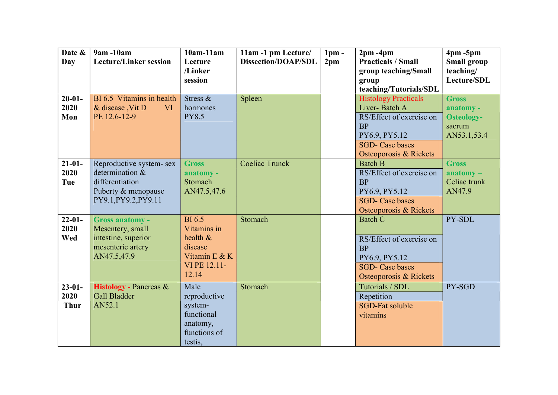| Date &<br>Day                      | 9am -10am<br><b>Lecture/Linker session</b>                                                                    | $10am-11am$<br>Lecture<br>/Linker<br>session                                                 | 11am -1 pm Lecture/<br><b>Dissection/DOAP/SDL</b> | $1pm$ -<br>2 <sub>pm</sub> | $2pm - 4pm$<br><b>Practicals / Small</b><br>group teaching/Small<br>group<br>teaching/Tutorials/SDL                                                        | $4pm - 5pm$<br><b>Small group</b><br>teaching/<br>Lecture/SDL           |
|------------------------------------|---------------------------------------------------------------------------------------------------------------|----------------------------------------------------------------------------------------------|---------------------------------------------------|----------------------------|------------------------------------------------------------------------------------------------------------------------------------------------------------|-------------------------------------------------------------------------|
| $20 - 01 -$<br>2020<br>Mon         | BI 6.5 Vitamins in health<br>& disease, Vit D<br><b>VI</b><br>PE 12.6-12-9                                    | Stress &<br>hormones<br><b>PY8.5</b>                                                         | Spleen                                            |                            | <b>Histology Practicals</b><br>Liver-Batch A<br>RS/Effect of exercise on<br><b>BP</b><br>PY6.9, PY5.12<br><b>SGD-</b> Case bases<br>Osteoporosis & Rickets | <b>Gross</b><br>anatomy -<br><b>Osteology-</b><br>sacrum<br>AN53.1,53.4 |
| $21-01-$<br>2020<br>Tue            | Reproductive system- sex<br>determination &<br>differentiation<br>Puberty & menopause<br>PY9.1, PY9.2, PY9.11 | <b>Gross</b><br>anatomy -<br>Stomach<br>AN47.5,47.6                                          | <b>Coeliac Trunck</b>                             |                            | <b>Batch B</b><br>RS/Effect of exercise on<br><b>BP</b><br>PY6.9, PY5.12<br><b>SGD-</b> Case bases<br>Osteoporosis & Rickets                               | <b>Gross</b><br>$\mathbf{anatomy}-$<br>Celiac trunk<br>AN47.9           |
| $22 - 01 -$<br>2020<br>Wed         | <b>Gross anatomy -</b><br>Mesentery, small<br>intestine, superior<br>mesenteric artery<br>AN47.5,47.9         | <b>BI6.5</b><br>Vitamins in<br>health &<br>disease<br>Vitamin E & K<br>VI PE 12.11-<br>12.14 | Stomach                                           |                            | <b>Batch C</b><br>RS/Effect of exercise on<br><b>BP</b><br>PY6.9, PY5.12<br><b>SGD-</b> Case bases<br>Osteoporosis & Rickets                               | PY-SDL                                                                  |
| $23 - 01 -$<br>2020<br><b>Thur</b> | Histology - Pancreas &<br><b>Gall Bladder</b><br>AN52.1                                                       | Male<br>reproductive<br>system-<br>functional<br>anatomy,<br>functions of<br>testis,         | Stomach                                           |                            | Tutorials / SDL<br>Repetition<br>SGD-Fat soluble<br>vitamins                                                                                               | PY-SGD                                                                  |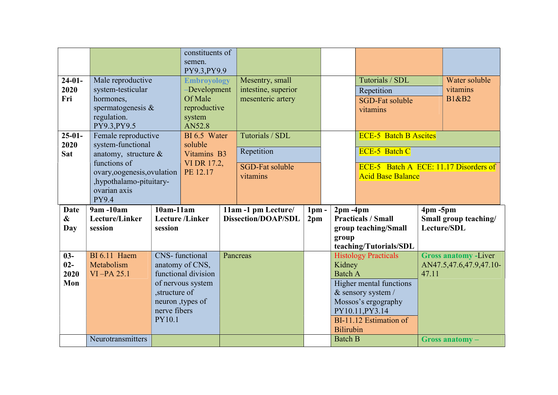|                   |                                         |                | constituents of<br>semen.      |  |                            |                 |                             |                                                        |             |                                                        |
|-------------------|-----------------------------------------|----------------|--------------------------------|--|----------------------------|-----------------|-----------------------------|--------------------------------------------------------|-------------|--------------------------------------------------------|
|                   |                                         |                | PY9.3, PY9.9                   |  |                            |                 |                             |                                                        |             |                                                        |
| $24-01-$          | Male reproductive                       |                | <b>Embroyology</b>             |  | Mesentry, small            |                 |                             | Tutorials / SDL                                        |             | Water soluble                                          |
| 2020              | system-testicular                       |                | -Development                   |  | intestine, superior        |                 |                             | Repetition                                             |             | vitamins                                               |
| Fri               | hormones,                               |                | Of Male                        |  | mesenteric artery          |                 |                             | <b>SGD-Fat soluble</b>                                 |             | <b>B1&amp;B2</b>                                       |
|                   | spermatogenesis $\&$                    |                | reproductive                   |  |                            |                 |                             | vitamins                                               |             |                                                        |
|                   | regulation.                             |                | system                         |  |                            |                 |                             |                                                        |             |                                                        |
|                   | PY9.3, PY9.5                            |                | AN52.8                         |  |                            |                 |                             |                                                        |             |                                                        |
| $25-01-$          | Female reproductive                     |                | BI 6.5 Water                   |  | Tutorials / SDL            |                 |                             | <b>ECE-5 Batch B Ascites</b>                           |             |                                                        |
| 2020              | system-functional                       |                | soluble                        |  | Repetition                 |                 |                             | <b>ECE-5 Batch C</b>                                   |             |                                                        |
| <b>Sat</b>        | anatomy, structure $\&$                 |                | Vitamins B3                    |  |                            |                 |                             |                                                        |             |                                                        |
|                   | functions of                            |                | VI DR 17.2,                    |  | <b>SGD-Fat soluble</b>     |                 |                             | ECE-5 Batch A ECE: 11.17 Disorders of                  |             |                                                        |
|                   | ovary, oogenesis, ovulation             |                | PE 12.17                       |  | vitamins                   |                 |                             | <b>Acid Base Balance</b>                               |             |                                                        |
|                   | ,hypothalamo-pituitary-<br>ovarian axis |                |                                |  |                            |                 |                             |                                                        |             |                                                        |
|                   | <b>PY9.4</b>                            |                |                                |  |                            |                 |                             |                                                        |             |                                                        |
|                   |                                         |                |                                |  |                            |                 |                             |                                                        |             |                                                        |
|                   |                                         |                |                                |  |                            |                 |                             |                                                        |             |                                                        |
| <b>Date</b>       | 9am -10am                               | $10am-11am$    |                                |  | 11am -1 pm Lecture/        | 1 <sub>pm</sub> | $2pm - 4pm$                 |                                                        | $4pm - 5pm$ |                                                        |
| $\boldsymbol{\&}$ | Lecture/Linker                          |                | <b>Lecture</b> / <b>Linker</b> |  | <b>Dissection/DOAP/SDL</b> | 2 <sub>pm</sub> |                             | <b>Practicals / Small</b>                              |             | Small group teaching/                                  |
| Day               | session                                 | session        |                                |  |                            |                 |                             | group teaching/Small                                   |             | Lecture/SDL                                            |
|                   |                                         |                |                                |  |                            |                 | group                       |                                                        |             |                                                        |
| $03 -$            | <b>BI</b> 6.11 Haem                     |                | <b>CNS-</b> functional         |  | Pancreas                   |                 |                             | teaching/Tutorials/SDL                                 |             |                                                        |
| $02-$             | Metabolism                              |                | anatomy of CNS,                |  |                            |                 | Kidney                      | <b>Histology Practicals</b>                            |             | <b>Gross anatomy -Liver</b><br>AN47.5,47.6,47.9,47.10- |
| 2020              | $VI$ -PA 25.1                           |                | functional division            |  |                            |                 | <b>Batch A</b>              |                                                        | 47.11       |                                                        |
| Mon               |                                         |                | of nervous system              |  |                            |                 |                             |                                                        |             |                                                        |
|                   |                                         | , structure of |                                |  |                            |                 |                             | <b>Higher mental functions</b><br>$&$ sensory system / |             |                                                        |
|                   |                                         |                | neuron , types of              |  |                            |                 |                             | Mossos's ergography                                    |             |                                                        |
|                   |                                         | nerve fibers   |                                |  |                            |                 |                             | PY10.11, PY3.14                                        |             |                                                        |
|                   |                                         | PY10.1         |                                |  |                            |                 |                             | BI-11.12 Estimation of                                 |             |                                                        |
|                   | Neurotransmitters                       |                |                                |  |                            |                 | Bilirubin<br><b>Batch B</b> |                                                        |             | $Gross$ anatomy $-$                                    |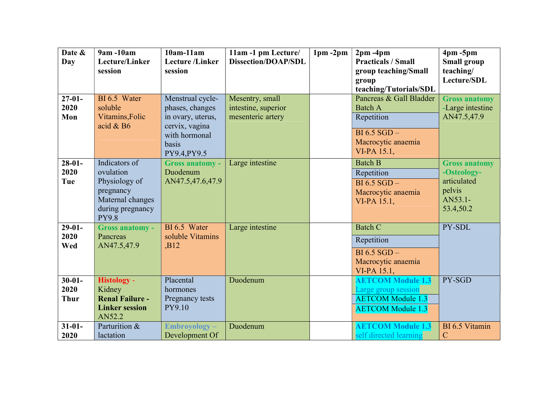| Date &<br>Day                      | 9am -10am<br>Lecture/Linker<br>session                                                                           | $10am-11am$<br><b>Lecture</b> /Linker<br>session                                                                     | 11am -1 pm Lecture/<br><b>Dissection/DOAP/SDL</b>           | $1pm - 2pm$ | $2pm - 4pm$<br><b>Practicals / Small</b><br>group teaching/Small<br>group<br>teaching/Tutorials/SDL          | $4pm - 5pm$<br><b>Small group</b><br>teaching/<br>Lecture/SDL                        |
|------------------------------------|------------------------------------------------------------------------------------------------------------------|----------------------------------------------------------------------------------------------------------------------|-------------------------------------------------------------|-------------|--------------------------------------------------------------------------------------------------------------|--------------------------------------------------------------------------------------|
| $27 - 01 -$<br>2020<br>Mon         | BI 6.5 Water<br>soluble<br>Vitamins, Folic<br>acid $& B6$                                                        | Menstrual cycle-<br>phases, changes<br>in ovary, uterus,<br>cervix, vagina<br>with hormonal<br>basis<br>PY9.4, PY9.5 | Mesentry, small<br>intestine, superior<br>mesenteric artery |             | Pancreas & Gall Bladder<br><b>Batch A</b><br>Repetition<br>BI 6.5 SGD -<br>Macrocytic anaemia<br>VI-PA 15.1, | <b>Gross anatomy</b><br>-Large intestine<br>AN47.5,47.9                              |
| $28-01-$<br>2020<br>Tue            | Indicators of<br>ovulation<br>Physiology of<br>pregnancy<br>Maternal changes<br>during pregnancy<br><b>PY9.8</b> | <b>Gross anatomy -</b><br>Duodenum<br>AN47.5,47.6,47.9                                                               | Large intestine                                             |             | <b>Batch B</b><br>Repetition<br>$BI 6.5 SGD -$<br>Macrocytic anaemia<br>VI-PA 15.1,                          | <b>Gross anatomy</b><br>-Osteology-<br>articulated<br>pelvis<br>AN53.1-<br>53.4,50.2 |
| $29-01-$<br>2020<br>Wed            | <b>Gross anatomy -</b><br>Pancreas<br>AN47.5,47.9                                                                | BI 6.5 Water<br>soluble Vitamins<br>,B12                                                                             | Large intestine                                             |             | <b>Batch C</b><br>Repetition<br>$BI 6.5 SGD -$<br>Macrocytic anaemia<br>VI-PA 15.1,                          | PY-SDL                                                                               |
| $30 - 01 -$<br>2020<br><b>Thur</b> | <b>Histology -</b><br>Kidney<br><b>Renal Failure -</b><br><b>Linker session</b><br>AN52.2                        | Placental<br>hormones<br>Pregnancy tests<br>PY9.10                                                                   | Duodenum                                                    |             | <b>AETCOM Module 1.3</b><br>Large group session<br><b>AETCOM Module 1.3</b><br><b>AETCOM Module 1.3</b>      | PY-SGD                                                                               |
| $31 - 01 -$<br>2020                | Parturition &<br>lactation                                                                                       | Embroyology-<br>Development Of                                                                                       | Duodenum                                                    |             | <b>AETCOM Module 1.3</b><br>self directed learning                                                           | BI 6.5 Vitamin<br>$\mathbf C$                                                        |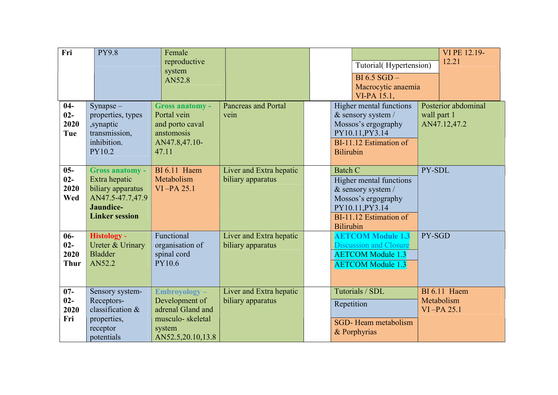| Fri                                    | <b>PY9.8</b>                                                                                                           | Female<br>reproductive<br>system<br>AN52.8                                                             |                                              | Tutorial(Hypertension)<br>$BI 6.5 SGD -$<br>Macrocytic anaemia<br>VI-PA 15.1,                                                                           | VI PE 12.19-<br>12.21                              |
|----------------------------------------|------------------------------------------------------------------------------------------------------------------------|--------------------------------------------------------------------------------------------------------|----------------------------------------------|---------------------------------------------------------------------------------------------------------------------------------------------------------|----------------------------------------------------|
| $04 -$<br>$02 -$<br>2020<br>Tue        | $Synapse -$<br>properties, types<br>,synaptic<br>transmission,<br>inhibition.<br>PY10.2                                | <b>Gross anatomy -</b><br>Portal vein<br>and porto caval<br>anstomosis<br>AN47.8,47.10-<br>47.11       | <b>Pancreas and Portal</b><br>vein           | Higher mental functions<br>& sensory system /<br>Mossos's ergography<br>PY10.11, PY3.14<br>BI-11.12 Estimation of<br><b>Bilirubin</b>                   | Posterior abdominal<br>wall part 1<br>AN47.12,47.2 |
| $05 -$<br>$02 -$<br>2020<br>Wed        | <b>Gross anatomy -</b><br>Extra hepatic<br>biliary apparatus<br>AN47.5-47.7,47.9<br>Jaundice-<br><b>Linker session</b> | <b>BI</b> 6.11 Haem<br>Metabolism<br>$VI$ -PA 25.1                                                     | Liver and Extra hepatic<br>biliary apparatus | <b>Batch C</b><br>Higher mental functions<br>& sensory system /<br>Mossos's ergography<br>PY10.11, PY3.14<br>BI-11.12 Estimation of<br><b>Bilirubin</b> | PY-SDL                                             |
| $06-$<br>$02 -$<br>2020<br><b>Thur</b> | <b>Histology -</b><br>Ureter & Urinary<br><b>Bladder</b><br>AN52.2                                                     | Functional<br>organisation of<br>spinal cord<br><b>PY10.6</b>                                          | Liver and Extra hepatic<br>biliary apparatus | <b>AETCOM Module 1.3</b><br><b>Discussion and Closure</b><br><b>AETCOM Module 1.3</b><br><b>AETCOM Module 1.3</b>                                       | PY-SGD                                             |
| $07 -$<br>$02 -$<br>2020<br>Fri        | Sensory system-<br>Receptors-<br>classification &<br>properties,<br>receptor<br>potentials                             | Embroyology-<br>Development of<br>adrenal Gland and<br>musculo-skeletal<br>system<br>AN52.5,20.10,13.8 | Liver and Extra hepatic<br>biliary apparatus | Tutorials / SDL<br>Repetition<br>SGD-Heam metabolism<br>& Porphyrias                                                                                    | <b>BI</b> 6.11 Haem<br>Metabolism<br>$VI$ -PA 25.1 |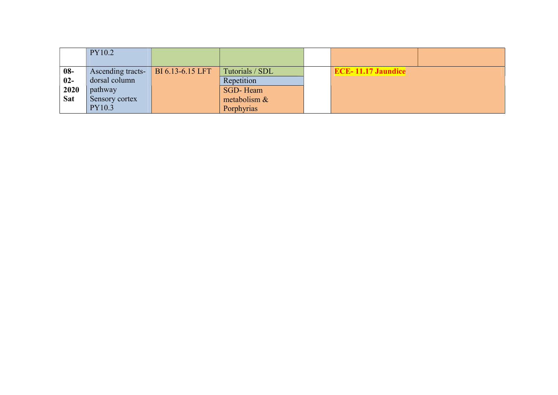|            | PY10.2            |                  |                 |                           |  |
|------------|-------------------|------------------|-----------------|---------------------------|--|
| $08-$      | Ascending tracts- | BI 6.13-6.15 LFT | Tutorials / SDL | <b>ECE-11.17 Jaundice</b> |  |
| $02-$      | dorsal column     |                  | Repetition      |                           |  |
| 2020       | pathway           |                  | SGD-Heam        |                           |  |
| <b>Sat</b> | Sensory cortex    |                  | metabolism &    |                           |  |
|            | PY10.3            |                  | Porphyrias      |                           |  |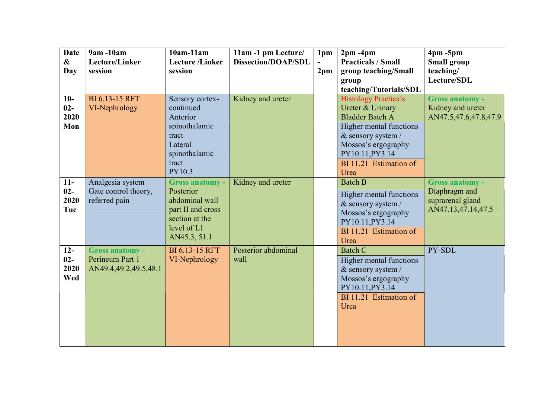| <b>Date</b>                     | 9am -10am                                                          | $10am-11am$                                                                                                                 | 11am -1 pm Lecture/         | 1pm             | $2pm - 4pm$                                                                                                                                                                                            | $4pm - 5pm$                                                                       |
|---------------------------------|--------------------------------------------------------------------|-----------------------------------------------------------------------------------------------------------------------------|-----------------------------|-----------------|--------------------------------------------------------------------------------------------------------------------------------------------------------------------------------------------------------|-----------------------------------------------------------------------------------|
| $\boldsymbol{\&}$<br>Day        | Lecture/Linker<br>session                                          | <b>Lecture</b> /Linker<br>session                                                                                           | <b>Dissection/DOAP/SDL</b>  | 2 <sub>pm</sub> | <b>Practicals / Small</b><br>group teaching/Small                                                                                                                                                      | <b>Small group</b><br>teaching/                                                   |
|                                 |                                                                    |                                                                                                                             |                             |                 | group                                                                                                                                                                                                  | Lecture/SDL                                                                       |
|                                 |                                                                    |                                                                                                                             |                             |                 | teaching/Tutorials/SDL                                                                                                                                                                                 |                                                                                   |
| $10-$<br>$02 -$<br>2020<br>Mon  | <b>BI 6.13-15 RFT</b><br>VI-Nephrology                             | Sensory cortex-<br>continued<br>Anterior<br>spinothalamic<br>tract<br>Lateral<br>spinothalamic<br>tract<br>PY10.3           | Kidney and ureter           |                 | <b>Histology Practicals</b><br>Ureter & Urinary<br><b>Bladder Batch A</b><br>Higher mental functions<br>& sensory system /<br>Mossos's ergography<br>PY10.11, PY3.14<br>BI 11.21 Estimation of<br>Urea | <b>Gross anatomy -</b><br>Kidney and ureter<br>AN47.5,47.6,47.8,47.9              |
| $11-$<br>$02 -$<br>2020<br>Tue  | Analgesia system<br>Gate control theory,<br>referred pain          | <b>Gross anatomy -</b><br>Posterior<br>abdominal wall<br>part II and cross<br>section at the<br>level of L1<br>AN45.3, 51.1 | Kidney and ureter           |                 | <b>Batch B</b><br>Higher mental functions<br>& sensory system /<br>Mossos's ergography<br>PY10.11, PY3.14<br>BI 11.21 Estimation of<br>Urea                                                            | <b>Gross anatomy -</b><br>Diaphragm and<br>suprarenal gland<br>AN47.13,47.14,47.5 |
| $12 -$<br>$02 -$<br>2020<br>Wed | <b>Gross anatomy -</b><br>Perineum Part 1<br>AN49.4,49.2,49.5,48.1 | <b>BI 6.13-15 RFT</b><br>VI-Nephrology                                                                                      | Posterior abdominal<br>wall |                 | <b>Batch C</b><br>Higher mental functions<br>& sensory system /<br>Mossos's ergography<br>PY10.11, PY3.14<br>BI 11.21 Estimation of<br>Urea                                                            | PY-SDL                                                                            |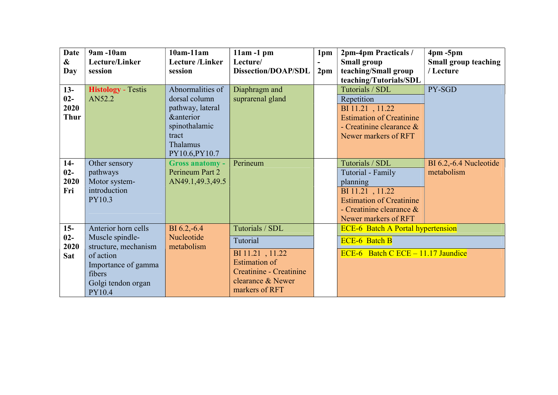| <b>Date</b>       | 9am -10am                 | $10am-11am$            | $11am - 1pm$               | 1pm             | 2pm-4pm Practicals /                     | $4pm - 5pm$                 |
|-------------------|---------------------------|------------------------|----------------------------|-----------------|------------------------------------------|-----------------------------|
| $\boldsymbol{\&}$ | Lecture/Linker            | <b>Lecture</b> /Linker | Lecture/                   | $\blacksquare$  | <b>Small group</b>                       | <b>Small group teaching</b> |
| Day               | session                   | session                | <b>Dissection/DOAP/SDL</b> | 2 <sub>pm</sub> | teaching/Small group                     | / Lecture                   |
|                   |                           |                        |                            |                 | teaching/Tutorials/SDL                   |                             |
| $13-$             | <b>Histology</b> - Testis | Abnormalities of       | Diaphragm and              |                 | Tutorials / SDL                          | PY-SGD                      |
| $02-$             | AN52.2                    | dorsal column          | suprarenal gland           |                 | Repetition                               |                             |
| 2020              |                           | pathway, lateral       |                            |                 | BI 11.21, 11.22                          |                             |
| <b>Thur</b>       |                           | <b>&amp;anterior</b>   |                            |                 | <b>Estimation of Creatinine</b>          |                             |
|                   |                           | spinothalamic          |                            |                 | - Creatinine clearance $\&$              |                             |
|                   |                           | tract                  |                            |                 | Newer markers of RFT                     |                             |
|                   |                           | Thalamus               |                            |                 |                                          |                             |
|                   |                           | PY10.6, PY10.7         |                            |                 |                                          |                             |
| $14-$             | Other sensory             | <b>Gross anatomy -</b> | Perineum                   |                 | Tutorials / SDL                          | BI 6.2,-6.4 Nucleotide      |
| $02 -$            | pathways                  | Perineum Part 2        |                            |                 | Tutorial - Family                        | metabolism                  |
| 2020              | Motor system-             | AN49.1,49.3,49.5       |                            |                 | planning                                 |                             |
| Fri               | introduction              |                        |                            |                 | BI 11.21, 11.22                          |                             |
|                   | PY10.3                    |                        |                            |                 | <b>Estimation of Creatinine</b>          |                             |
|                   |                           |                        |                            |                 | - Creatinine clearance &                 |                             |
|                   |                           |                        |                            |                 | Newer markers of RFT                     |                             |
| $15 -$            | Anterior horn cells       | $BI 6.2,-6.4$          | Tutorials / SDL            |                 | <b>ECE-6</b> Batch A Portal hypertension |                             |
| $02 -$            | Muscle spindle-           | Nucleotide             | Tutorial                   |                 | <b>ECE-6 Batch B</b>                     |                             |
| 2020              | structure, mechanism      | metabolism             |                            |                 |                                          |                             |
| <b>Sat</b>        | of action                 |                        | BI 11.21, 11.22            |                 | ECE-6 Batch C ECE $-11.17$ Jaundice      |                             |
|                   | Importance of gamma       |                        | <b>Estimation of</b>       |                 |                                          |                             |
|                   | fibers                    |                        | Creatinine - Creatinine    |                 |                                          |                             |
|                   | Golgi tendon organ        |                        | clearance & Newer          |                 |                                          |                             |
|                   | PY10.4                    |                        | markers of RFT             |                 |                                          |                             |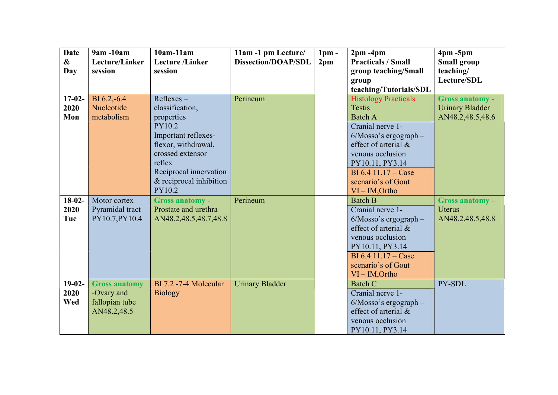| <b>Date</b><br>$\boldsymbol{\&}$<br>Day | $9am - 10am$<br>Lecture/Linker<br>session                           | $10am-11am$<br><b>Lecture</b> / <b>Linker</b><br>session                                                                                                                                        | 11am -1 pm Lecture/<br><b>Dissection/DOAP/SDL</b> | 1 <sub>pm</sub><br>2 <sub>pm</sub> | $2pm - 4pm$<br><b>Practicals / Small</b><br>group teaching/Small<br>group<br>teaching/Tutorials/SDL                                                                                                                                               | $4pm - 5pm$<br><b>Small group</b><br>teaching/<br>Lecture/SDL        |
|-----------------------------------------|---------------------------------------------------------------------|-------------------------------------------------------------------------------------------------------------------------------------------------------------------------------------------------|---------------------------------------------------|------------------------------------|---------------------------------------------------------------------------------------------------------------------------------------------------------------------------------------------------------------------------------------------------|----------------------------------------------------------------------|
| $17-02-$<br>2020<br>Mon                 | BI 6.2,-6.4<br>Nucleotide<br>metabolism                             | Reflexes-<br>classification,<br>properties<br>PY10.2<br>Important reflexes-<br>flexor, withdrawal,<br>crossed extensor<br>reflex<br>Reciprocal innervation<br>& reciprocal inhibition<br>PY10.2 | Perineum                                          |                                    | <b>Histology Practicals</b><br><b>Testis</b><br><b>Batch A</b><br>Cranial nerve 1-<br>$6/M$ osso's ergograph -<br>effect of arterial &<br>venous occlusion<br>PY10.11, PY3.14<br>$BI 6.4 11.17 - Case$<br>scenario's of Gout<br>$VI - IM$ , Ortho | <b>Gross anatomy -</b><br><b>Urinary Bladder</b><br>AN48.2,48.5,48.6 |
| $18-02-$<br>2020<br>Tue                 | Motor cortex<br>Pyramidal tract<br>PY10.7, PY10.4                   | <b>Gross anatomy -</b><br>Prostate and urethra<br>AN48.2,48.5,48.7,48.8                                                                                                                         | Perineum                                          |                                    | <b>Batch B</b><br>Cranial nerve 1-<br>$6/M$ osso's ergograph -<br>effect of arterial &<br>venous occlusion<br>PY10.11, PY3.14<br>BI 6.4 $11.17 - Case$<br>scenario's of Gout<br>$VI - IM$ , Ortho                                                 | Gross anatomy-<br><b>Uterus</b><br>AN48.2,48.5,48.8                  |
| $19-02-$<br>2020<br>Wed                 | <b>Gross anatomy</b><br>-Ovary and<br>fallopian tube<br>AN48.2,48.5 | BI 7.2 -7-4 Molecular<br><b>Biology</b>                                                                                                                                                         | <b>Urinary Bladder</b>                            |                                    | <b>Batch C</b><br>Cranial nerve 1-<br>$6/M$ osso's ergograph $-$<br>effect of arterial &<br>venous occlusion<br>PY10.11, PY3.14                                                                                                                   | PY-SDL                                                               |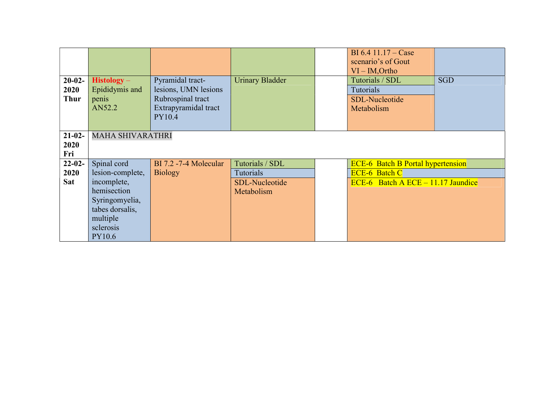| $20-02-$<br>2020<br><b>Thur</b> | $Histology -$<br>Epididymis and<br>penis<br>AN52.2 | Pyramidal tract-<br>lesions, UMN lesions<br>Rubrospinal tract<br>Extrapyramidal tract<br>PY10.4 | <b>Urinary Bladder</b> | BI 6.4 $11.17 - Case$<br>scenario's of Gout<br>$VI - IM$ , Ortho<br>Tutorials / SDL<br><b>Tutorials</b><br>SDL-Nucleotide<br>Metabolism | <b>SGD</b> |
|---------------------------------|----------------------------------------------------|-------------------------------------------------------------------------------------------------|------------------------|-----------------------------------------------------------------------------------------------------------------------------------------|------------|
| $21 - 02 -$<br>2020<br>Fri      | <b>MAHA SHIVARATHRI</b>                            |                                                                                                 |                        |                                                                                                                                         |            |
| $22 - 02 -$                     | Spinal cord                                        | BI 7.2 -7-4 Molecular                                                                           | Tutorials / SDL        | <b>ECE-6</b> Batch B Portal hypertension                                                                                                |            |
| 2020                            | lesion-complete,                                   | <b>Biology</b>                                                                                  | <b>Tutorials</b>       | <b>ECE-6 Batch C</b>                                                                                                                    |            |
| Sat                             | incomplete,                                        |                                                                                                 | SDL-Nucleotide         | ECE-6 Batch A ECE $-11.17$ Jaundice                                                                                                     |            |
|                                 | hemisection                                        |                                                                                                 | Metabolism             |                                                                                                                                         |            |
|                                 | Syringomyelia,                                     |                                                                                                 |                        |                                                                                                                                         |            |
|                                 | tabes dorsalis,                                    |                                                                                                 |                        |                                                                                                                                         |            |
|                                 | multiple<br>sclerosis                              |                                                                                                 |                        |                                                                                                                                         |            |
|                                 | PY10.6                                             |                                                                                                 |                        |                                                                                                                                         |            |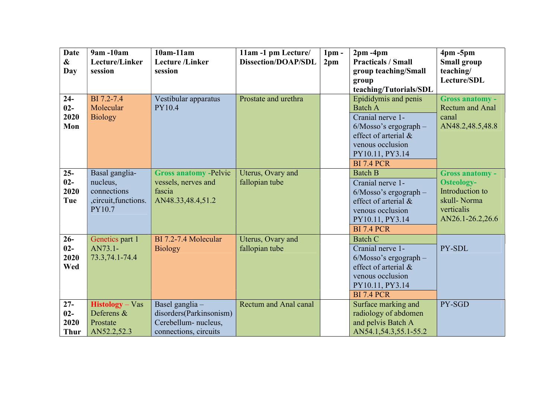| <b>Date</b><br>$\boldsymbol{\&}$<br>Day | 9am -10am<br>Lecture/Linker<br>session                                       | $10am-11am$<br><b>Lecture</b> /Linker<br>session                                            | 11am -1 pm Lecture/<br><b>Dissection/DOAP/SDL</b> | 1 <sub>pm</sub><br>2 <sub>pm</sub> | $2pm - 4pm$<br><b>Practicals / Small</b><br>group teaching/Small<br>group<br>teaching/Tutorials/SDL                                                                        | $4pm - 5pm$<br><b>Small group</b><br>teaching/<br>Lecture/SDL                                                   |
|-----------------------------------------|------------------------------------------------------------------------------|---------------------------------------------------------------------------------------------|---------------------------------------------------|------------------------------------|----------------------------------------------------------------------------------------------------------------------------------------------------------------------------|-----------------------------------------------------------------------------------------------------------------|
| $24-$<br>$02 -$<br>2020<br>Mon          | BI 7.2-7.4<br>Molecular<br><b>Biology</b>                                    | Vestibular apparatus<br><b>PY10.4</b>                                                       | Prostate and urethra                              |                                    | Epididymis and penis<br><b>Batch A</b><br>Cranial nerve 1-<br>$6/M$ osso's ergograph –<br>effect of arterial &<br>venous occlusion<br>PY10.11, PY3.14<br><b>BI 7.4 PCR</b> | <b>Gross anatomy -</b><br><b>Rectum and Anal</b><br>canal<br>AN48.2,48.5,48.8                                   |
| $25 -$<br>$02-$<br>2020<br>Tue          | Basal ganglia-<br>nucleus,<br>connections<br>, circuit, functions.<br>PY10.7 | <b>Gross anatomy -Pelvic</b><br>vessels, nerves and<br>fascia<br>AN48.33,48.4,51.2          | Uterus, Ovary and<br>fallopian tube               |                                    | <b>Batch B</b><br>Cranial nerve 1-<br>$6/M$ osso's ergograph -<br>effect of arterial &<br>venous occlusion<br>PY10.11, PY3.14<br><b>BI 7.4 PCR</b>                         | <b>Gross anatomy -</b><br><b>Osteology-</b><br>Introduction to<br>skull-Norma<br>verticalis<br>AN26.1-26.2,26.6 |
| $26 -$<br>$02 -$<br>2020<br>Wed         | Genetics part 1<br>AN73.1-<br>73.3,74.1-74.4                                 | BI 7.2-7.4 Molecular<br><b>Biology</b>                                                      | Uterus, Ovary and<br>fallopian tube               |                                    | Batch C<br>Cranial nerve 1-<br>$6/M$ osso's ergograph –<br>effect of arterial $\&$<br>venous occlusion<br>PY10.11, PY3.14<br><b>BI 7.4 PCR</b>                             | PY-SDL                                                                                                          |
| $27 -$<br>$02 -$<br>2020<br><b>Thur</b> | $Histology – Vas$<br>Deferens &<br>Prostate<br>AN52.2,52.3                   | Basel ganglia -<br>disorders(Parkinsonism)<br>Cerebellum- nucleus,<br>connections, circuits | Rectum and Anal canal                             |                                    | Surface marking and<br>radiology of abdomen<br>and pelvis Batch A<br>AN54.1,54.3,55.1-55.2                                                                                 | PY-SGD                                                                                                          |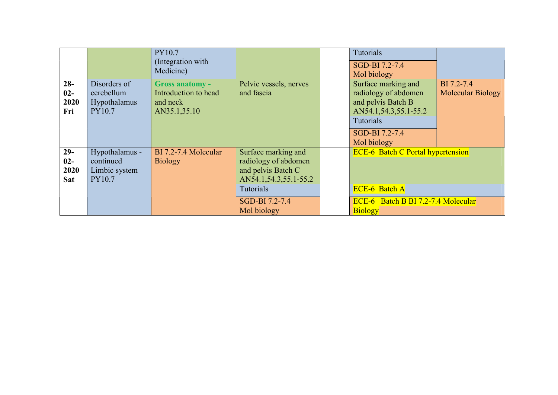|            |                | PY10.7<br>(Integration with<br>Medicine) |                        | Tutorials<br>SGD-BI 7.2-7.4<br>Mol biology |                          |
|------------|----------------|------------------------------------------|------------------------|--------------------------------------------|--------------------------|
| $28 -$     | Disorders of   | <b>Gross anatomy -</b>                   | Pelvic vessels, nerves | Surface marking and                        | BI 7.2-7.4               |
| $02-$      | cerebellum     | Introduction to head                     | and fascia             | radiology of abdomen                       | <b>Molecular Biology</b> |
| 2020       | Hypothalamus   | and neck                                 |                        | and pelvis Batch B                         |                          |
| Fri        | PY10.7         | AN35.1,35.10                             |                        | AN54.1, 54.3, 55.1-55.2                    |                          |
|            |                |                                          |                        | Tutorials                                  |                          |
|            |                |                                          |                        | SGD-BI 7.2-7.4                             |                          |
|            |                |                                          |                        | Mol biology                                |                          |
| $29-$      | Hypothalamus - | BI 7.2-7.4 Molecular                     | Surface marking and    | <b>ECE-6</b> Batch C Portal hypertension   |                          |
| $02-$      | continued      | <b>Biology</b>                           | radiology of abdomen   |                                            |                          |
| 2020       | Limbic system  |                                          | and pelvis Batch C     |                                            |                          |
| <b>Sat</b> | PY10.7         |                                          | AN54.1,54.3,55.1-55.2  |                                            |                          |
|            |                |                                          | <b>Tutorials</b>       | <b>ECE-6 Batch A</b>                       |                          |
|            |                |                                          | SGD-BI 7.2-7.4         | ECE-6 Batch B BI 7.2-7.4 Molecular         |                          |
|            |                |                                          | Mol biology            | <b>Biology</b>                             |                          |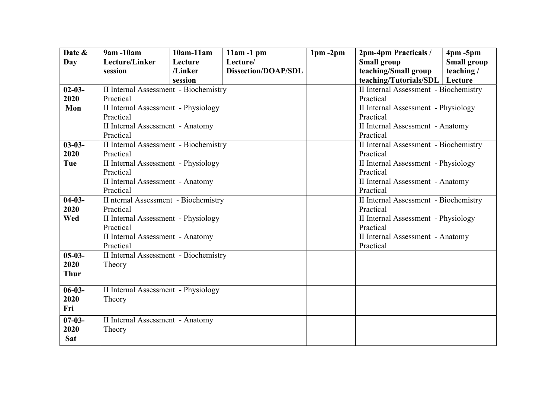| Date &      | $9am - 10am$                          | $10am-11am$ | $11am - 1pm$               | $1pm - 2pm$ | 2pm-4pm Practicals /                  | $4pm - 5pm$        |  |  |
|-------------|---------------------------------------|-------------|----------------------------|-------------|---------------------------------------|--------------------|--|--|
| Day         | Lecture/Linker                        | Lecture     | Lecture/                   |             | <b>Small group</b>                    | <b>Small group</b> |  |  |
|             | session                               | /Linker     | <b>Dissection/DOAP/SDL</b> |             | teaching/Small group                  | teaching/          |  |  |
|             |                                       | session     |                            |             | teaching/Tutorials/SDL                | Lecture            |  |  |
| $02 - 03 -$ | II Internal Assessment - Biochemistry |             |                            |             | II Internal Assessment - Biochemistry |                    |  |  |
| 2020        | Practical                             |             |                            |             | Practical                             |                    |  |  |
| Mon         | II Internal Assessment - Physiology   |             |                            |             | II Internal Assessment - Physiology   |                    |  |  |
|             | Practical                             |             |                            |             | Practical                             |                    |  |  |
|             | II Internal Assessment - Anatomy      |             |                            |             | II Internal Assessment - Anatomy      |                    |  |  |
|             | Practical                             |             |                            |             | Practical                             |                    |  |  |
| $03 - 03 -$ | II Internal Assessment - Biochemistry |             |                            |             | II Internal Assessment - Biochemistry |                    |  |  |
| 2020        | Practical                             |             |                            |             | Practical                             |                    |  |  |
| Tue         | II Internal Assessment - Physiology   |             |                            |             | II Internal Assessment - Physiology   |                    |  |  |
|             | Practical                             |             |                            |             | Practical                             |                    |  |  |
|             | II Internal Assessment - Anatomy      |             |                            |             | II Internal Assessment - Anatomy      |                    |  |  |
|             | Practical                             |             |                            |             | Practical                             |                    |  |  |
| $04-03-$    | II nternal Assessment - Biochemistry  |             |                            |             | II Internal Assessment - Biochemistry |                    |  |  |
| 2020        | Practical                             |             |                            |             | Practical                             |                    |  |  |
| Wed         | II Internal Assessment - Physiology   |             |                            |             | II Internal Assessment - Physiology   |                    |  |  |
|             | Practical                             |             |                            |             | Practical                             |                    |  |  |
|             | II Internal Assessment - Anatomy      |             |                            |             | II Internal Assessment - Anatomy      |                    |  |  |
|             | Practical                             |             |                            |             | Practical                             |                    |  |  |
| $05-03-$    | II Internal Assessment - Biochemistry |             |                            |             |                                       |                    |  |  |
| 2020        | Theory                                |             |                            |             |                                       |                    |  |  |
| <b>Thur</b> |                                       |             |                            |             |                                       |                    |  |  |
|             |                                       |             |                            |             |                                       |                    |  |  |
| $06 - 03 -$ | II Internal Assessment - Physiology   |             |                            |             |                                       |                    |  |  |
| 2020        | Theory                                |             |                            |             |                                       |                    |  |  |
| Fri         |                                       |             |                            |             |                                       |                    |  |  |
| $07 - 03 -$ | II Internal Assessment - Anatomy      |             |                            |             |                                       |                    |  |  |
| 2020        | Theory                                |             |                            |             |                                       |                    |  |  |
| <b>Sat</b>  |                                       |             |                            |             |                                       |                    |  |  |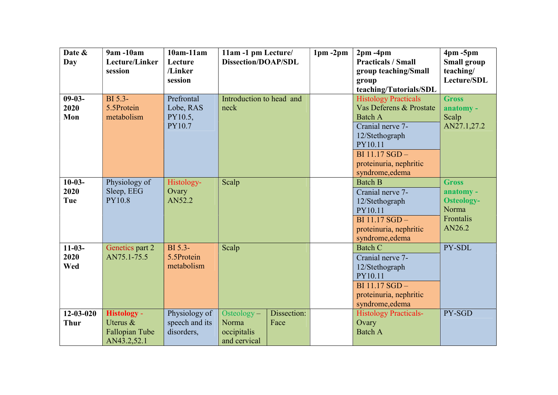| Date &<br>Day                  | 9am -10am<br>Lecture/Linker<br>session                          | $10am-11am$<br>Lecture<br>/Linker<br>session  | 11am -1 pm Lecture/<br><b>Dissection/DOAP/SDL</b>  |                     | $1pm - 2pm$ | $2pm - 4pm$<br><b>Practicals / Small</b><br>group teaching/Small<br>group<br>teaching/Tutorials/SDL                                                                                     | $4pm - 5pm$<br><b>Small group</b><br>teaching/<br>Lecture/SDL                  |
|--------------------------------|-----------------------------------------------------------------|-----------------------------------------------|----------------------------------------------------|---------------------|-------------|-----------------------------------------------------------------------------------------------------------------------------------------------------------------------------------------|--------------------------------------------------------------------------------|
| $09-03-$<br>2020<br>Mon        | BI 5.3-<br>5.5Protein<br>metabolism                             | Prefrontal<br>Lobe, RAS<br>PY10.5,<br>PY10.7  | Introduction to head and<br>neck                   |                     |             | <b>Histology Practicals</b><br>Vas Deferens & Prostate<br><b>Batch A</b><br>Cranial nerve 7-<br>12/Stethograph<br>PY10.11<br>BI 11.17 SGD-<br>proteinuria, nephritic<br>syndrome, edema | <b>Gross</b><br>anatomy -<br>Scalp<br>AN27.1,27.2                              |
| $10-03-$<br>2020<br>Tue        | Physiology of<br>Sleep, EEG<br><b>PY10.8</b>                    | Histology-<br>Ovary<br>AN52.2                 | Scalp                                              |                     |             | <b>Batch B</b><br>Cranial nerve 7-<br>12/Stethograph<br>PY10.11<br>BI 11.17 SGD -<br>proteinuria, nephritic<br>syndrome, edema                                                          | <b>Gross</b><br>anatomy -<br><b>Osteology-</b><br>Norma<br>Frontalis<br>AN26.2 |
| $11-03-$<br>2020<br>Wed        | Genetics part 2<br>AN75.1-75.5                                  | BI 5.3-<br>5.5Protein<br>metabolism           | Scalp                                              |                     |             | <b>Batch C</b><br>Cranial nerve 7-<br>12/Stethograph<br>PY10.11<br>BI 11.17 SGD-<br>proteinuria, nephritic<br>syndrome, edema                                                           | PY-SDL                                                                         |
| $12 - 03 - 020$<br><b>Thur</b> | <b>Histology -</b><br>Uterus &<br>Fallopian Tube<br>AN43.2,52.1 | Physiology of<br>speech and its<br>disorders, | Osteology-<br>Norma<br>occipitalis<br>and cervical | Dissection:<br>Face |             | <b>Histology Practicals-</b><br>Ovary<br><b>Batch A</b>                                                                                                                                 | PY-SGD                                                                         |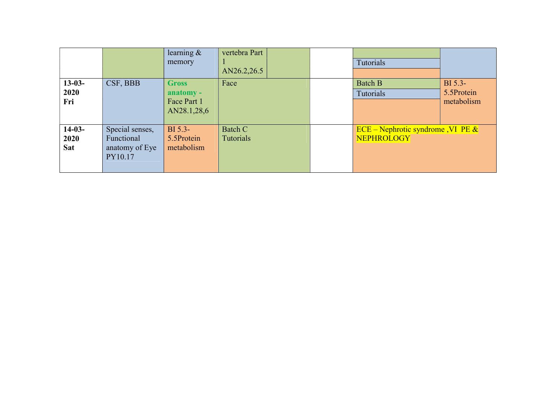|                                |                                                            | learning $\&$<br>memory                                 | vertebra Part<br>AN26.2,26.5 | Tutorials                                                           |                                     |
|--------------------------------|------------------------------------------------------------|---------------------------------------------------------|------------------------------|---------------------------------------------------------------------|-------------------------------------|
| $13-03-$<br>2020<br>Fri        | CSF, BBB                                                   | <b>Gross</b><br>anatomy -<br>Face Part 1<br>AN28.1,28,6 | Face                         | <b>Batch B</b><br><b>Tutorials</b>                                  | BI 5.3-<br>5.5Protein<br>metabolism |
| $14-03-$<br>2020<br><b>Sat</b> | Special senses,<br>Functional<br>anatomy of Eye<br>PY10.17 | BI 5.3-<br>5.5Protein<br>metabolism                     | Batch C<br>Tutorials         | $\overline{ECE}$ – Nephrotic syndrome, VI PE &<br><b>NEPHROLOGY</b> |                                     |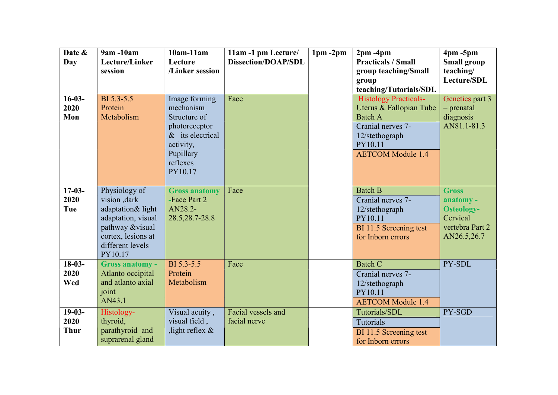| Date &<br>Day                   | 9am -10am<br>Lecture/Linker<br>session                                                                                                           | $10am-11am$<br>Lecture<br>/Linker session                                                                                          | 11am -1 pm Lecture/<br><b>Dissection/DOAP/SDL</b> | $1pm - 2pm$ | $2pm - 4pm$<br><b>Practicals / Small</b><br>group teaching/Small<br>group<br>teaching/Tutorials/SDL                                                     | $4pm - 5pm$<br><b>Small group</b><br>teaching/<br>Lecture/SDL                                |
|---------------------------------|--------------------------------------------------------------------------------------------------------------------------------------------------|------------------------------------------------------------------------------------------------------------------------------------|---------------------------------------------------|-------------|---------------------------------------------------------------------------------------------------------------------------------------------------------|----------------------------------------------------------------------------------------------|
| $16-03-$<br>2020<br>Mon         | BI 5.3-5.5<br>Protein<br>Metabolism                                                                                                              | Image forming<br>mechanism<br>Structure of<br>photoreceptor<br>$&$ its electrical<br>activity,<br>Pupillary<br>reflexes<br>PY10.17 | Face                                              |             | <b>Histology Practicals-</b><br>Uterus & Fallopian Tube<br><b>Batch A</b><br>Cranial nerves 7-<br>12/stethograph<br>PY10.11<br><b>AETCOM</b> Module 1.4 | Genetics part 3<br>- prenatal<br>diagnosis<br>AN81.1-81.3                                    |
| $17-03-$<br>2020<br>Tue         | Physiology of<br>vision ,dark<br>adaptation& light<br>adaptation, visual<br>pathway &visual<br>cortex, lesions at<br>different levels<br>PY10.17 | <b>Gross anatomy</b><br>-Face Part 2<br>AN28.2-<br>28.5, 28.7-28.8                                                                 | Face                                              |             | <b>Batch B</b><br>Cranial nerves 7-<br>12/stethograph<br>PY10.11<br>BI 11.5 Screening test<br>for Inborn errors                                         | <b>Gross</b><br>anatomy -<br><b>Osteology-</b><br>Cervical<br>vertebra Part 2<br>AN26.5,26.7 |
| $18-03-$<br>2020<br>Wed         | <b>Gross anatomy -</b><br>Atlanto occipital<br>and atlanto axial<br>joint<br>AN43.1                                                              | BI 5.3-5.5<br>Protein<br>Metabolism                                                                                                | Face                                              |             | <b>Batch C</b><br>Cranial nerves 7-<br>12/stethograph<br>PY10.11<br><b>AETCOM</b> Module 1.4                                                            | PY-SDL                                                                                       |
| $19-03-$<br>2020<br><b>Thur</b> | Histology-<br>thyroid,<br>parathyroid and<br>suprarenal gland                                                                                    | Visual acuity,<br>visual field,<br>, light reflex $\&$                                                                             | Facial vessels and<br>facial nerve                |             | Tutorials/SDL<br>Tutorials<br>BI 11.5 Screening test<br>for Inborn errors                                                                               | PY-SGD                                                                                       |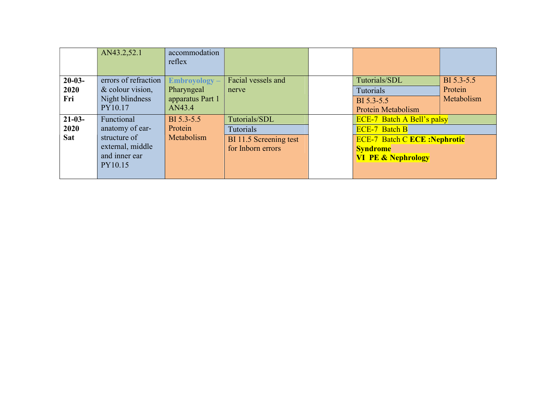|            | AN43.2,52.1          | accommodation<br>reflex |                        |                                     |            |
|------------|----------------------|-------------------------|------------------------|-------------------------------------|------------|
|            |                      |                         |                        |                                     |            |
| $20-03-$   | errors of refraction | Embroyology-            | Facial vessels and     | Tutorials/SDL                       | BI 5.3-5.5 |
| 2020       | & colour vision,     | Pharyngeal              | nerve                  | Tutorials                           | Protein    |
| Fri        | Night blindness      | apparatus Part 1        |                        | BI 5.3-5.5                          | Metabolism |
|            | PY10.17              | AN43.4                  |                        | <b>Protein Metabolism</b>           |            |
| $21-03-$   | Functional           | BI 5.3-5.5              | Tutorials/SDL          | <b>ECE-7</b> Batch A Bell's palsy   |            |
| 2020       | anatomy of ear-      | Protein                 | Tutorials              | <b>ECE-7 Batch B</b>                |            |
| <b>Sat</b> | structure of         | Metabolism              | BI 11.5 Screening test | <b>ECE-7 Batch C ECE: Nephrotic</b> |            |
|            | external, middle     |                         | for Inborn errors      | <b>Syndrome</b>                     |            |
|            | and inner ear        |                         |                        | <b>VI PE &amp; Nephrology</b>       |            |
|            |                      |                         |                        |                                     |            |
|            | PY10.15              |                         |                        |                                     |            |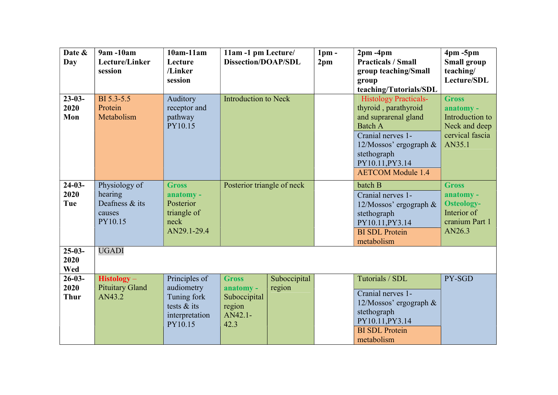| Date &<br>Day                      | 9am -10am<br>Lecture/Linker<br>session                          | $10am-11am$<br>Lecture<br>/Linker                                                        | 11am -1 pm Lecture/<br><b>Dissection/DOAP/SDL</b>                      |                        | $1pm$ -<br>2 <sub>pm</sub> | $2pm - 4pm$<br><b>Practicals / Small</b><br>group teaching/Small                                                                                                                                            | $4pm - 5pm$<br><b>Small group</b><br>teaching/                                             |
|------------------------------------|-----------------------------------------------------------------|------------------------------------------------------------------------------------------|------------------------------------------------------------------------|------------------------|----------------------------|-------------------------------------------------------------------------------------------------------------------------------------------------------------------------------------------------------------|--------------------------------------------------------------------------------------------|
|                                    |                                                                 | session                                                                                  |                                                                        |                        |                            | group<br>teaching/Tutorials/SDL                                                                                                                                                                             | Lecture/SDL                                                                                |
| $23 - 03 -$<br>2020<br>Mon         | BI 5.3-5.5<br>Protein<br>Metabolism                             | Auditory<br>receptor and<br>pathway<br>PY10.15                                           | <b>Introduction to Neck</b>                                            |                        |                            | <b>Histology Practicals-</b><br>thyroid, parathyroid<br>and suprarenal gland<br><b>Batch A</b><br>Cranial nerves 1-<br>12/Mossos' ergograph &<br>stethograph<br>PY10.11, PY3.14<br><b>AETCOM</b> Module 1.4 | <b>Gross</b><br>anatomy -<br>Introduction to<br>Neck and deep<br>cervical fascia<br>AN35.1 |
| $24-03-$<br>2020<br>Tue            | Physiology of<br>hearing<br>Deafness & its<br>causes<br>PY10.15 | <b>Gross</b><br>anatomy -<br>Posterior<br>triangle of<br>neck<br>AN29.1-29.4             | Posterior triangle of neck                                             |                        |                            | batch B<br>Cranial nerves 1-<br>12/Mossos' ergograph &<br>stethograph<br>PY10.11, PY3.14<br><b>BI SDL Protein</b><br>metabolism                                                                             | <b>Gross</b><br>anatomy -<br><b>Osteology-</b><br>Interior of<br>cranium Part 1<br>AN26.3  |
| $25-03-$<br>2020<br>Wed            | <b>UGADI</b>                                                    |                                                                                          |                                                                        |                        |                            |                                                                                                                                                                                                             |                                                                                            |
| $26 - 03 -$<br>2020<br><b>Thur</b> | $Histology -$<br><b>Pituitary Gland</b><br>AN43.2               | Principles of<br>audiometry<br>Tuning fork<br>tests $&$ its<br>interpretation<br>PY10.15 | <b>Gross</b><br>anatomy -<br>Suboccipital<br>region<br>AN42.1-<br>42.3 | Suboccipital<br>region |                            | Tutorials / SDL<br>Cranial nerves 1-<br>12/Mossos' ergograph $\&$<br>stethograph<br>PY10.11, PY3.14<br><b>BI SDL Protein</b><br>metabolism                                                                  | PY-SGD                                                                                     |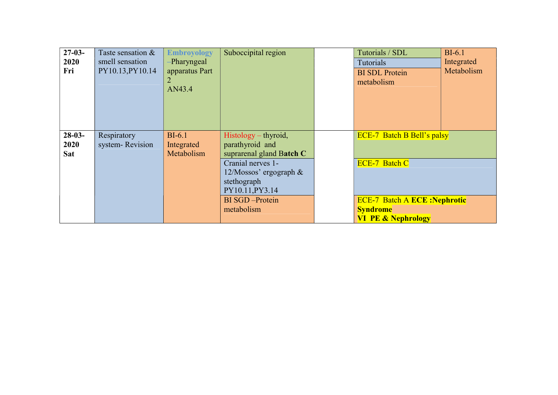| $27-03-$ | Taste sensation & | <b>Embroyology</b> | Suboccipital region       | Tutorials / SDL                     | $BI-6.1$   |
|----------|-------------------|--------------------|---------------------------|-------------------------------------|------------|
| 2020     | smell sensation   | -Pharyngeal        |                           | Tutorials                           | Integrated |
| Fri      | PY10.13, PY10.14  | apparatus Part     |                           | <b>BI SDL Protein</b>               | Metabolism |
|          |                   | $\overline{2}$     |                           | metabolism                          |            |
|          |                   | AN43.4             |                           |                                     |            |
|          |                   |                    |                           |                                     |            |
|          |                   |                    |                           |                                     |            |
|          |                   |                    |                           |                                     |            |
|          |                   |                    |                           |                                     |            |
| $28-03-$ | Respiratory       | $BI-6.1$           | $Histology-thyroid,$      | <b>ECE-7 Batch B Bell's palsy</b>   |            |
| 2020     | system-Revision   | Integrated         | parathyroid and           |                                     |            |
| Sat      |                   | Metabolism         | suprarenal gland Batch C  |                                     |            |
|          |                   |                    | Cranial nerves 1-         | <b>ECE-7 Batch C</b>                |            |
|          |                   |                    | $12/M$ ossos' ergograph & |                                     |            |
|          |                   |                    | stethograph               |                                     |            |
|          |                   |                    | PY10.11, PY3.14           |                                     |            |
|          |                   |                    | <b>BI</b> SGD -Protein    | <b>ECE-7 Batch A ECE: Nephrotic</b> |            |
|          |                   |                    | metabolism                | <b>Syndrome</b>                     |            |
|          |                   |                    |                           | <b>VI PE &amp; Nephrology</b>       |            |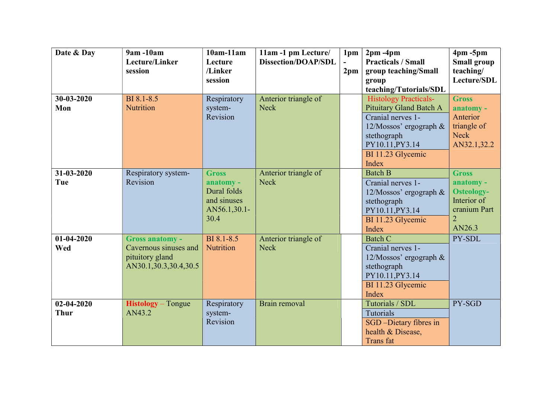| Date & Day                      | 9am -10am<br>Lecture/Linker<br>session                                                      | $10am-11am$<br>Lecture<br>/Linker                                               | 11am -1 pm Lecture/<br><b>Dissection/DOAP/SDL</b> | 1 <sub>pm</sub><br>$\blacksquare$ | $2pm - 4pm$<br><b>Practicals / Small</b>                                                                                                                                            | $4pm - 5pm$<br><b>Small group</b><br>teaching/                                                            |
|---------------------------------|---------------------------------------------------------------------------------------------|---------------------------------------------------------------------------------|---------------------------------------------------|-----------------------------------|-------------------------------------------------------------------------------------------------------------------------------------------------------------------------------------|-----------------------------------------------------------------------------------------------------------|
|                                 |                                                                                             | session                                                                         |                                                   | 2 <sub>pm</sub>                   | group teaching/Small<br>group<br>teaching/Tutorials/SDL                                                                                                                             | Lecture/SDL                                                                                               |
| 30-03-2020<br>Mon               | BI 8.1-8.5<br><b>Nutrition</b>                                                              | Respiratory<br>system-<br>Revision                                              | Anterior triangle of<br><b>Neck</b>               |                                   | <b>Histology Practicals-</b><br><b>Pituitary Gland Batch A</b><br>Cranial nerves 1-<br>$12/M$ ossos' ergograph $\&$<br>stethograph<br>PY10.11, PY3.14<br>BI 11.23 Glycemic<br>Index | <b>Gross</b><br>anatomy -<br>Anterior<br>triangle of<br><b>Neck</b><br>AN32.1,32.2                        |
| 31-03-2020<br>Tue               | Respiratory system-<br>Revision                                                             | <b>Gross</b><br>anatomy -<br>Dural folds<br>and sinuses<br>AN56.1,30.1-<br>30.4 | Anterior triangle of<br><b>Neck</b>               |                                   | <b>Batch B</b><br>Cranial nerves 1-<br>12/Mossos' ergograph &<br>stethograph<br>PY10.11, PY3.14<br>BI 11.23 Glycemic<br>Index                                                       | <b>Gross</b><br>anatomy -<br><b>Osteology-</b><br>Interior of<br>cranium Part<br>$\overline{2}$<br>AN26.3 |
| $01-04-2020$<br>Wed             | <b>Gross anatomy -</b><br>Cavernous sinuses and<br>pituitory gland<br>AN30.1,30.3,30.4,30.5 | BI 8.1-8.5<br>Nutrition                                                         | Anterior triangle of<br><b>Neck</b>               |                                   | Batch C<br>Cranial nerves 1-<br>12/Mossos' ergograph &<br>stethograph<br>PY10.11, PY3.14<br>BI 11.23 Glycemic<br>Index                                                              | PY-SDL                                                                                                    |
| $02 - 04 - 2020$<br><b>Thur</b> | <b>Histology</b> – Tongue<br>AN43.2                                                         | Respiratory<br>system-<br>Revision                                              | Brain removal                                     |                                   | Tutorials / SDL<br>Tutorials<br>SGD-Dietary fibres in<br>health & Disease,<br><b>Trans</b> fat                                                                                      | PY-SGD                                                                                                    |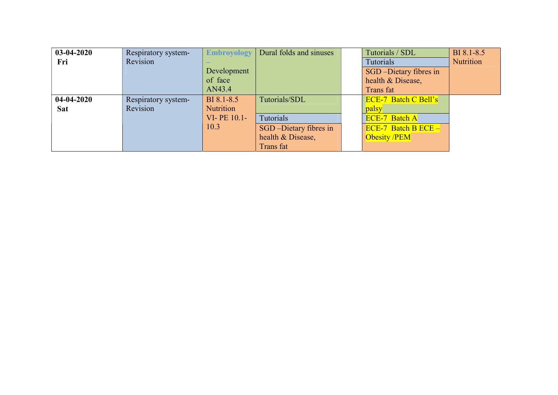| $03-04-2020$ | Respiratory system- | <b>Embroyology</b> | Dural folds and sinuses | Tutorials / SDL             | BI 8.1-8.5       |
|--------------|---------------------|--------------------|-------------------------|-----------------------------|------------------|
| Fri          | Revision            |                    |                         | <b>Tutorials</b>            | <b>Nutrition</b> |
|              |                     | Development        |                         | SGD-Dietary fibres in       |                  |
|              |                     | of face            |                         | health & Disease,           |                  |
|              |                     | AN43.4             |                         | Trans fat                   |                  |
| $04-04-2020$ | Respiratory system- | BI 8.1-8.5         | Tutorials/SDL           | <b>ECE-7 Batch C Bell's</b> |                  |
| <b>Sat</b>   | Revision            | <b>Nutrition</b>   |                         | palsy                       |                  |
|              |                     | VI-PE 10.1-        | Tutorials               | <b>ECE-7 Batch A</b>        |                  |
|              |                     | 10.3               | SGD-Dietary fibres in   | $ECE-7$ Batch B $ECE-$      |                  |
|              |                     |                    | health & Disease,       | <b>Obesity /PEM</b>         |                  |
|              |                     |                    | Trans fat               |                             |                  |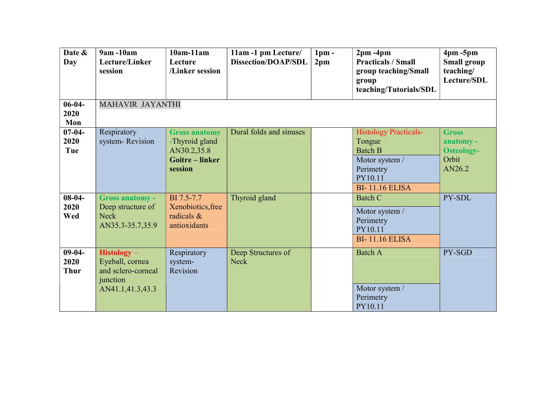| Date &<br>Day                   | 9am -10am<br>Lecture/Linker<br>session                                                 | $10am-11am$<br>Lecture<br>/Linker session                                                | 11am -1 pm Lecture/<br><b>Dissection/DOAP/SDL</b> | $1pm$ -<br>2 <sub>pm</sub> | $2pm - 4pm$<br><b>Practicals / Small</b><br>group teaching/Small<br>group<br>teaching/Tutorials/SDL                         | $4pm - 5pm$<br><b>Small group</b><br>teaching/<br>Lecture/SDL     |
|---------------------------------|----------------------------------------------------------------------------------------|------------------------------------------------------------------------------------------|---------------------------------------------------|----------------------------|-----------------------------------------------------------------------------------------------------------------------------|-------------------------------------------------------------------|
| $06-04-$<br>2020<br>Mon         | MAHAVIR JAYANTHI                                                                       |                                                                                          |                                                   |                            |                                                                                                                             |                                                                   |
| $07 - 04 -$<br>2020<br>Tue      | Respiratory<br>system-Revision                                                         | <b>Gross anatomy</b><br>-Thyroid gland<br>AN30.2,35.8<br><b>Goitre-linker</b><br>session | Dural folds and sinuses                           |                            | <b>Histology Practicals-</b><br>Tongue<br><b>Batch B</b><br>Motor system /<br>Perimetry<br>PY10.11<br><b>BI-11.16 ELISA</b> | <b>Gross</b><br>anatomy -<br><b>Osteology-</b><br>Orbit<br>AN26.2 |
| $08 - 04 -$<br>2020<br>Wed      | <b>Gross anatomy -</b><br>Deep structure of<br><b>Neck</b><br>AN35.3-35.7,35.9         | BI 7.5-7.7<br>Xenobiotics, free<br>radicals &<br>antioxidants                            | Thyroid gland                                     |                            | <b>Batch C</b><br>Motor system /<br>Perimetry<br>PY10.11<br><b>BI-11.16 ELISA</b>                                           | PY-SDL                                                            |
| $09-04-$<br>2020<br><b>Thur</b> | $Histology -$<br>Eyeball, cornea<br>and sclero-corneal<br>junction<br>AN41.1,41.3,43.3 | Respiratory<br>system-<br>Revision                                                       | Deep Structures of<br><b>Neck</b>                 |                            | <b>Batch A</b><br>Motor system /<br>Perimetry<br>PY10.11                                                                    | PY-SGD                                                            |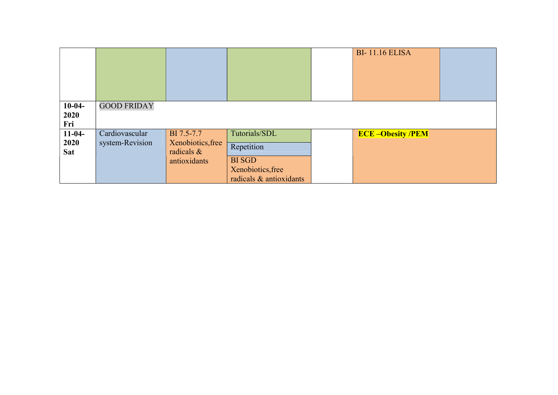|            |                    |                   |                         | <b>BI-11.16 ELISA</b>  |  |
|------------|--------------------|-------------------|-------------------------|------------------------|--|
|            |                    |                   |                         |                        |  |
| $10-04-$   | <b>GOOD FRIDAY</b> |                   |                         |                        |  |
| 2020       |                    |                   |                         |                        |  |
| Fri        |                    |                   |                         |                        |  |
| $11-04-$   | Cardiovascular     | BI 7.5-7.7        | Tutorials/SDL           | <b>ECE-Obesity/PEM</b> |  |
| 2020       | system-Revision    | Xenobiotics, free | Repetition              |                        |  |
| <b>Sat</b> |                    | radicals $\&$     |                         |                        |  |
|            |                    | antioxidants      | <b>BI</b> SGD           |                        |  |
|            |                    |                   | Xenobiotics, free       |                        |  |
|            |                    |                   | radicals & antioxidants |                        |  |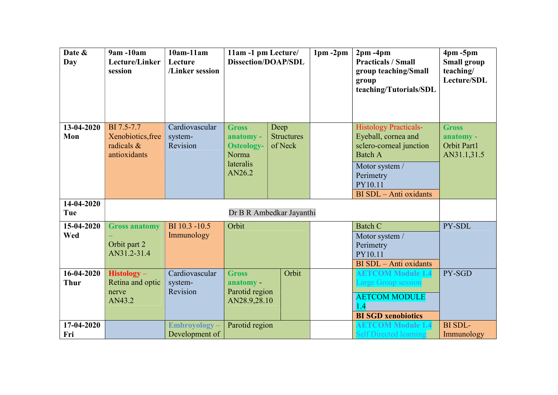| Date &<br>Day             | 9am -10am<br>Lecture/Linker<br>session                        | $10am-11am$<br>Lecture<br>/Linker session | 11am -1 pm Lecture/<br><b>Dissection/DOAP/SDL</b>                              |                                      | $1pm - 2pm$ | $2pm - 4pm$<br><b>Practicals / Small</b><br>group teaching/Small<br>group<br>teaching/Tutorials/SDL                                                                  | $4pm - 5pm$<br><b>Small group</b><br>teaching/<br>Lecture/SDL |
|---------------------------|---------------------------------------------------------------|-------------------------------------------|--------------------------------------------------------------------------------|--------------------------------------|-------------|----------------------------------------------------------------------------------------------------------------------------------------------------------------------|---------------------------------------------------------------|
| 13-04-2020<br>Mon         | BI 7.5-7.7<br>Xenobiotics, free<br>radicals &<br>antioxidants | Cardiovascular<br>system-<br>Revision     | <b>Gross</b><br>anatomy -<br><b>Osteology-</b><br>Norma<br>lateralis<br>AN26.2 | Deep<br><b>Structures</b><br>of Neck |             | <b>Histology Practicals-</b><br>Eyeball, cornea and<br>sclero-corneal junction<br><b>Batch A</b><br>Motor system /<br>Perimetry<br>PY10.11<br>BI SDL - Anti oxidants | <b>Gross</b><br>anatomy -<br>Orbit Part1<br>AN31.1,31.5       |
| 14-04-2020<br>Tue         |                                                               |                                           | Dr B R Ambedkar Jayanthi                                                       |                                      |             |                                                                                                                                                                      |                                                               |
| 15-04-2020<br>Wed         | <b>Gross anatomy</b><br>Orbit part 2<br>AN31.2-31.4           | BI 10.3 -10.5<br>Immunology               | Orbit                                                                          |                                      |             | <b>Batch C</b><br>Motor system /<br>Perimetry<br>PY10.11<br>BI SDL - Anti oxidants                                                                                   | PY-SDL                                                        |
| 16-04-2020<br><b>Thur</b> | <b>Histology</b> -<br>Retina and optic<br>nerve<br>AN43.2     | Cardiovascular<br>system-<br>Revision     | <b>Gross</b><br>anatomy -<br>Parotid region<br>AN28.9,28.10                    | Orbit                                |             | <b>AETCOM Module 1.4</b><br>Large Group session<br><b>AETCOM MODULE</b><br>$\overline{.4}$<br><b>BI SGD xenobiotics</b>                                              | PY-SGD                                                        |
| 17-04-2020<br>Fri         |                                                               | <b>Embroyology</b> –<br>Development of    | Parotid region                                                                 |                                      |             | <b>AETCOM Module 1.4</b><br><b>Self Directed learning</b>                                                                                                            | <b>BI</b> SDL-<br>Immunology                                  |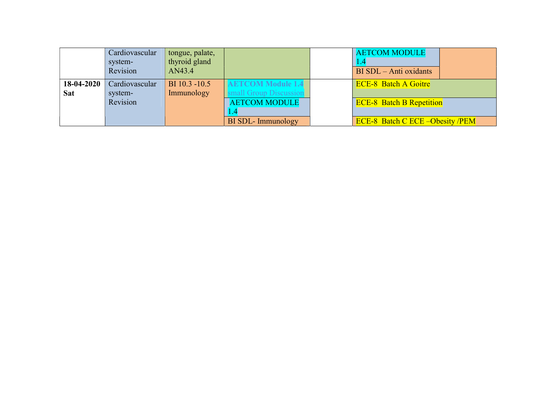|            | Cardiovascular<br>system-<br>Revision | tongue, palate,<br>thyroid gland<br>AN43.4 |                          | <b>AETCOM MODULE</b><br>BI SDL - Anti oxidants |
|------------|---------------------------------------|--------------------------------------------|--------------------------|------------------------------------------------|
| 18-04-2020 | Cardiovascular                        | BI 10.3 -10.5                              | <b>AETCOM Module 1.4</b> | <b>ECE-8 Batch A Goitre</b>                    |
| <b>Sat</b> | system-                               | Immunology                                 | small Group Discussion   |                                                |
|            | Revision                              |                                            | <b>AETCOM MODULE</b>     | <b>ECE-8 Batch B Repetition</b>                |
|            |                                       |                                            |                          |                                                |
|            |                                       |                                            | <b>BI SDL-Immunology</b> | <b>ECE-8 Batch C ECE – Obesity / PEM</b>       |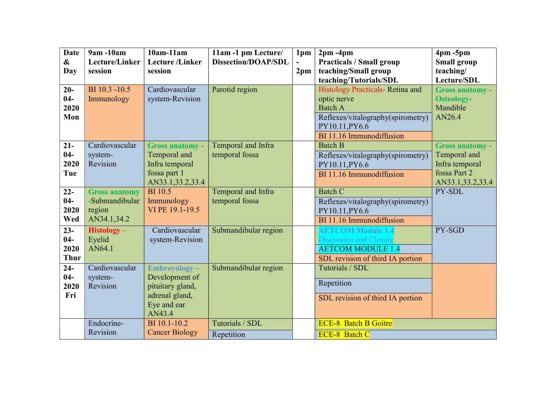| <b>Date</b><br>$\boldsymbol{\&}$ | 9am -10am<br>Lecture/Linker | $10am-11am$<br><b>Lecture</b> /Linker | 11am -1 pm Lecture/<br><b>Dissection/DOAP/SDL</b> | 1pm             | $2pm - 4pm$<br><b>Practicals / Small group</b> | $4pm - 5pm$<br><b>Small group</b> |
|----------------------------------|-----------------------------|---------------------------------------|---------------------------------------------------|-----------------|------------------------------------------------|-----------------------------------|
| Day                              | session                     | session                               |                                                   | 2 <sub>pm</sub> | teaching/Small group                           | teaching/                         |
|                                  |                             |                                       |                                                   |                 | teaching/Tutorials/SDL                         | Lecture/SDL                       |
| $20-$                            | BI 10.3 -10.5               | Cardiovascular                        | Parotid region                                    |                 | Histology Practicals- Retina and               | <b>Gross anatomy -</b>            |
| $04 -$                           | Immunology                  | system-Revision                       |                                                   |                 | optic nerve                                    | <b>Osteology-</b>                 |
| 2020                             |                             |                                       |                                                   |                 | <b>Batch A</b>                                 | Mandible                          |
| Mon                              |                             |                                       |                                                   |                 | Reflexes/vitalography(spirometry)              | AN26.4                            |
|                                  |                             |                                       |                                                   |                 | PY10.11, PY6.6                                 |                                   |
|                                  |                             |                                       |                                                   |                 | BI 11.16 Immunodiffusion                       |                                   |
| $21 -$                           | Cardiovascular              | <b>Gross anatomy -</b>                | Temporal and Infra                                |                 | <b>Batch B</b>                                 | <b>Gross anatomy -</b>            |
| $04 -$                           | system-                     | Temporal and                          | temporal fossa                                    |                 | Reflexes/vitalography(spirometry)              | Temporal and                      |
| 2020                             | Revision                    | Infra temporal                        |                                                   |                 | PY10.11, PY6.6                                 | Infra temporal                    |
| Tue                              |                             | fossa part 1                          |                                                   |                 | BI 11.16 Immunodiffusion                       | fossa Part 2                      |
|                                  |                             | AN33.1,33.2,33.4                      |                                                   |                 |                                                | AN33.1,33.2,33.4                  |
| $22 -$                           | <b>Gross anatomy</b>        | <b>BI</b> 10.5                        | Temporal and Infra                                |                 | <b>Batch C</b>                                 | PY-SDL                            |
| $04 -$                           | -Submandibular              | Immunology                            | temporal fossa                                    |                 | Reflexes/vitalography(spirometry)              |                                   |
| 2020                             | region                      | VI PE 19.1-19.5                       |                                                   |                 | PY10.11, PY6.6                                 |                                   |
| Wed                              | AN34.1,34.2                 |                                       |                                                   |                 | BI 11.16 Immunodiffusion                       |                                   |
| $23 -$                           | $Histology -$               | Cardiovascular                        | Submandibular region                              |                 | <b>AETCOM Module 1.4</b>                       | PY-SGD                            |
| $04 -$                           | Eyelid                      | system-Revision                       |                                                   |                 | <b>Discussion and Closure</b>                  |                                   |
| 2020                             | AN64.1                      |                                       |                                                   |                 | <b>AETCOM MODULE 1.4</b>                       |                                   |
| <b>Thur</b>                      |                             |                                       |                                                   |                 | SDL revision of third IA portion               |                                   |
| $24 -$                           | Cardiovascular              | Embroyology-                          | Submandibular region                              |                 | Tutorials / SDL                                |                                   |
| $04 -$                           | system-                     | Development of                        |                                                   |                 | Repetition                                     |                                   |
| 2020                             | Revision                    | pituitary gland,                      |                                                   |                 |                                                |                                   |
| Fri                              |                             | adrenal gland,                        |                                                   |                 | SDL revision of third IA portion               |                                   |
|                                  |                             | Eye and ear<br>AN43.4                 |                                                   |                 |                                                |                                   |
|                                  | Endocrine-                  | BI 10.1-10.2                          | Tutorials / SDL                                   |                 | <b>ECE-8 Batch B Goitre</b>                    |                                   |
|                                  | Revision                    | <b>Cancer Biology</b>                 | Repetition                                        |                 | <b>ECE-8 Batch C</b>                           |                                   |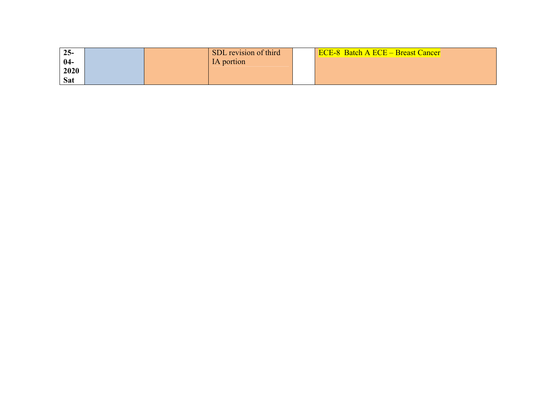| $25 -$     |  | SDL revision of third | <b>ECE-8 Batch A ECE – Breast Cancer</b> |
|------------|--|-----------------------|------------------------------------------|
| $04-$      |  | IA portion            |                                          |
| 2020       |  |                       |                                          |
| <b>Sat</b> |  |                       |                                          |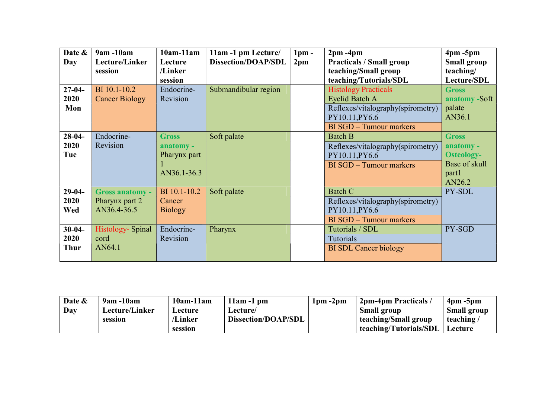| Date &      | 9am -10am               | $10am-11am$    | 11am -1 pm Lecture/        | 1 <sub>pm</sub> | $2pm - 4pm$                       | $4pm - 5pm$        |
|-------------|-------------------------|----------------|----------------------------|-----------------|-----------------------------------|--------------------|
| Day         | Lecture/Linker          | Lecture        | <b>Dissection/DOAP/SDL</b> | 2 <sub>pm</sub> | <b>Practicals / Small group</b>   | <b>Small group</b> |
|             | session                 | /Linker        |                            |                 | teaching/Small group              | teaching/          |
|             |                         | session        |                            |                 | teaching/Tutorials/SDL            | Lecture/SDL        |
| $27-04-$    | BI 10.1-10.2            | Endocrine-     | Submandibular region       |                 | <b>Histology Practicals</b>       | <b>Gross</b>       |
| 2020        | <b>Cancer Biology</b>   | Revision       |                            |                 | <b>Eyelid Batch A</b>             | anatomy -Soft      |
| Mon         |                         |                |                            |                 | Reflexes/vitalography(spirometry) | palate             |
|             |                         |                |                            |                 | PY10.11, PY6.6                    | AN36.1             |
|             |                         |                |                            |                 | <b>BI SGD</b> - Tumour markers    |                    |
| $28-04-$    | Endocrine-              | <b>Gross</b>   | Soft palate                |                 | <b>Batch B</b>                    | <b>Gross</b>       |
| 2020        | Revision                | anatomy -      |                            |                 | Reflexes/vitalography(spirometry) | anatomy -          |
| Tue         |                         | Pharynx part   |                            |                 | PY10.11, PY6.6                    | <b>Osteology-</b>  |
|             |                         |                |                            |                 | BI SGD - Tumour markers           | Base of skull      |
|             |                         | AN36.1-36.3    |                            |                 |                                   | part1              |
|             |                         |                |                            |                 |                                   | AN26.2             |
| $29-04-$    | <b>Gross anatomy -</b>  | BI 10.1-10.2   | Soft palate                |                 | <b>Batch C</b>                    | PY-SDL             |
| 2020        | Pharynx part 2          | Cancer         |                            |                 | Reflexes/vitalography(spirometry) |                    |
| Wed         | AN36.4-36.5             | <b>Biology</b> |                            |                 | PY10.11, PY6.6                    |                    |
|             |                         |                |                            |                 | BI SGD - Tumour markers           |                    |
| $30 - 04 -$ | <b>Histology-Spinal</b> | Endocrine-     | Pharynx                    |                 | Tutorials / SDL                   | PY-SGD             |
| 2020        | cord                    | Revision       |                            |                 | Tutorials                         |                    |
| <b>Thur</b> | AN64.1                  |                |                            |                 | <b>BI SDL Cancer biology</b>      |                    |
|             |                         |                |                            |                 |                                   |                    |

| Date & | $9am - 10am$   | $10am-11am$ | 11am -1 pm          | $1pm - 2pm$ | 2pm-4pm Practicals     | $4 \text{pm} - 5 \text{pm}$ |
|--------|----------------|-------------|---------------------|-------------|------------------------|-----------------------------|
| Day    | Lecture/Linker | Lecture     | Lecture/            |             | <b>Small group</b>     | <b>Small group</b>          |
|        | session        | /Linker     | Dissection/DOAP/SDL |             | teaching/Small group   | teaching/                   |
|        |                | session     |                     |             | teaching/Tutorials/SDL | Lecture                     |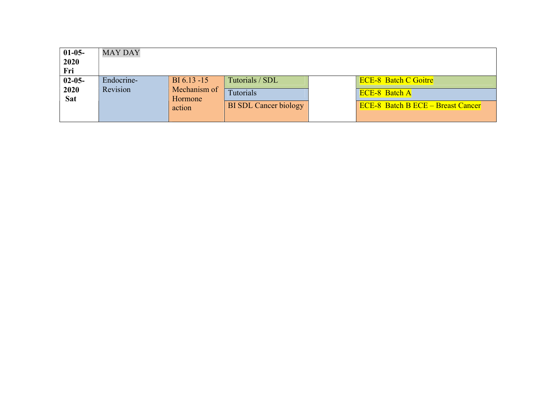| $01-05-$<br>2020<br>Fri           | <b>MAY DAY</b>         |                                                     |                                                              |                                                                                                 |
|-----------------------------------|------------------------|-----------------------------------------------------|--------------------------------------------------------------|-------------------------------------------------------------------------------------------------|
| $02 - 05 -$<br>2020<br><b>Sat</b> | Endocrine-<br>Revision | $BI 6.13 - 15$<br>Mechanism of<br>Hormone<br>action | Tutorials / SDL<br>Tutorials<br><b>BI SDL Cancer biology</b> | <b>ECE-8 Batch C Goitre</b><br><b>ECE-8 Batch A</b><br><b>ECE-8</b> Batch B ECE – Breast Cancer |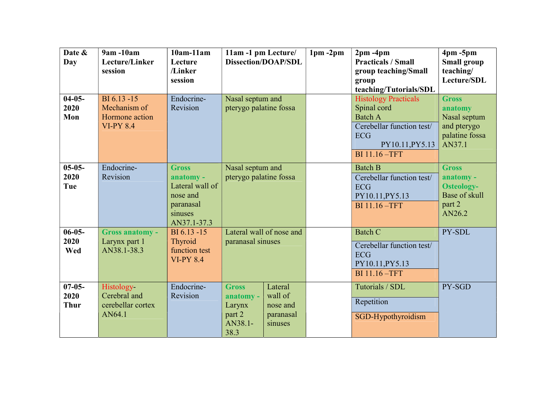| Date &<br>Day                      | 9am -10am<br>Lecture/Linker<br>session                            | $10am-11am$<br>Lecture<br>/Linker<br>session                                                    | 11am -1 pm Lecture/<br><b>Dissection/DOAP/SDL</b>                |                                                        | $1pm - 2pm$ | $2pm - 4pm$<br><b>Practicals / Small</b><br>group teaching/Small<br>group<br>teaching/Tutorials/SDL                                                | $4pm - 5pm$<br><b>Small group</b><br>teaching/<br>Lecture/SDL                       |
|------------------------------------|-------------------------------------------------------------------|-------------------------------------------------------------------------------------------------|------------------------------------------------------------------|--------------------------------------------------------|-------------|----------------------------------------------------------------------------------------------------------------------------------------------------|-------------------------------------------------------------------------------------|
| $04-05-$<br>2020<br>Mon            | BI 6.13 -15<br>Mechanism of<br>Hormone action<br><b>VI-PY 8.4</b> | Endocrine-<br>Revision                                                                          | Nasal septum and<br>pterygo palatine fossa                       |                                                        |             | <b>Histology Practicals</b><br>Spinal cord<br><b>Batch A</b><br>Cerebellar function test/<br><b>ECG</b><br>PY10.11, PY5.13<br><b>BI</b> 11.16 -TFT | <b>Gross</b><br>anatomy<br>Nasal septum<br>and pterygo<br>palatine fossa<br>AN37.1  |
| $05-05-$<br>2020<br>Tue            | Endocrine-<br>Revision                                            | <b>Gross</b><br>anatomy -<br>Lateral wall of<br>nose and<br>paranasal<br>sinuses<br>AN37.1-37.3 | Nasal septum and<br>pterygo palatine fossa                       |                                                        |             | <b>Batch B</b><br>Cerebellar function test/<br><b>ECG</b><br>PY10.11, PY5.13<br><b>BI</b> 11.16 -TFT                                               | <b>Gross</b><br>anatomy -<br><b>Osteology-</b><br>Base of skull<br>part 2<br>AN26.2 |
| $06 - 05 -$<br>2020<br>Wed         | <b>Gross anatomy -</b><br>Larynx part 1<br>AN38.1-38.3            | BI 6.13 -15<br>Thyroid<br>function test<br><b>VI-PY 8.4</b>                                     | Lateral wall of nose and<br>paranasal sinuses                    |                                                        |             | <b>Batch C</b><br>Cerebellar function test/<br><b>ECG</b><br>PY10.11, PY5.13<br>BI 11.16 - TFT                                                     | PY-SDL                                                                              |
| $07 - 05 -$<br>2020<br><b>Thur</b> | Histology-<br>Cerebral and<br>cerebellar cortex<br>AN64.1         | Endocrine-<br>Revision                                                                          | <b>Gross</b><br>anatomy -<br>Larynx<br>part 2<br>AN38.1-<br>38.3 | Lateral<br>wall of<br>nose and<br>paranasal<br>sinuses |             | Tutorials / SDL<br>Repetition<br>SGD-Hypothyroidism                                                                                                | PY-SGD                                                                              |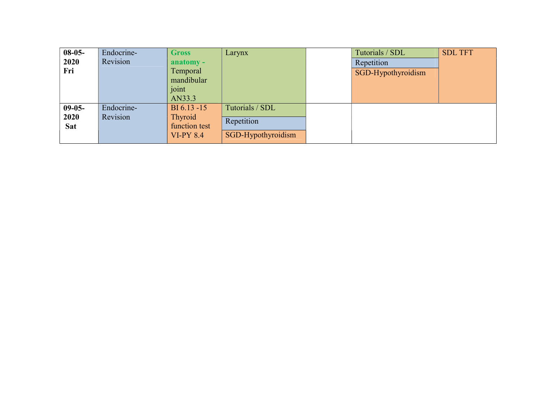| $08-05-$ | Endocrine- | <b>Gross</b>        | Larynx             | Tutorials / SDL    | <b>SDL TFT</b> |
|----------|------------|---------------------|--------------------|--------------------|----------------|
| 2020     | Revision   | anatomy -           |                    | Repetition         |                |
| Fri      |            | Temporal            |                    | SGD-Hypothyroidism |                |
|          |            | mandibular<br>joint |                    |                    |                |
|          |            | AN33.3              |                    |                    |                |
| $09-05-$ | Endocrine- | BI 6.13 -15         | Tutorials / SDL    |                    |                |
| 2020     | Revision   | Thyroid             | Repetition         |                    |                |
| Sat      |            | function test       |                    |                    |                |
|          |            | <b>VI-PY 8.4</b>    | SGD-Hypothyroidism |                    |                |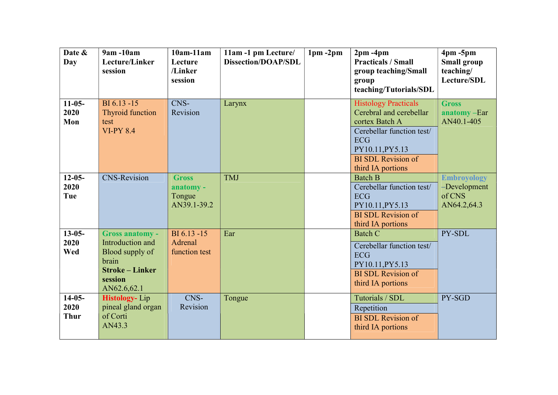| Date &<br>Day                   | 9am -10am<br>Lecture/Linker<br>session                                                                                     | $10am-11am$<br>Lecture<br>/Linker<br>session       | 11am -1 pm Lecture/<br><b>Dissection/DOAP/SDL</b> | $1pm - 2pm$ | $2pm - 4pm$<br><b>Practicals / Small</b><br>group teaching/Small<br>group<br>teaching/Tutorials/SDL                                                                                      | $4pm - 5pm$<br><b>Small group</b><br>teaching/<br>Lecture/SDL |
|---------------------------------|----------------------------------------------------------------------------------------------------------------------------|----------------------------------------------------|---------------------------------------------------|-------------|------------------------------------------------------------------------------------------------------------------------------------------------------------------------------------------|---------------------------------------------------------------|
| $11-05-$<br>2020<br>Mon         | $BI 6.13 - 15$<br>Thyroid function<br>test<br><b>VI-PY 8.4</b>                                                             | CNS-<br>Revision                                   | Larynx                                            |             | <b>Histology Practicals</b><br>Cerebral and cerebellar<br>cortex Batch A<br>Cerebellar function test/<br><b>ECG</b><br>PY10.11, PY5.13<br><b>BI SDL Revision of</b><br>third IA portions | <b>Gross</b><br>anatomy-Ear<br>AN40.1-405                     |
| $12 - 05 -$<br>2020<br>Tue      | <b>CNS-Revision</b>                                                                                                        | <b>Gross</b><br>anatomy -<br>Tongue<br>AN39.1-39.2 | <b>TMJ</b>                                        |             | <b>Batch B</b><br>Cerebellar function test/<br><b>ECG</b><br>PY10.11, PY5.13<br><b>BI SDL Revision of</b><br>third IA portions                                                           | <b>Embroyology</b><br>-Development<br>of CNS<br>AN64.2,64.3   |
| $13 - 05 -$<br>2020<br>Wed      | <b>Gross anatomy -</b><br>Introduction and<br>Blood supply of<br>brain<br><b>Stroke – Linker</b><br>session<br>AN62.6,62.1 | BI 6.13 -15<br>Adrenal<br>function test            | Ear                                               |             | Batch C<br>Cerebellar function test/<br><b>ECG</b><br>PY10.11, PY5.13<br><b>BI SDL Revision of</b><br>third IA portions                                                                  | PY-SDL                                                        |
| $14-05-$<br>2020<br><b>Thur</b> | <b>Histology-Lip</b><br>pineal gland organ<br>of Corti<br>AN43.3                                                           | CNS-<br>Revision                                   | Tongue                                            |             | Tutorials / SDL<br>Repetition<br><b>BI SDL Revision of</b><br>third IA portions                                                                                                          | PY-SGD                                                        |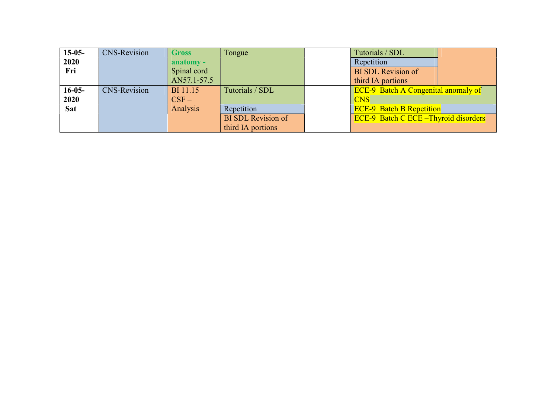| $15-05-$   | <b>CNS-Revision</b> | <b>Gross</b>    | Tongue                    | Tutorials / SDL                              |  |
|------------|---------------------|-----------------|---------------------------|----------------------------------------------|--|
| 2020       |                     | anatomy -       |                           | Repetition                                   |  |
| Fri        |                     | Spinal cord     |                           | <b>BI SDL Revision of</b>                    |  |
|            |                     | AN57.1-57.5     |                           | third IA portions                            |  |
| $16-05-$   | <b>CNS-Revision</b> | <b>BI</b> 11.15 | Tutorials / SDL           | <b>ECE-9</b> Batch A Congenital anomaly of   |  |
| 2020       |                     | $CSF -$         |                           | <b>CNS</b>                                   |  |
| <b>Sat</b> |                     | Analysis        | Repetition                | <b>ECE-9 Batch B Repetition</b>              |  |
|            |                     |                 | <b>BI SDL Revision of</b> | <b>ECE-9</b> Batch C ECE - Thyroid disorders |  |
|            |                     |                 | third IA portions         |                                              |  |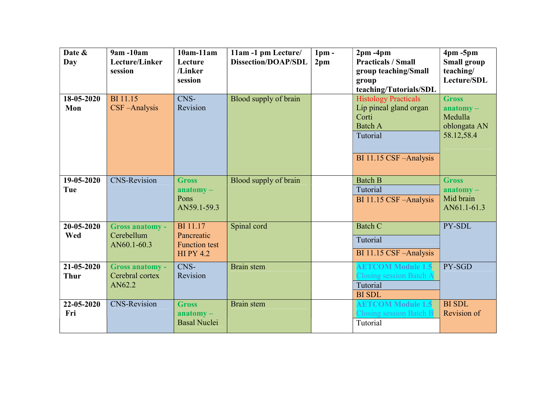| Date &<br>Day             | 9am -10am<br>Lecture/Linker<br>session              | $10am-11am$<br>Lecture<br>/Linker<br>session                             | 11am -1 pm Lecture/<br><b>Dissection/DOAP/SDL</b> | 1 <sub>pm</sub><br>2 <sub>pm</sub> | $2pm - 4pm$<br><b>Practicals / Small</b><br>group teaching/Small<br>group<br>teaching/Tutorials/SDL                     | $4pm - 5pm$<br><b>Small group</b><br>teaching/<br>Lecture/SDL        |
|---------------------------|-----------------------------------------------------|--------------------------------------------------------------------------|---------------------------------------------------|------------------------------------|-------------------------------------------------------------------------------------------------------------------------|----------------------------------------------------------------------|
| 18-05-2020<br>Mon         | <b>BI</b> 11.15<br>CSF-Analysis                     | CNS-<br>Revision                                                         | Blood supply of brain                             |                                    | <b>Histology Practicals</b><br>Lip pineal gland organ<br>Corti<br><b>Batch A</b><br>Tutorial<br>BI 11.15 CSF - Analysis | <b>Gross</b><br>$anatomy -$<br>Medulla<br>oblongata AN<br>58.12,58.4 |
| 19-05-2020<br>Tue         | <b>CNS-Revision</b>                                 | <b>Gross</b><br>$\mathbf{an}$ atomy –<br>Pons<br>AN59.1-59.3             | Blood supply of brain                             |                                    | <b>Batch B</b><br>Tutorial<br>BI 11.15 CSF-Analysis                                                                     | <b>Gross</b><br>$\mathbf{an}$ atomy –<br>Mid brain<br>AN61.1-61.3    |
| 20-05-2020<br>Wed         | <b>Gross anatomy -</b><br>Cerebellum<br>AN60.1-60.3 | <b>BI</b> 11.17<br>Pancreatic<br><b>Function test</b><br><b>HIPY 4.2</b> | Spinal cord                                       |                                    | <b>Batch C</b><br>Tutorial<br>BI 11.15 CSF-Analysis                                                                     | PY-SDL                                                               |
| 21-05-2020<br><b>Thur</b> | <b>Gross anatomy -</b><br>Cerebral cortex<br>AN62.2 | CNS-<br>Revision                                                         | Brain stem                                        |                                    | <b>AETCOM Module 1.5</b><br><b>Closing session Batch A</b><br>Tutorial<br><b>BI SDL</b>                                 | PY-SGD                                                               |
| 22-05-2020<br>Fri         | <b>CNS-Revision</b>                                 | <b>Gross</b><br>$anatomy -$<br><b>Basal Nuclei</b>                       | Brain stem                                        |                                    | <b>AETCOM Module 1.5</b><br>Closing session Batch B<br>Tutorial                                                         | <b>BI SDL</b><br>Revision of                                         |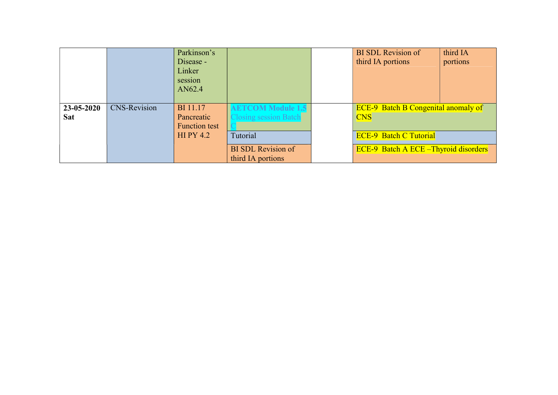|                          |                     | Parkinson's<br>Disease -<br>Linker<br>session<br>AN62.4 |                                                          | <b>BI SDL Revision of</b><br>third IA portions           | third IA<br>portions |
|--------------------------|---------------------|---------------------------------------------------------|----------------------------------------------------------|----------------------------------------------------------|----------------------|
| 23-05-2020<br><b>Sat</b> | <b>CNS-Revision</b> | <b>BI</b> 11.17<br>Pancreatic<br><b>Function test</b>   | <b>AETCOM Module 1.5</b><br><b>Closing session Batch</b> | <b>ECE-9</b> Batch B Congenital anomaly of<br><b>CNS</b> |                      |
|                          |                     | $HI$ PY 4.2                                             | Tutorial                                                 | <b>ECE-9 Batch C Tutorial</b>                            |                      |
|                          |                     |                                                         | <b>BI SDL Revision of</b><br>third IA portions           | <b>ECE-9 Batch A ECE – Thyroid disorders</b>             |                      |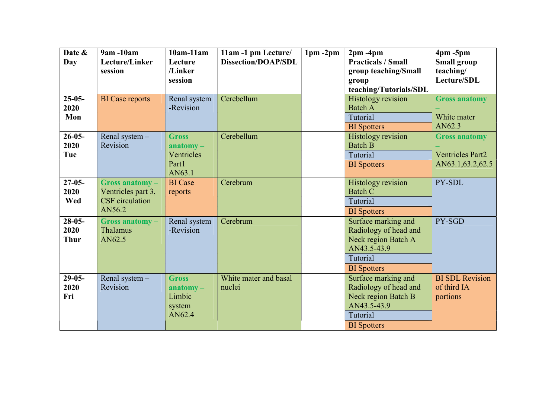| Date &<br>Day                   | 9am -10am<br>Lecture/Linker<br>session                                   | $10am-11am$<br>Lecture<br>/Linker<br>session                 | 11am -1 pm Lecture/<br><b>Dissection/DOAP/SDL</b> | $1pm - 2pm$ | $2pm - 4pm$<br><b>Practicals / Small</b><br>group teaching/Small<br>group<br>teaching/Tutorials/SDL                  | $4pm - 5pm$<br>Small group<br>teaching/<br>Lecture/SDL                |
|---------------------------------|--------------------------------------------------------------------------|--------------------------------------------------------------|---------------------------------------------------|-------------|----------------------------------------------------------------------------------------------------------------------|-----------------------------------------------------------------------|
| $25 - 05 -$<br>2020<br>Mon      | <b>BI</b> Case reports                                                   | Renal system<br>-Revision                                    | Cerebellum                                        |             | Histology revision<br><b>Batch A</b><br>Tutorial<br><b>BI</b> Spotters                                               | <b>Gross anatomy</b><br>White mater<br>AN62.3                         |
| $26 - 05 -$<br>2020<br>Tue      | Renal system -<br>Revision                                               | <b>Gross</b><br>$anatomy -$<br>Ventricles<br>Part1<br>AN63.1 | Cerebellum                                        |             | <b>Histology</b> revision<br><b>Batch B</b><br>Tutorial<br><b>BI</b> Spotters                                        | <b>Gross anatomy</b><br><b>Ventricles Part2</b><br>AN63.1, 63.2, 62.5 |
| $27 - 05 -$<br>2020<br>Wed      | Gross anatomy-<br>Ventricles part 3,<br><b>CSF</b> circulation<br>AN56.2 | <b>BI</b> Case<br>reports                                    | Cerebrum                                          |             | Histology revision<br><b>Batch C</b><br>Tutorial<br><b>BI</b> Spotters                                               | PY-SDL                                                                |
| $28-05-$<br>2020<br><b>Thur</b> | Gross anatomy-<br><b>Thalamus</b><br>AN62.5                              | Renal system<br>-Revision                                    | Cerebrum                                          |             | Surface marking and<br>Radiology of head and<br>Neck region Batch A<br>AN43.5-43.9<br>Tutorial<br><b>BI</b> Spotters | PY-SGD                                                                |
| $29-05-$<br>2020<br>Fri         | Renal system -<br>Revision                                               | <b>Gross</b><br>$anatomy -$<br>Limbic<br>system<br>AN62.4    | White mater and basal<br>nuclei                   |             | Surface marking and<br>Radiology of head and<br>Neck region Batch B<br>AN43.5-43.9<br>Tutorial<br><b>BI</b> Spotters | <b>BI SDL Revision</b><br>of third IA<br>portions                     |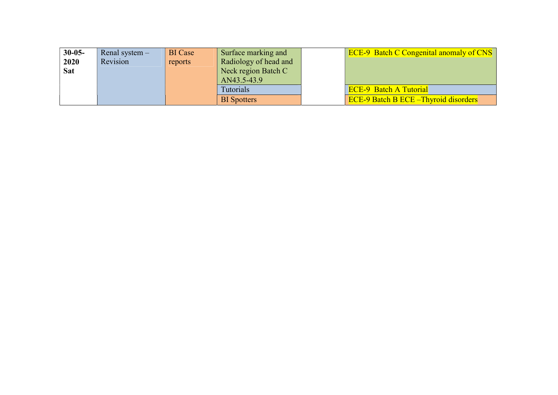| $30 - 05 -$ | Renal system $-$ | <b>BI</b> Case | Surface marking and   | <b>ECE-9</b> Batch C Congenital anomaly of CNS |
|-------------|------------------|----------------|-----------------------|------------------------------------------------|
| 2020        | Revision         | reports        | Radiology of head and |                                                |
| <b>Sat</b>  |                  |                | Neck region Batch C   |                                                |
|             |                  |                | AN43.5-43.9           |                                                |
|             |                  |                | Tutorials             | <b>ECE-9 Batch A Tutorial</b>                  |
|             |                  |                | <b>BI</b> Spotters    | <b>ECE-9 Batch B ECE – Thyroid disorders</b>   |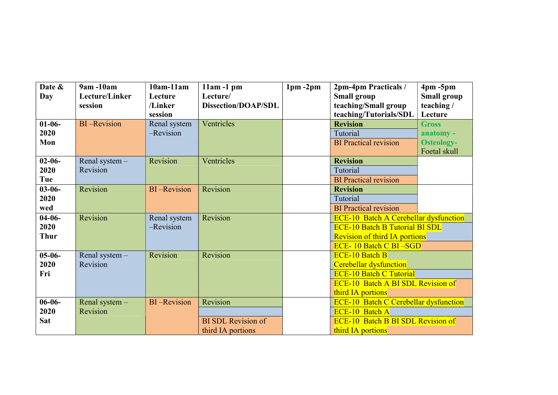| Date &<br>Day | 9am -10am<br>Lecture/Linker | $10am-11am$<br>Lecture | $11am - 1pm$<br>Lecture/   | $1pm - 2pm$ | 2pm-4pm Practicals /<br><b>Small group</b>   | $4pm - 5pm$<br><b>Small group</b> |
|---------------|-----------------------------|------------------------|----------------------------|-------------|----------------------------------------------|-----------------------------------|
|               | session                     | /Linker                | <b>Dissection/DOAP/SDL</b> |             | teaching/Small group                         | teaching/                         |
|               |                             | session                |                            |             | teaching/Tutorials/SDL                       | Lecture                           |
| $01-06-$      | <b>BI-Revision</b>          | Renal system           | Ventricles                 |             | <b>Revision</b>                              | <b>Gross</b>                      |
| 2020          |                             | -Revision              |                            |             | Tutorial                                     | anatomy -                         |
| Mon           |                             |                        |                            |             | <b>BI</b> Practical revision                 | <b>Osteology-</b>                 |
|               |                             |                        |                            |             |                                              | Foetal skull                      |
| $02 - 06 -$   | Renal system -              | Revision               | Ventricles                 |             | <b>Revision</b>                              |                                   |
| 2020          | Revision                    |                        |                            |             | Tutorial                                     |                                   |
| Tue           |                             |                        |                            |             | <b>BI</b> Practical revision                 |                                   |
| $03 - 06 -$   | Revision                    | <b>BI-Revision</b>     | Revision                   |             | <b>Revision</b>                              |                                   |
| 2020          |                             |                        |                            |             | Tutorial                                     |                                   |
| wed           |                             |                        |                            |             | <b>BI</b> Practical revision                 |                                   |
| $04-06-$      | Revision                    | Renal system           | Revision                   |             | <b>ECE-10 Batch A Cerebellar dysfunction</b> |                                   |
| 2020          |                             | -Revision              |                            |             | <b>ECE-10 Batch B Tutorial BI SDL</b>        |                                   |
| <b>Thur</b>   |                             |                        |                            |             | <b>Revision of third IA portions</b>         |                                   |
|               |                             |                        |                            |             | <b>ECE-10 Batch C BI-SGD</b>                 |                                   |
| $05 - 06 -$   | Renal system -              | Revision               | Revision                   |             | <b>ECE-10 Batch B</b>                        |                                   |
| 2020          | Revision                    |                        |                            |             | <b>Cerebellar dysfunction</b>                |                                   |
| Fri           |                             |                        |                            |             | <b>ECE-10 Batch C Tutorial</b>               |                                   |
|               |                             |                        |                            |             | <b>ECE-10 Batch A BI SDL Revision of</b>     |                                   |
|               |                             |                        |                            |             | third IA portions                            |                                   |
| $06 - 06 -$   | Renal system -              | <b>BI-Revision</b>     | Revision                   |             | <b>ECE-10 Batch C Cerebellar dysfunction</b> |                                   |
| 2020          | Revision                    |                        |                            |             | <b>ECE-10 Batch A</b>                        |                                   |
| <b>Sat</b>    |                             |                        | <b>BI SDL Revision of</b>  |             | <b>ECE-10 Batch B BI SDL Revision of</b>     |                                   |
|               |                             |                        | third IA portions          |             | third IA portions                            |                                   |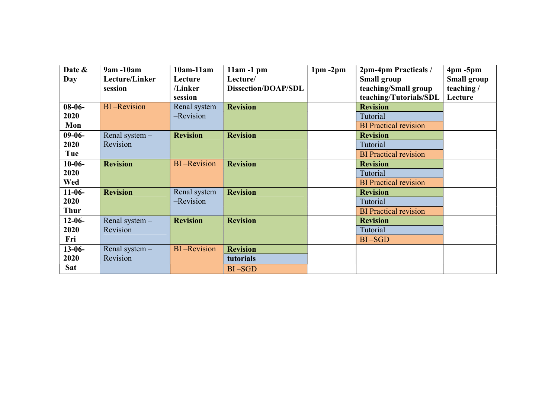| Date &      | 9am -10am          | $10am-11am$        | $11am - 1pm$               | $1pm - 2pm$ | 2pm-4pm Practicals /         | $4pm - 5pm$        |
|-------------|--------------------|--------------------|----------------------------|-------------|------------------------------|--------------------|
| Day         | Lecture/Linker     | Lecture            | Lecture/                   |             | <b>Small group</b>           | <b>Small group</b> |
|             | session            | /Linker            | <b>Dissection/DOAP/SDL</b> |             | teaching/Small group         | teaching/          |
|             |                    | session            |                            |             | teaching/Tutorials/SDL       | Lecture            |
| $08-06-$    | <b>BI-Revision</b> | Renal system       | <b>Revision</b>            |             | <b>Revision</b>              |                    |
| 2020        |                    | -Revision          |                            |             | Tutorial                     |                    |
| Mon         |                    |                    |                            |             | <b>BI</b> Practical revision |                    |
| $09-06-$    | Renal system -     | <b>Revision</b>    | <b>Revision</b>            |             | <b>Revision</b>              |                    |
| 2020        | Revision           |                    |                            |             | Tutorial                     |                    |
| Tue         |                    |                    |                            |             | <b>BI</b> Practical revision |                    |
| $10-06-$    | <b>Revision</b>    | <b>BI-Revision</b> | <b>Revision</b>            |             | <b>Revision</b>              |                    |
| 2020        |                    |                    |                            |             | Tutorial                     |                    |
| Wed         |                    |                    |                            |             | <b>BI</b> Practical revision |                    |
| $11-06-$    | <b>Revision</b>    | Renal system       | <b>Revision</b>            |             | <b>Revision</b>              |                    |
| 2020        |                    | -Revision          |                            |             | Tutorial                     |                    |
| <b>Thur</b> |                    |                    |                            |             | <b>BI</b> Practical revision |                    |
| $12-06-$    | Renal system -     | <b>Revision</b>    | <b>Revision</b>            |             | <b>Revision</b>              |                    |
| 2020        | Revision           |                    |                            |             | Tutorial                     |                    |
| Fri         |                    |                    |                            |             | $BI - SGD$                   |                    |
| $13 - 06 -$ | Renal system $-$   | <b>BI-Revision</b> | <b>Revision</b>            |             |                              |                    |
| 2020        | Revision           |                    | tutorials                  |             |                              |                    |
| <b>Sat</b>  |                    |                    | $BI - SGD$                 |             |                              |                    |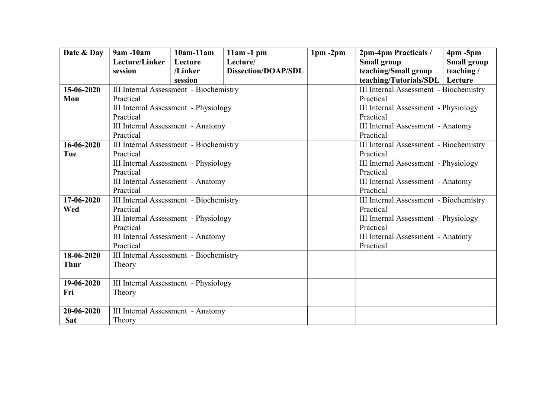| Date & Day  | 9am -10am                                | $10am-11am$ | $11am - 1pm$               | $1pm - 2pm$ | 2pm-4pm Practicals /                     | $4pm - 5pm$        |  |
|-------------|------------------------------------------|-------------|----------------------------|-------------|------------------------------------------|--------------------|--|
|             | Lecture/Linker                           | Lecture     | Lecture/                   |             | <b>Small group</b>                       | <b>Small group</b> |  |
|             | session                                  | /Linker     | <b>Dissection/DOAP/SDL</b> |             | teaching/Small group                     | teaching/          |  |
|             |                                          | session     |                            |             | teaching/Tutorials/SDL                   | Lecture            |  |
| 15-06-2020  | III Internal Assessment - Biochemistry   |             |                            |             | III Internal Assessment - Biochemistry   |                    |  |
| Mon         | Practical                                |             |                            |             | Practical                                |                    |  |
|             | III Internal Assessment - Physiology     |             |                            |             | III Internal Assessment - Physiology     |                    |  |
|             | Practical                                |             |                            |             | Practical                                |                    |  |
|             | III Internal Assessment - Anatomy        |             |                            |             | III Internal Assessment - Anatomy        |                    |  |
|             | Practical                                |             |                            |             | Practical                                |                    |  |
| 16-06-2020  | III Internal Assessment - Biochemistry   |             |                            |             | III Internal Assessment - Biochemistry   |                    |  |
| Tue         | Practical                                |             |                            |             | Practical                                |                    |  |
|             | III Internal Assessment - Physiology     |             |                            |             | III Internal Assessment - Physiology     |                    |  |
|             | Practical                                |             |                            |             | Practical                                |                    |  |
|             | III Internal Assessment - Anatomy        |             |                            |             | <b>III Internal Assessment - Anatomy</b> |                    |  |
|             | Practical                                |             |                            |             | Practical                                |                    |  |
| 17-06-2020  | III Internal Assessment - Biochemistry   |             |                            |             | III Internal Assessment - Biochemistry   |                    |  |
| Wed         | Practical                                |             |                            |             | Practical                                |                    |  |
|             | III Internal Assessment - Physiology     |             |                            |             | III Internal Assessment - Physiology     |                    |  |
|             | Practical                                |             |                            |             | Practical                                |                    |  |
|             | <b>III Internal Assessment - Anatomy</b> |             |                            |             | III Internal Assessment - Anatomy        |                    |  |
|             | Practical                                |             |                            |             | Practical                                |                    |  |
| 18-06-2020  | III Internal Assessment - Biochemistry   |             |                            |             |                                          |                    |  |
| <b>Thur</b> | Theory                                   |             |                            |             |                                          |                    |  |
|             |                                          |             |                            |             |                                          |                    |  |
| 19-06-2020  | III Internal Assessment - Physiology     |             |                            |             |                                          |                    |  |
| Fri         | Theory                                   |             |                            |             |                                          |                    |  |
|             |                                          |             |                            |             |                                          |                    |  |
| 20-06-2020  | III Internal Assessment - Anatomy        |             |                            |             |                                          |                    |  |
| <b>Sat</b>  | Theory                                   |             |                            |             |                                          |                    |  |